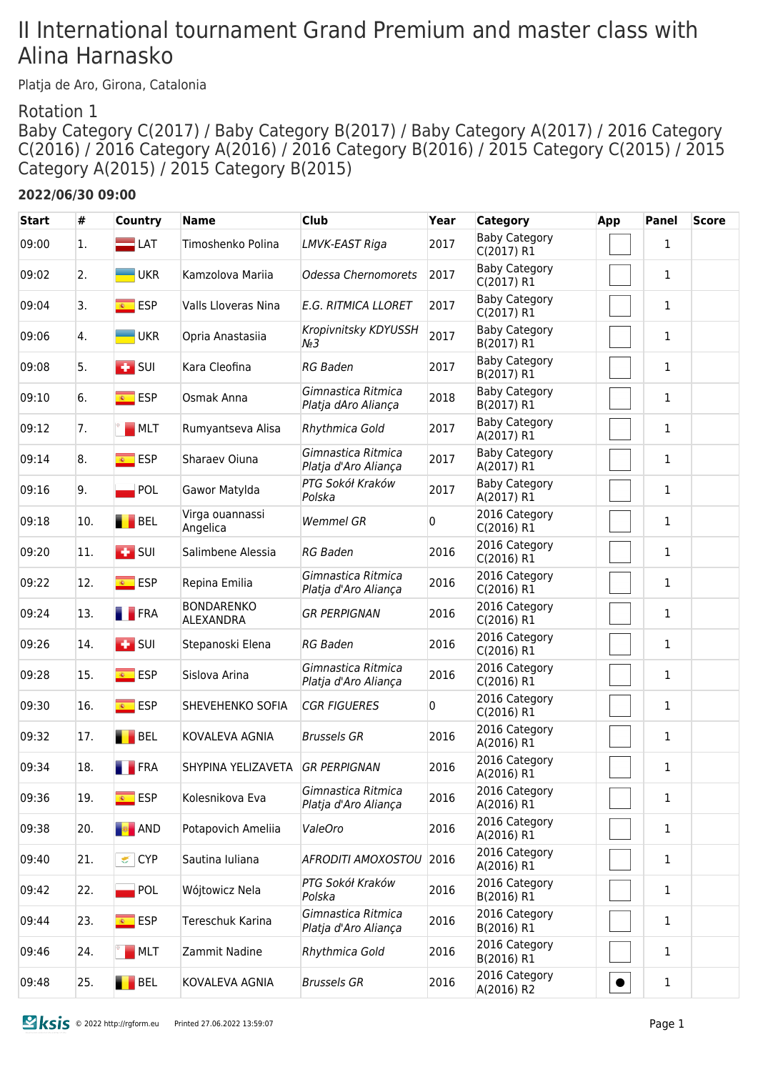# II International tournament Grand Premium and master class with Alina Harnasko

Platja de Aro, Girona, Catalonia

#### Rotation 1

Baby Category C(2017) / Baby Category B(2017) / Baby Category A(2017) / 2016 Category C(2016) / 2016 Category A(2016) / 2016 Category B(2016) / 2015 Category C(2015) / 2015 Category A(2015) / 2015 Category B(2015)

#### **2022/06/30 09:00**

| <b>Start</b> | #   | <b>Country</b>                        | <b>Name</b>                           | <b>Club</b>                                | Year | <b>Category</b>                    | App       | <b>Panel</b> | <b>Score</b> |
|--------------|-----|---------------------------------------|---------------------------------------|--------------------------------------------|------|------------------------------------|-----------|--------------|--------------|
| 09:00        | 1.  | $\Box$ LAT                            | Timoshenko Polina                     | LMVK-EAST Riga                             | 2017 | <b>Baby Category</b><br>C(2017) R1 |           | 1            |              |
| 09:02        | 2.  | <b>UKR</b>                            | Kamzolova Mariia                      | Odessa Chernomorets                        | 2017 | <b>Baby Category</b><br>C(2017) R1 |           | $\mathbf{1}$ |              |
| 09:04        | 3.  | <mark>⊛ ESP</mark>                    | Valls Lloveras Nina                   | <b>E.G. RITMICA LLORET</b>                 | 2017 | <b>Baby Category</b><br>C(2017) R1 |           | 1            |              |
| 09:06        | 4.  | <b>UKR</b>                            | Opria Anastasiia                      | Kropivnitsky KDYUSSH<br>$N_2$ 3            | 2017 | <b>Baby Category</b><br>B(2017) R1 |           | 1            |              |
| 09:08        | 5.  | $\blacksquare$ SUI                    | Kara Cleofina                         | <b>RG Baden</b>                            | 2017 | <b>Baby Category</b><br>B(2017) R1 |           | 1            |              |
| 09:10        | 6.  | <mark>⊛ ESP</mark>                    | Osmak Anna                            | Gimnastica Ritmica<br>Platja dAro Aliança  | 2018 | <b>Baby Category</b><br>B(2017) R1 |           | 1            |              |
| 09:12        | 7.  | MCT                                   | Rumyantseva Alisa                     | Rhythmica Gold                             | 2017 | <b>Baby Category</b><br>A(2017) R1 |           | $\mathbf{1}$ |              |
| 09:14        | 8.  | <mark>⊛ ESP</mark>                    | Sharaev Oiuna                         | Gimnastica Ritmica<br>Platja d'Aro Aliança | 2017 | <b>Baby Category</b><br>A(2017) R1 |           | 1            |              |
| 09:16        | 9.  | <b>POL</b>                            | Gawor Matylda                         | PTG Sokół Kraków<br>Polska                 | 2017 | <b>Baby Category</b><br>A(2017) R1 |           | $\mathbf{1}$ |              |
| 09:18        | 10. | BEL                                   | Virga ouannassi<br>Angelica           | <b>Wemmel GR</b>                           | 0    | 2016 Category<br>C(2016) R1        |           | 1            |              |
| 09:20        | 11. | $\overline{1}$ SUI                    | Salimbene Alessia                     | <b>RG Baden</b>                            | 2016 | 2016 Category<br>C(2016) R1        |           | $\mathbf{1}$ |              |
| 09:22        | 12. | <b>ESP</b><br>$\overline{\mathbf{R}}$ | Repina Emilia                         | Gimnastica Ritmica<br>Platja d'Aro Aliança | 2016 | 2016 Category<br>C(2016) R1        |           | $\mathbf{1}$ |              |
| 09:24        | 13. | <b>FRA</b>                            | <b>BONDARENKO</b><br><b>ALEXANDRA</b> | <b>GR PERPIGNAN</b>                        | 2016 | 2016 Category<br>C(2016) R1        |           | 1            |              |
| 09:26        | 14. | $\overline{1}$ SUI                    | Stepanoski Elena                      | <b>RG Baden</b>                            | 2016 | 2016 Category<br>C(2016) R1        |           | 1            |              |
| 09:28        | 15. | $\overline{\bullet}$ ESP              | Sislova Arina                         | Gimnastica Ritmica<br>Platja d'Aro Aliança | 2016 | 2016 Category<br>C(2016) R1        |           | 1            |              |
| 09:30        | 16. | $\overline{\mathbf{R}}$<br><b>ESP</b> | SHEVEHENKO SOFIA                      | <b>CGR FIGUERES</b>                        | 0    | 2016 Category<br>C(2016) R1        |           | 1            |              |
| 09:32        | 17. | BEL                                   | KOVALEVA AGNIA                        | <b>Brussels GR</b>                         | 2016 | 2016 Category<br>A(2016) R1        |           | 1            |              |
| 09:34        | 18. | <b>FRA</b>                            | SHYPINA YELIZAVETA                    | <b>GR PERPIGNAN</b>                        | 2016 | 2016 Category<br>A(2016) R1        |           | 1            |              |
| 09:36        | 19. | <u><sup>⊛</sup></u> ESP               | Kolesnikova Eva                       | Gimnastica Ritmica<br>Platja d'Aro Aliança | 2016 | 2016 Category<br>A(2016) R1        |           | 1            |              |
| 09:38        | 20. | <b>B</b> AND                          | Potapovich Ameliia                    | ValeOro                                    | 2016 | 2016 Category<br>A(2016) R1        |           | 1            |              |
| 09:40        | 21. | CYP                                   | Sautina Iuliana                       | AFRODITI AMOXOSTOU                         | 2016 | 2016 Category<br>A(2016) R1        |           | $\mathbf{1}$ |              |
| 09:42        | 22. | POL                                   | Wójtowicz Nela                        | PTG Sokół Kraków<br>Polska                 | 2016 | 2016 Category<br>B(2016) R1        |           | 1            |              |
| 09:44        | 23. | <u><sup>⊛</sup>FSP</u>                | Tereschuk Karina                      | Gimnastica Ritmica<br>Platja d'Aro Aliança | 2016 | 2016 Category<br>B(2016) R1        |           | $\mathbf{1}$ |              |
| 09:46        | 24. | MCT                                   | Zammit Nadine                         | Rhythmica Gold                             | 2016 | 2016 Category<br>B(2016) R1        |           | 1            |              |
| 09:48        | 25. | <b>BEL</b>                            | KOVALEVA AGNIA                        | <b>Brussels GR</b>                         | 2016 | 2016 Category<br>A(2016) R2        | $\bullet$ | $\mathbf{1}$ |              |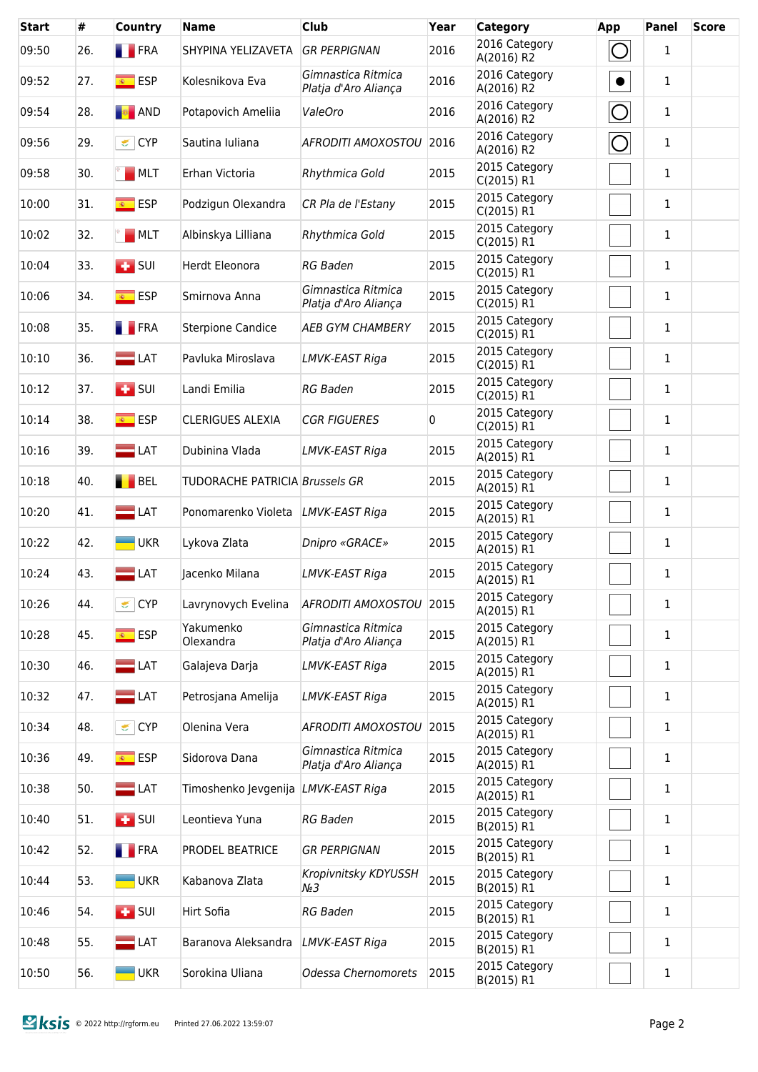| <b>Start</b> | #   | <b>Country</b>                   | <b>Name</b>                                | <b>Club</b>                                | Year | Category                    | <b>App</b> | Panel        | <b>Score</b> |
|--------------|-----|----------------------------------|--------------------------------------------|--------------------------------------------|------|-----------------------------|------------|--------------|--------------|
| 09:50        | 26. | <b>FRA</b>                       | SHYPINA YELIZAVETA                         | <b>GR PERPIGNAN</b>                        | 2016 | 2016 Category<br>A(2016) R2 | O          | $\mathbf{1}$ |              |
| 09:52        | 27. | $\overline{\bullet}$ ESP         | Kolesnikova Eva                            | Gimnastica Ritmica<br>Platja d'Aro Aliança | 2016 | 2016 Category<br>A(2016) R2 | $\bullet$  | 1            |              |
| 09:54        | 28. | <b>E</b> AND                     | Potapovich Ameliia                         | ValeOro                                    | 2016 | 2016 Category<br>A(2016) R2 | $\bigcirc$ | $\mathbf{1}$ |              |
| 09:56        | 29. | CYP                              | Sautina Iuliana                            | AFRODITI AMOXOSTOU 2016                    |      | 2016 Category<br>A(2016) R2 | $\bigcirc$ | $\mathbf{1}$ |              |
| 09:58        | 30. | MLT                              | Erhan Victoria                             | Rhythmica Gold                             | 2015 | 2015 Category<br>C(2015) R1 |            | $\mathbf{1}$ |              |
| 10:00        | 31. | $\overline{\bullet}$ ESP         | Podzigun Olexandra                         | CR Pla de l'Estany                         | 2015 | 2015 Category<br>C(2015) R1 |            | $\mathbf{1}$ |              |
| 10:02        | 32. | MCT                              | Albinskya Lilliana                         | Rhythmica Gold                             | 2015 | 2015 Category<br>C(2015) R1 |            | $\mathbf{1}$ |              |
| 10:04        | 33. | $\overline{1}$ SUI               | Herdt Eleonora                             | <b>RG Baden</b>                            | 2015 | 2015 Category<br>C(2015) R1 |            | $\mathbf{1}$ |              |
| 10:06        | 34. | $\overline{\bullet}$ ESP         | Smirnova Anna                              | Gimnastica Ritmica<br>Platja d'Aro Aliança | 2015 | 2015 Category<br>C(2015) R1 |            | $\mathbf{1}$ |              |
| 10:08        | 35. | <b>FRA</b>                       | <b>Sterpione Candice</b>                   | <b>AEB GYM CHAMBERY</b>                    | 2015 | 2015 Category<br>C(2015) R1 |            | 1            |              |
| 10:10        | 36. | $\equiv$ LAT                     | Pavluka Miroslava                          | <b>LMVK-EAST Riga</b>                      | 2015 | 2015 Category<br>C(2015) R1 |            | 1            |              |
| 10:12        | 37. | $\overline{1}$ SUI               | Landi Emilia                               | <b>RG Baden</b>                            | 2015 | 2015 Category<br>C(2015) R1 |            | 1            |              |
| 10:14        | 38. | <b>ESP</b>                       | <b>CLERIGUES ALEXIA</b>                    | <b>CGR FIGUERES</b>                        | 0    | 2015 Category<br>C(2015) R1 |            | 1            |              |
| 10:16        | 39. | $\Box$ LAT                       | Dubinina Vlada                             | LMVK-EAST Riga                             | 2015 | 2015 Category<br>A(2015) R1 |            | $\mathbf{1}$ |              |
| 10:18        | 40. | BEL                              | <b>TUDORACHE PATRICIA Brussels GR</b>      |                                            | 2015 | 2015 Category<br>A(2015) R1 |            | 1            |              |
| 10:20        | 41. | $\Box$ LAT                       | Ponomarenko Violeta                        | LMVK-EAST Riga                             | 2015 | 2015 Category<br>A(2015) R1 |            | 1            |              |
| 10:22        | 42. | $\blacksquare$ UKR               | Lykova Zlata                               | Dnipro «GRACE»                             | 2015 | 2015 Category<br>A(2015) R1 |            | 1            |              |
| 10:24        | 43. | $\blacksquare$ LAT               | Jacenko Milana                             | LMVK-EAST Riga                             | 2015 | 2015 Category<br>A(2015) R1 |            | $\mathbf 1$  |              |
| 10:26        | 44. | CYP                              | Lavrynovych Evelina                        | AFRODITI AMOXOSTOU 2015                    |      | 2015 Category<br>A(2015) R1 |            | 1            |              |
| 10:28        | 45. | $\overline{\bullet}$ ESP         | Yakumenko<br>Olexandra                     | Gimnastica Ritmica<br>Platja d'Aro Aliança | 2015 | 2015 Category<br>A(2015) R1 |            | 1            |              |
| 10:30        | 46. | $\blacksquare$ LAT               | Galajeva Darja                             | LMVK-EAST Riga                             | 2015 | 2015 Category<br>A(2015) R1 |            | 1            |              |
| 10:32        | 47. | $=$ LAT                          | Petrosjana Amelija                         | LMVK-EAST Riga                             | 2015 | 2015 Category<br>A(2015) R1 |            | 1            |              |
| 10:34        | 48. | CYP                              | Olenina Vera                               | AFRODITI AMOXOSTOU                         | 2015 | 2015 Category<br>A(2015) R1 |            | 1            |              |
| 10:36        | 49. | <mark>⊛ ESP</mark>               | Sidorova Dana                              | Gimnastica Ritmica<br>Platja d'Aro Aliança | 2015 | 2015 Category<br>A(2015) R1 |            | 1            |              |
| 10:38        | 50. | $\blacksquare$ LAT               | Timoshenko Jevgenija <i>LMVK-EAST Riga</i> |                                            | 2015 | 2015 Category<br>A(2015) R1 |            | 1            |              |
| 10:40        | 51. | $\left  \frac{1}{2} \right $ SUI | Leontieva Yuna                             | <b>RG Baden</b>                            | 2015 | 2015 Category<br>B(2015) R1 |            | 1            |              |
| 10:42        | 52. | <b>FRA</b>                       | PRODEL BEATRICE                            | <b>GR PERPIGNAN</b>                        | 2015 | 2015 Category<br>B(2015) R1 |            | 1            |              |
| 10:44        | 53. | <b>UKR</b>                       | Kabanova Zlata                             | Kropivnitsky KDYUSSH<br>$N_2$ 3            | 2015 | 2015 Category<br>B(2015) R1 |            | 1            |              |
| 10:46        | 54. | $\left  \frac{1}{2} \right $ SUI | Hirt Sofia                                 | <b>RG Baden</b>                            | 2015 | 2015 Category<br>B(2015) R1 |            | 1            |              |
| 10:48        | 55. | $\blacksquare$ LAT               | Baranova Aleksandra                        | LMVK-EAST Riga                             | 2015 | 2015 Category<br>B(2015) R1 |            | 1            |              |
| 10:50        | 56. | <b>UKR</b>                       | Sorokina Uliana                            | Odessa Chernomorets                        | 2015 | 2015 Category<br>B(2015) R1 |            | $\mathbf 1$  |              |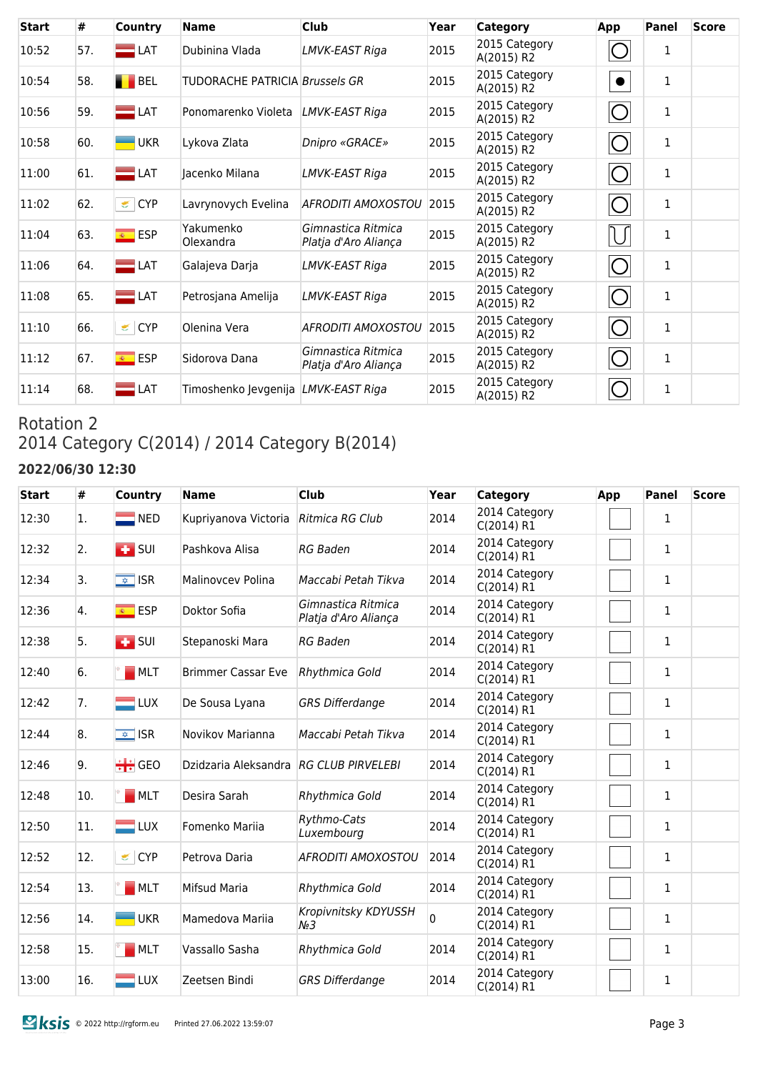| <b>Start</b> | #   | Country                  | <b>Name</b>                                | <b>Club</b>                                | Year | Category                    | App                 | Panel        | <b>Score</b> |
|--------------|-----|--------------------------|--------------------------------------------|--------------------------------------------|------|-----------------------------|---------------------|--------------|--------------|
| 10:52        | 57. | $\Box$ LAT               | Dubinina Vlada                             | LMVK-EAST Riga                             | 2015 | 2015 Category<br>A(2015) R2 |                     | 1            |              |
| 10:54        | 58. | <b>BEL</b>               | TUDORACHE PATRICIA Brussels GR             |                                            | 2015 | 2015 Category<br>A(2015) R2 | $\bullet$           | 1            |              |
| 10:56        | 59. | $\equiv$ LAT             | Ponomarenko Violeta                        | LMVK-EAST Riga                             | 2015 | 2015 Category<br>A(2015) R2 | Ő                   | $\mathbf{1}$ |              |
| 10:58        | 60. | <b>UKR</b>               | Lykova Zlata                               | Dnipro «GRACE»                             | 2015 | 2015 Category<br>A(2015) R2 | $\circlearrowright$ | $\mathbf{1}$ |              |
| 11:00        | 61. | $\blacksquare$ LAT       | Jacenko Milana                             | LMVK-EAST Riga                             | 2015 | 2015 Category<br>A(2015) R2 | O                   | $\mathbf{1}$ |              |
| 11:02        | 62. | CYP                      | Lavrynovych Evelina                        | AFRODITI AMOXOSTOU                         | 2015 | 2015 Category<br>A(2015) R2 | $\circlearrowright$ | $\mathbf{1}$ |              |
| 11:04        | 63. | <mark>⊛ ESP</mark>       | Yakumenko<br>Olexandra                     | Gimnastica Ritmica<br>Platja d'Aro Aliança | 2015 | 2015 Category<br>A(2015) R2 | U                   | $\mathbf{1}$ |              |
| 11:06        | 64. | $\blacksquare$ LAT       | Galajeva Darja                             | LMVK-EAST Riga                             | 2015 | 2015 Category<br>A(2015) R2 | O                   | $\mathbf 1$  |              |
| 11:08        | 65. | $\blacksquare$ LAT       | Petrosjana Amelija                         | LMVK-EAST Riga                             | 2015 | 2015 Category<br>A(2015) R2 | $\circlearrowright$ | $\mathbf{1}$ |              |
| 11:10        | 66. | CYP                      | Olenina Vera                               | AFRODITI AMOXOSTOU                         | 2015 | 2015 Category<br>A(2015) R2 | $\bigcirc$          | $\mathbf{1}$ |              |
| 11:12        | 67. | $\overline{\bullet}$ ESP | Sidorova Dana                              | Gimnastica Ritmica<br>Platja d'Aro Aliança | 2015 | 2015 Category<br>A(2015) R2 | $\circlearrowright$ | $\mathbf 1$  |              |
| 11:14        | 68. | $\blacksquare$ LAT       | Timoshenko Jevgenija <i>LMVK-EAST Riga</i> |                                            | 2015 | 2015 Category<br>A(2015) R2 |                     | 1            |              |

# Rotation 2 2014 Category C(2014) / 2014 Category B(2014)

### **2022/06/30 12:30**

| <b>Start</b> | $\#$ | Country                  | <b>Name</b>                            | <b>Club</b>                                | Year | <b>Category</b>             | App | Panel        | <b>Score</b> |
|--------------|------|--------------------------|----------------------------------------|--------------------------------------------|------|-----------------------------|-----|--------------|--------------|
| 12:30        | 1.   | $\blacksquare$ NED       | Kupriyanova Victoria                   | Ritmica RG Club                            | 2014 | 2014 Category<br>C(2014) R1 |     | 1            |              |
| 12:32        | 2.   | $\overline{1}$ SUI       | Pashkova Alisa                         | <b>RG Baden</b>                            | 2014 | 2014 Category<br>C(2014) R1 |     | $\mathbf{1}$ |              |
| 12:34        | 3.   | $\sqrt{\frac{1}{2}}$ ISR | Malinovcev Polina                      | Maccabi Petah Tikva                        | 2014 | 2014 Category<br>C(2014) R1 |     | $\mathbf{1}$ |              |
| 12:36        | 4.   | $\overline{\bullet}$ ESP | Doktor Sofia                           | Gimnastica Ritmica<br>Platja d'Aro Aliança | 2014 | 2014 Category<br>C(2014) R1 |     | $\mathbf{1}$ |              |
| 12:38        | 5.   | $\blacksquare$ SUI       | Stepanoski Mara                        | <b>RG Baden</b>                            | 2014 | 2014 Category<br>C(2014) R1 |     | $\mathbf{1}$ |              |
| 12:40        | 6.   | $\blacksquare$ MLT       | <b>Brimmer Cassar Eve</b>              | Rhythmica Gold                             | 2014 | 2014 Category<br>C(2014) R1 |     | $\mathbf{1}$ |              |
| 12:42        | 7.   | $=$ LUX                  | De Sousa Lyana                         | <b>GRS Differdange</b>                     | 2014 | 2014 Category<br>C(2014) R1 |     | 1            |              |
| 12:44        | 8.   | $\overline{\bullet}$ ISR | Novikov Marianna                       | Maccabi Petah Tikva                        | 2014 | 2014 Category<br>C(2014) R1 |     | $\mathbf{1}$ |              |
| 12:46        | 9.   | $\div$ GEO               | Dzidzaria Aleksandra RG CLUB PIRVELEBI |                                            | 2014 | 2014 Category<br>C(2014) R1 |     | $\mathbf{1}$ |              |
| 12:48        | 10.  | M <sub>MT</sub>          | Desira Sarah                           | Rhythmica Gold                             | 2014 | 2014 Category<br>C(2014) R1 |     | $\mathbf{1}$ |              |
| 12:50        | 11.  | $\blacksquare$ LUX       | Fomenko Mariia                         | Rythmo-Cats<br>Luxembourg                  | 2014 | 2014 Category<br>C(2014) R1 |     | 1            |              |
| 12:52        | 12.  | CYP                      | Petrova Daria                          | <b>AFRODITI AMOXOSTOU</b>                  | 2014 | 2014 Category<br>C(2014) R1 |     | $\mathbf{1}$ |              |
| 12:54        | 13.  | MLT                      | Mifsud Maria                           | Rhythmica Gold                             | 2014 | 2014 Category<br>C(2014) R1 |     | $\mathbf{1}$ |              |
| 12:56        | 14.  | <b>UKR</b>               | Mamedova Mariia                        | Kropivnitsky KDYUSSH<br>$N_2$ 3            | 0    | 2014 Category<br>C(2014) R1 |     | $\mathbf{1}$ |              |
| 12:58        | 15.  | MLT                      | Vassallo Sasha                         | Rhythmica Gold                             | 2014 | 2014 Category<br>C(2014) R1 |     | 1            |              |
| 13:00        | 16.  | $\blacksquare$ LUX       | Zeetsen Bindi                          | <b>GRS Differdange</b>                     | 2014 | 2014 Category<br>C(2014) R1 |     | $\mathbf{1}$ |              |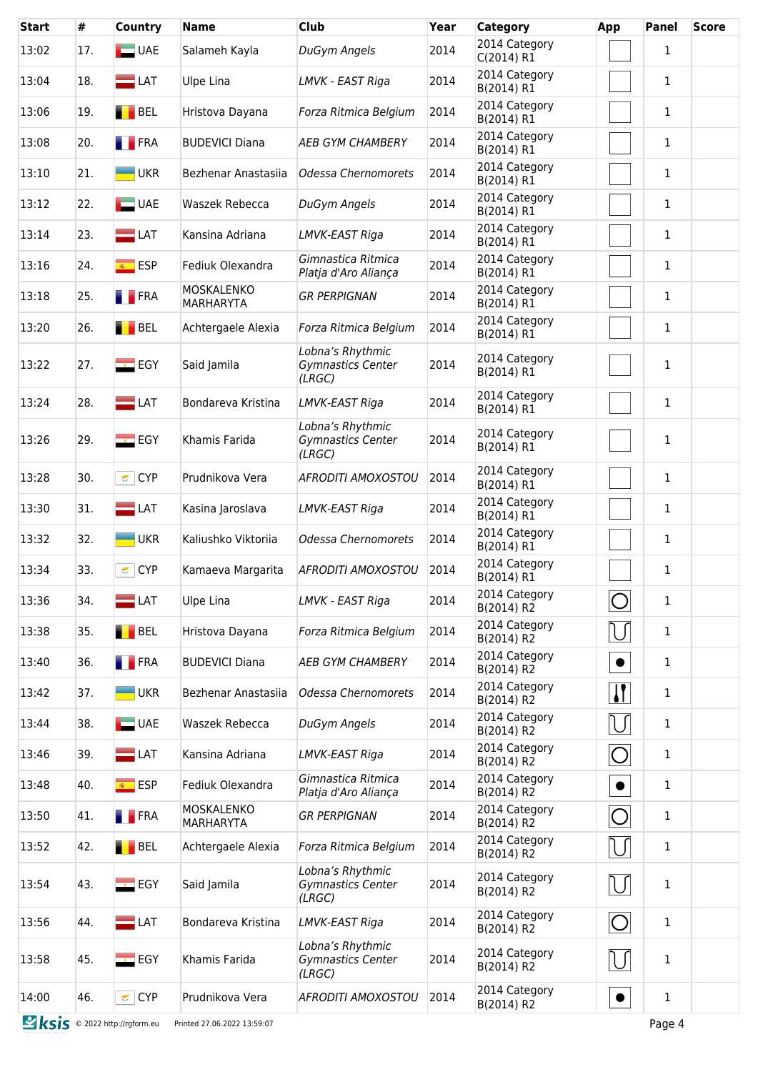| <b>Start</b>                 | #   | <b>Country</b>           | <b>Name</b>                           | Club                                                   | Year | <b>Category</b>             | App          | Panel        | <b>Score</b> |
|------------------------------|-----|--------------------------|---------------------------------------|--------------------------------------------------------|------|-----------------------------|--------------|--------------|--------------|
| 13:02                        | 17. | $\Box$ UAE               | Salameh Kayla                         | DuGym Angels                                           | 2014 | 2014 Category<br>C(2014) R1 |              | $\mathbf{1}$ |              |
| 13:04                        | 18. | $\blacksquare$ LAT       | <b>Ulpe Lina</b>                      | LMVK - EAST Riga                                       | 2014 | 2014 Category<br>B(2014) R1 |              | $\mathbf{1}$ |              |
| 13:06                        | 19. | <b>BEL</b>               | Hristova Dayana                       | Forza Ritmica Belgium                                  | 2014 | 2014 Category<br>B(2014) R1 |              | $\mathbf{1}$ |              |
| 13:08                        | 20. | <b>FRA</b>               | <b>BUDEVICI Diana</b>                 | AEB GYM CHAMBERY                                       | 2014 | 2014 Category<br>B(2014) R1 |              | $\mathbf{1}$ |              |
| 13:10                        | 21. | <b>UKR</b>               | Bezhenar Anastasiia                   | Odessa Chernomorets                                    | 2014 | 2014 Category<br>B(2014) R1 |              | 1            |              |
| 13:12                        | 22. | $\Box$ UAE               | Waszek Rebecca                        | DuGym Angels                                           | 2014 | 2014 Category<br>B(2014) R1 |              | $\mathbf{1}$ |              |
| 13:14                        | 23. | $\blacksquare$ LAT       | Kansina Adriana                       | LMVK-EAST Riga                                         | 2014 | 2014 Category<br>B(2014) R1 |              | $\mathbf{1}$ |              |
| 13:16                        | 24. | $\overline{\bullet}$ ESP | Fediuk Olexandra                      | Gimnastica Ritmica<br>Platja d'Aro Aliança             | 2014 | 2014 Category<br>B(2014) R1 |              | $\mathbf{1}$ |              |
| 13:18                        | 25. | <b>FRA</b>               | MOSKALENKO<br><b>MARHARYTA</b>        | <b>GR PERPIGNAN</b>                                    | 2014 | 2014 Category<br>B(2014) R1 |              | $\mathbf{1}$ |              |
| 13:20                        | 26. | BEL                      | Achtergaele Alexia                    | Forza Ritmica Belgium                                  | 2014 | 2014 Category<br>B(2014) R1 |              | $\mathbf{1}$ |              |
| 13:22                        | 27. | $\blacksquare$ EGY       | Said Jamila                           | Lobna's Rhythmic<br><b>Gymnastics Center</b><br>(LRGC) | 2014 | 2014 Category<br>B(2014) R1 |              | $\mathbf{1}$ |              |
| 13:24                        | 28. | $\blacksquare$ LAT       | Bondareva Kristina                    | LMVK-EAST Riga                                         | 2014 | 2014 Category<br>B(2014) R1 |              | $\mathbf{1}$ |              |
| 13:26                        | 29. | $E$ EGY                  | Khamis Farida                         | Lobna's Rhythmic<br>Gymnastics Center<br>(LRGC)        | 2014 | 2014 Category<br>B(2014) R1 |              | $\mathbf{1}$ |              |
| 13:28                        | 30. | CYP                      | Prudnikova Vera                       | <b>AFRODITI AMOXOSTOU</b>                              | 2014 | 2014 Category<br>B(2014) R1 |              | $\mathbf{1}$ |              |
| 13:30                        | 31. | $\Box$ LAT               | Kasina Jaroslava                      | LMVK-EAST Riga                                         | 2014 | 2014 Category<br>B(2014) R1 |              | $\mathbf{1}$ |              |
| 13:32                        | 32. | <b>UKR</b>               | Kaliushko Viktoriia                   | Odessa Chernomorets                                    | 2014 | 2014 Category<br>B(2014) R1 |              | $\mathbf{1}$ |              |
| 13:34                        | 33. | CYP                      | Kamaeva Margarita                     | <b>AFRODITI AMOXOSTOU</b>                              | 2014 | 2014 Category<br>B(2014) R1 |              | $\mathbf{1}$ |              |
| 13:36                        | 34. | $\blacksquare$ LAT       | <b>Ulpe Lina</b>                      | LMVK - EAST Riga                                       | 2014 | 2014 Category<br>B(2014) R2 | C            | $\mathbf{1}$ |              |
| 13:38                        | 35. | BEL                      | Hristova Dayana                       | Forza Ritmica Belgium                                  | 2014 | 2014 Category<br>B(2014) R2 | $\bigcup$    | $\mathbf{1}$ |              |
| 13:40                        | 36. | <b>FRA</b>               | <b>BUDEVICI Diana</b>                 | <b>AEB GYM CHAMBERY</b>                                | 2014 | 2014 Category<br>B(2014) R2 | $\bullet$    | 1            |              |
| 13:42                        | 37. | $-UKR$                   | Bezhenar Anastasija                   | Odessa Chernomorets                                    | 2014 | 2014 Category<br>B(2014) R2 | $\mathbf{H}$ | 1            |              |
| 13:44                        | 38. | $\Box$ UAE               | Waszek Rebecca                        | DuGym Angels                                           | 2014 | 2014 Category<br>B(2014) R2 | IJ           | $\mathbf{1}$ |              |
| 13:46                        | 39. | $\Box$ LAT               | Kansina Adriana                       | LMVK-EAST Riga                                         | 2014 | 2014 Category<br>B(2014) R2 | $\bigcirc$   | $\mathbf{1}$ |              |
| 13:48                        | 40. | <del></del> ESP          | Fediuk Olexandra                      | Gimnastica Ritmica<br>Platja d'Aro Aliança             | 2014 | 2014 Category<br>B(2014) R2 | $\bullet$    | 1            |              |
| 13:50                        | 41. | <b>FRA</b>               | <b>MOSKALENKO</b><br><b>MARHARYTA</b> | <b>GR PERPIGNAN</b>                                    | 2014 | 2014 Category<br>B(2014) R2 | $\bigcirc$   | $\mathbf{1}$ |              |
| 13:52                        | 42. | <b>BEL</b>               | Achtergaele Alexia                    | Forza Ritmica Belgium                                  | 2014 | 2014 Category<br>B(2014) R2 | IJ           | $\mathbf{1}$ |              |
| 13:54                        | 43. | $\blacksquare$ EGY       | Said Jamila                           | Lobna's Rhythmic<br>Gymnastics Center<br>(LRGC)        | 2014 | 2014 Category<br>B(2014) R2 | $\bigcup$    | 1            |              |
| 13:56                        | 44. | $\blacksquare$ LAT       | Bondareva Kristina                    | LMVK-EAST Riga                                         | 2014 | 2014 Category<br>B(2014) R2 | $\bigcirc$   | 1            |              |
| 13:58                        | 45. | $\blacksquare$ EGY       | Khamis Farida                         | Lobna's Rhythmic<br>Gymnastics Center<br>(LRGC)        | 2014 | 2014 Category<br>B(2014) R2 | $\bigcup$    | $\mathbf{1}$ |              |
| 14:00                        | 46. | CYP                      | Prudnikova Vera                       | AFRODITI AMOXOSTOU                                     | 2014 | 2014 Category<br>B(2014) R2 | $\bullet$    | $\mathbf{1}$ |              |
| Ksis © 2022 http://rgform.eu |     |                          | Printed 27.06.2022 13:59:07           |                                                        |      |                             |              | Page 4       |              |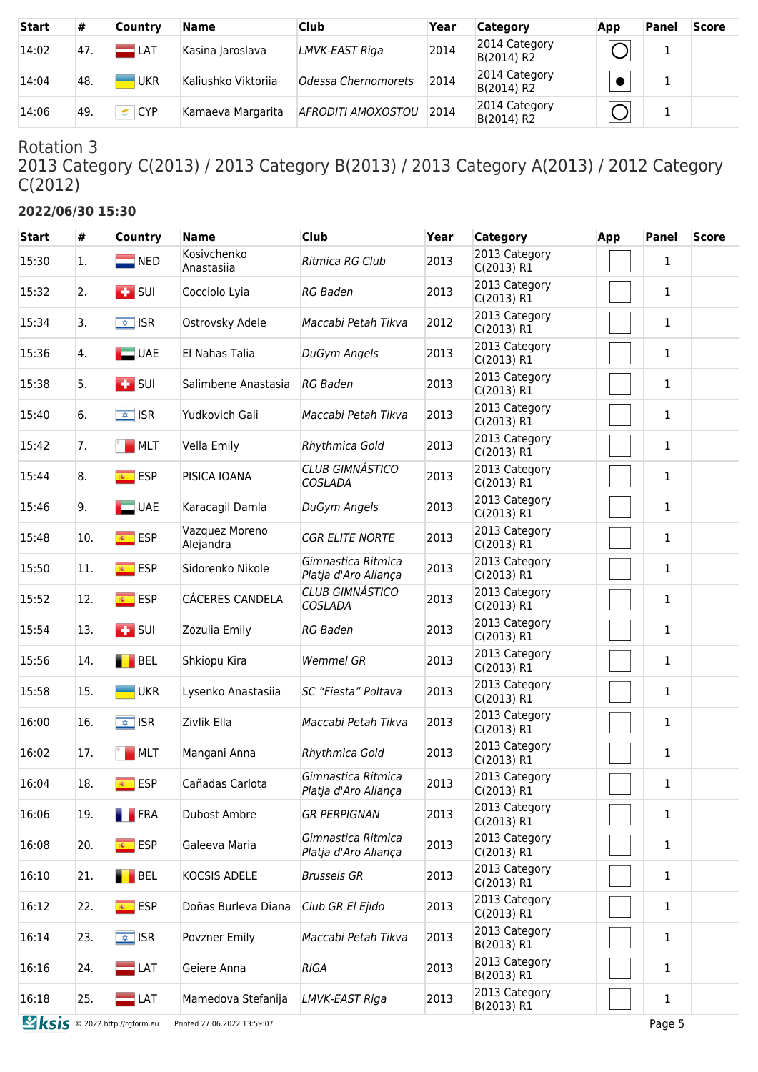| <b>Start</b> | #    | Country                                                                                                                                                                                                                                      | Name                | <b>Club</b>         | Year | <b>Category</b>             | App    | <b>Panel</b> | <b>Score</b> |
|--------------|------|----------------------------------------------------------------------------------------------------------------------------------------------------------------------------------------------------------------------------------------------|---------------------|---------------------|------|-----------------------------|--------|--------------|--------------|
| 14:02        | 47.  | $\blacksquare$ LAT                                                                                                                                                                                                                           | Kasina Jaroslava    | LMVK-EAST Riga      | 2014 | 2014 Category<br>B(2014) R2 |        | л.           |              |
| 14:04        | ™48. | <b>UKR</b>                                                                                                                                                                                                                                   | Kaliushko Viktorija | Odessa Chernomorets | 2014 | 2014 Category<br>B(2014) R2 |        |              |              |
| 14:06        | 49.  | <b>CYP</b><br>sing and the second second in the second second second in the second second second second second second second second second second second second second second second second second second second second second second second | Kamaeva Margarita   | AFRODITI AMOXOSTOU  | 2014 | 2014 Category<br>B(2014) R2 | $\cap$ | л.           |              |

2013 Category C(2013) / 2013 Category B(2013) / 2013 Category A(2013) / 2012 Category C(2012)

## **2022/06/30 15:30**

| <b>Start</b> | #   | <b>Country</b>                   | <b>Name</b>                 | <b>Club</b>                                | Year | <b>Category</b>             | App | <b>Panel</b> | <b>Score</b> |
|--------------|-----|----------------------------------|-----------------------------|--------------------------------------------|------|-----------------------------|-----|--------------|--------------|
| 15:30        | 1.  | $\blacksquare$ NED               | Kosivchenko<br>Anastasiia   | Ritmica RG Club                            | 2013 | 2013 Category<br>C(2013) R1 |     | 1            |              |
| 15:32        | 2.  | $\overline{L}$ SUI               | Cocciolo Lyia               | <b>RG Baden</b>                            | 2013 | 2013 Category<br>C(2013) R1 |     | 1            |              |
| 15:34        | 3.  | $\sqrt{2}$ ISR                   | Ostrovsky Adele             | Maccabi Petah Tikva                        | 2012 | 2013 Category<br>C(2013) R1 |     | 1            |              |
| 15:36        | 4.  | $\Box$ UAE                       | El Nahas Talia              | DuGym Angels                               | 2013 | 2013 Category<br>C(2013) R1 |     | 1            |              |
| 15:38        | 5.  | $\overline{1}$ SUI               | Salimbene Anastasia         | <b>RG Baden</b>                            | 2013 | 2013 Category<br>C(2013) R1 |     | 1            |              |
| 15:40        | 6.  | $\sqrt{2}$ ISR                   | Yudkovich Gali              | Maccabi Petah Tikva                        | 2013 | 2013 Category<br>C(2013) R1 |     | $\mathbf 1$  |              |
| 15:42        | 7.  | M <sub>MT</sub>                  | Vella Emily                 | Rhythmica Gold                             | 2013 | 2013 Category<br>C(2013) R1 |     | $\mathbf{1}$ |              |
| 15:44        | 8.  | <b>ESP</b>                       | PISICA IOANA                | <b>CLUB GIMNÁSTICO</b><br><b>COSLADA</b>   | 2013 | 2013 Category<br>C(2013) R1 |     | 1            |              |
| 15:46        | 9.  | $\Box$ UAE                       | Karacagil Damla             | DuGym Angels                               | 2013 | 2013 Category<br>C(2013) R1 |     | 1            |              |
| 15:48        | 10. | <u><sup>■</sup></u> ESP          | Vazquez Moreno<br>Alejandra | <b>CGR ELITE NORTE</b>                     | 2013 | 2013 Category<br>C(2013) R1 |     | 1            |              |
| 15:50        | 11. | <mark>⊛ ESP</mark>               | Sidorenko Nikole            | Gimnastica Ritmica<br>Platja d'Aro Aliança | 2013 | 2013 Category<br>C(2013) R1 |     | 1            |              |
| 15:52        | 12. | <mark>⊛ ESP</mark>               | CÁCERES CANDELA             | <b>CLUB GIMNÁSTICO</b><br>COSLADA          | 2013 | 2013 Category<br>C(2013) R1 |     | $\mathbf{1}$ |              |
| 15:54        | 13. | $\left  \frac{1}{2} \right $ SUI | Zozulia Emily               | <b>RG Baden</b>                            | 2013 | 2013 Category<br>C(2013) R1 |     | $\mathbf{1}$ |              |
| 15:56        | 14. | <b>BEL</b>                       | Shkiopu Kira                | <b>Wemmel GR</b>                           | 2013 | 2013 Category<br>C(2013) R1 |     | $\mathbf{1}$ |              |
| 15:58        | 15. | <b>UKR</b>                       | Lysenko Anastasiia          | SC "Fiesta" Poltava                        | 2013 | 2013 Category<br>C(2013) R1 |     | $\mathbf{1}$ |              |
| 16:00        | 16. | $\sqrt{2}$ ISR                   | Zivlik Ella                 | Maccabi Petah Tikva                        | 2013 | 2013 Category<br>C(2013) R1 |     | 1            |              |
| 16:02        | 17. | <b>MLT</b>                       | Mangani Anna                | Rhythmica Gold                             | 2013 | 2013 Category<br>C(2013) R1 |     | 1            |              |
| 16:04        | 18. | <b>ESP</b><br>编一                 | Cañadas Carlota             | Gimnastica Ritmica<br>Platja d'Aro Aliança | 2013 | 2013 Category<br>C(2013) R1 |     | 1            |              |
| 16:06        | 19. | <b>FRA</b>                       | Dubost Ambre                | <b>GR PERPIGNAN</b>                        | 2013 | 2013 Category<br>C(2013) R1 |     | $\mathbf 1$  |              |
| 16:08        | 20. | <mark>⊛ ESP</mark>               | Galeeva Maria               | Gimnastica Ritmica<br>Platja d'Aro Aliança | 2013 | 2013 Category<br>C(2013) R1 |     | 1            |              |
| 16:10        | 21. | BEL                              | KOCSIS ADELE                | <b>Brussels GR</b>                         | 2013 | 2013 Category<br>C(2013) R1 |     | 1            |              |
| 16:12        | 22. | <mark>⊛ ESP</mark>               | Doñas Burleva Diana         | Club GR El Ejido                           | 2013 | 2013 Category<br>C(2013) R1 |     | $\mathbf{1}$ |              |
| 16:14        | 23. | $\sqrt{\frac{1}{2}}$ ISR         | Povzner Emily               | Maccabi Petah Tikva                        | 2013 | 2013 Category<br>B(2013) R1 |     | $\mathbf{1}$ |              |
| 16:16        | 24. | $\blacksquare$ LAT               | Geiere Anna                 | <b>RIGA</b>                                | 2013 | 2013 Category<br>B(2013) R1 |     | 1            |              |
| 16:18        | 25. | $\blacksquare$ LAT               | Mamedova Stefanija          | LMVK-EAST Riga                             | 2013 | 2013 Category<br>B(2013) R1 |     | $\mathbf{1}$ |              |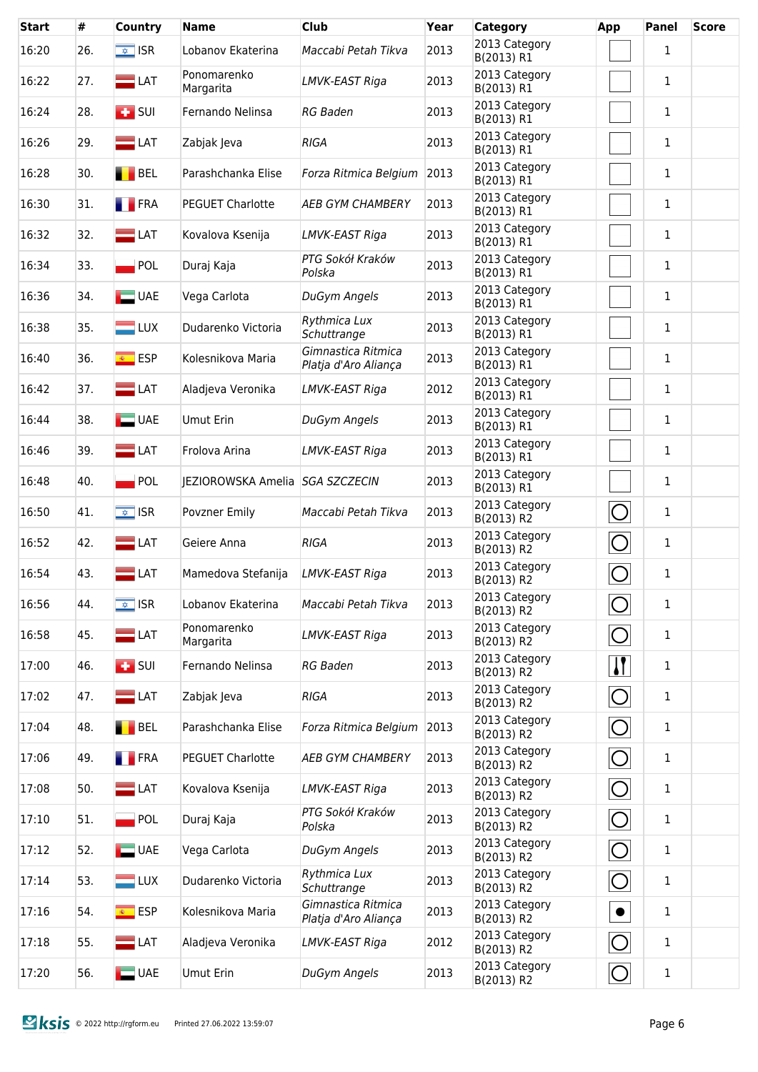| <b>Start</b> | #   | Country                          | <b>Name</b>                     | <b>Club</b>                                | Year | <b>Category</b>             | App            | Panel        | <b>Score</b> |
|--------------|-----|----------------------------------|---------------------------------|--------------------------------------------|------|-----------------------------|----------------|--------------|--------------|
| 16:20        | 26. | $\sqrt{2}$ ISR                   | Lobanov Ekaterina               | Maccabi Petah Tikva                        | 2013 | 2013 Category<br>B(2013) R1 |                | $\mathbf{1}$ |              |
| 16:22        | 27. | $\blacksquare$ LAT               | Ponomarenko<br>Margarita        | LMVK-EAST Riga                             | 2013 | 2013 Category<br>B(2013) R1 |                | $\mathbf{1}$ |              |
| 16:24        | 28. | $\overline{1}$ SUI               | Fernando Nelinsa                | <b>RG Baden</b>                            | 2013 | 2013 Category<br>B(2013) R1 |                | $\mathbf{1}$ |              |
| 16:26        | 29. | $\blacksquare$ LAT               | Zabjak Jeva                     | <b>RIGA</b>                                | 2013 | 2013 Category<br>B(2013) R1 |                | $\mathbf{1}$ |              |
| 16:28        | 30. | <b>BEL</b>                       | Parashchanka Elise              | Forza Ritmica Belgium                      | 2013 | 2013 Category<br>B(2013) R1 |                | 1            |              |
| 16:30        | 31. | <b>FRA</b>                       | <b>PEGUET Charlotte</b>         | <b>AEB GYM CHAMBERY</b>                    | 2013 | 2013 Category<br>B(2013) R1 |                | $\mathbf{1}$ |              |
| 16:32        | 32. | $\blacksquare$ LAT               | Kovalova Ksenija                | LMVK-EAST Riga                             | 2013 | 2013 Category<br>B(2013) R1 |                | $\mathbf{1}$ |              |
| 16:34        | 33. | $\blacksquare$ POL               | Duraj Kaja                      | PTG Sokół Kraków<br>Polska                 | 2013 | 2013 Category<br>B(2013) R1 |                | 1            |              |
| 16:36        | 34. | $\Box$ UAE                       | Vega Carlota                    | DuGym Angels                               | 2013 | 2013 Category<br>B(2013) R1 |                | $\mathbf{1}$ |              |
| 16:38        | 35. | $\blacksquare$ LUX               | Dudarenko Victoria              | Rythmica Lux<br>Schuttrange                | 2013 | 2013 Category<br>B(2013) R1 |                | $\mathbf{1}$ |              |
| 16:40        | 36. | $\overline{\bullet}$ ESP         | Kolesnikova Maria               | Gimnastica Ritmica<br>Platja d'Aro Aliança | 2013 | 2013 Category<br>B(2013) R1 |                | $\mathbf{1}$ |              |
| 16:42        | 37. | $\blacksquare$ LAT               | Aladjeva Veronika               | LMVK-EAST Riga                             | 2012 | 2013 Category<br>B(2013) R1 |                | $\mathbf{1}$ |              |
| 16:44        | 38. | $\Box$ UAE                       | <b>Umut Erin</b>                | DuGym Angels                               | 2013 | 2013 Category<br>B(2013) R1 |                | $\mathbf{1}$ |              |
| 16:46        | 39. | $\Box$ LAT                       | Frolova Arina                   | LMVK-EAST Riga                             | 2013 | 2013 Category<br>B(2013) R1 |                | $\mathbf{1}$ |              |
| 16:48        | 40. | POL                              | JEZIOROWSKA Amelia SGA SZCZECIN |                                            | 2013 | 2013 Category<br>B(2013) R1 |                | $\mathbf{1}$ |              |
| 16:50        | 41. | $\sqrt{2}$ ISR                   | Povzner Emily                   | Maccabi Petah Tikva                        | 2013 | 2013 Category<br>B(2013) R2 | $\bigcirc$     | $\mathbf{1}$ |              |
| 16:52        | 42. | $\blacksquare$ LAT               | Geiere Anna                     | <b>RIGA</b>                                | 2013 | 2013 Category<br>B(2013) R2 | $\bigcirc$     | $\mathbf{1}$ |              |
| 16:54        | 43. | $\blacksquare$ LAT               | Mamedova Stefanija              | LMVK-EAST Riga                             | 2013 | 2013 Category<br>B(2013) R2 | $\bigcirc$     | $\mathbf{1}$ |              |
| 16:56        | 44. | $\overline{\bullet}$ ISR         | Lobanov Ekaterina               | Maccabi Petah Tikva                        | 2013 | 2013 Category<br>B(2013) R2 | $\bigcirc$     | $\mathbf{1}$ |              |
| 16:58        | 45. | $\Box$ LAT                       | Ponomarenko<br>Margarita        | LMVK-EAST Riga                             | 2013 | 2013 Category<br>B(2013) R2 | $\bigcirc$     | $\mathbf{1}$ |              |
| 17:00        | 46. | $\left  \frac{1}{2} \right $ SUI | Fernando Nelinsa                | <b>RG Baden</b>                            | 2013 | 2013 Category<br>B(2013) R2 | $\mathbf{H}$   | $\mathbf{1}$ |              |
| 17:02        | 47. | $\blacksquare$ LAT               | Zabjak Jeva                     | <b>RIGA</b>                                | 2013 | 2013 Category<br>B(2013) R2 | $\overline{O}$ | $\mathbf{1}$ |              |
| 17:04        | 48. | <b>BEL</b>                       | Parashchanka Elise              | Forza Ritmica Belgium                      | 2013 | 2013 Category<br>B(2013) R2 | $\bigcirc$     | $\mathbf{1}$ |              |
| 17:06        | 49. | <b>FRA</b>                       | <b>PEGUET Charlotte</b>         | <b>AEB GYM CHAMBERY</b>                    | 2013 | 2013 Category<br>B(2013) R2 | $\bigcirc$     | $\mathbf{1}$ |              |
| 17:08        | 50. | $\Box$ LAT                       | Kovalova Ksenija                | LMVK-EAST Riga                             | 2013 | 2013 Category<br>B(2013) R2 | $\bigcirc$     | $\mathbf{1}$ |              |
| 17:10        | 51. | POL                              | Duraj Kaja                      | PTG Sokół Kraków<br>Polska                 | 2013 | 2013 Category<br>B(2013) R2 | $\overline{O}$ | 1            |              |
| 17:12        | 52. | $\Box$ UAE                       | Vega Carlota                    | DuGym Angels                               | 2013 | 2013 Category<br>B(2013) R2 | $\bigcirc$     | 1            |              |
| 17:14        | 53. | $\blacksquare$ LUX               | Dudarenko Victoria              | Rythmica Lux<br>Schuttrange                | 2013 | 2013 Category<br>B(2013) R2 | $\overline{O}$ | 1            |              |
| 17:16        | 54. | <mark>⊛ ESP</mark>               | Kolesnikova Maria               | Gimnastica Ritmica<br>Platja d'Aro Aliança | 2013 | 2013 Category<br>B(2013) R2 | $\bullet$      | $\mathbf{1}$ |              |
| 17:18        | 55. | $\blacksquare$ LAT               | Aladjeva Veronika               | LMVK-EAST Riga                             | 2012 | 2013 Category<br>B(2013) R2 | $\overline{O}$ | 1            |              |
| 17:20        | 56. | $\Box$ UAE                       | <b>Umut Erin</b>                | DuGym Angels                               | 2013 | 2013 Category<br>B(2013) R2 | $\overline{O}$ | $\mathbf{1}$ |              |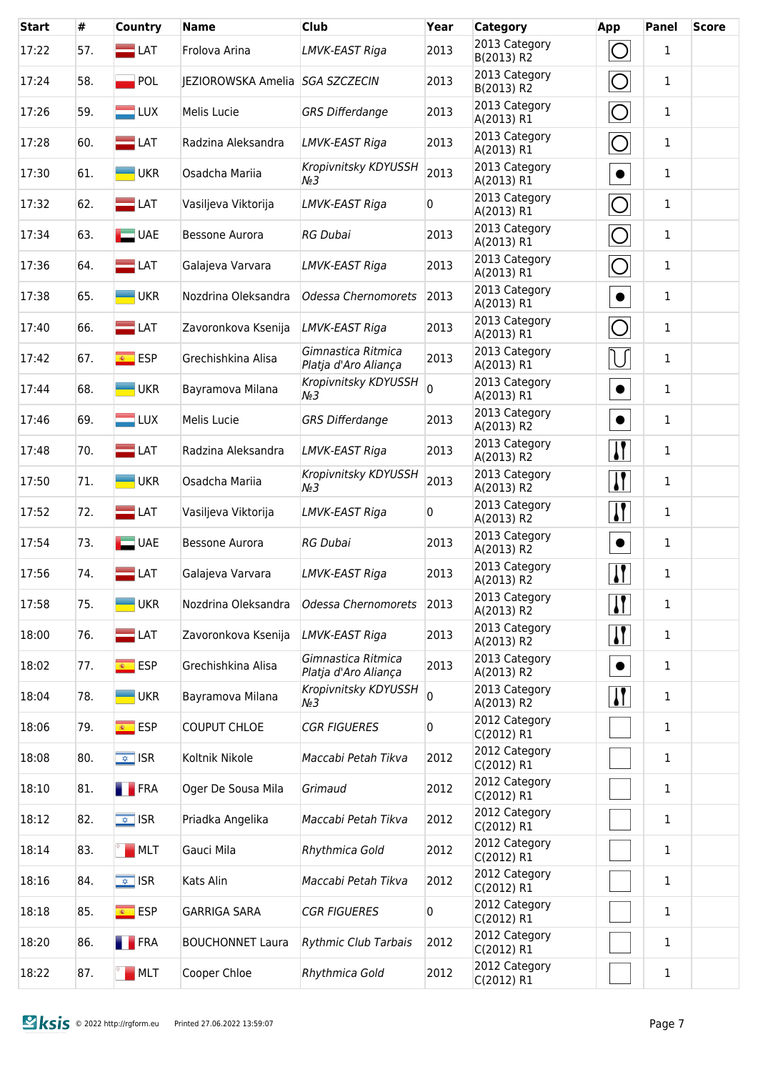| <b>Start</b> | #   | Country                  | <b>Name</b>                     | <b>Club</b>                                | Year | <b>Category</b>             | <b>App</b>                | <b>Panel</b> | <b>Score</b> |
|--------------|-----|--------------------------|---------------------------------|--------------------------------------------|------|-----------------------------|---------------------------|--------------|--------------|
| 17:22        | 57. | $\equiv$ LAT             | Frolova Arina                   | LMVK-EAST Riga                             | 2013 | 2013 Category<br>B(2013) R2 | Ő                         | $\mathbf{1}$ |              |
| 17:24        | 58. | POL                      | JEZIOROWSKA Amelia SGA SZCZECIN |                                            | 2013 | 2013 Category<br>B(2013) R2 | $\overline{O}$            | $\mathbf{1}$ |              |
| 17:26        | 59. | $\blacksquare$ LUX       | Melis Lucie                     | <b>GRS Differdange</b>                     | 2013 | 2013 Category<br>A(2013) R1 | $\bigcirc$                | $\mathbf{1}$ |              |
| 17:28        | 60. | $\blacksquare$ LAT       | Radzina Aleksandra              | LMVK-EAST Riga                             | 2013 | 2013 Category<br>A(2013) R1 | $\bigcirc$                | $\mathbf{1}$ |              |
| 17:30        | 61. | <b>UKR</b>               | Osadcha Mariia                  | Kropivnitsky KDYUSSH<br>$N_2$ 3            | 2013 | 2013 Category<br>A(2013) R1 | $\bullet$                 | $\mathbf{1}$ |              |
| 17:32        | 62. | $\blacksquare$ LAT       | Vasiljeva Viktorija             | LMVK-EAST Riga                             | 0    | 2013 Category<br>A(2013) R1 | $\bar{O}$                 | $\mathbf{1}$ |              |
| 17:34        | 63. | $\Box$ UAE               | Bessone Aurora                  | <b>RG Dubai</b>                            | 2013 | 2013 Category<br>A(2013) R1 | $\bigcirc$                | $\mathbf{1}$ |              |
| 17:36        | 64. | $\blacksquare$ LAT       | Galajeva Varvara                | LMVK-EAST Riga                             | 2013 | 2013 Category<br>A(2013) R1 | $\bigcirc$                | 1            |              |
| 17:38        | 65. | <b>UKR</b>               | Nozdrina Oleksandra             | Odessa Chernomorets                        | 2013 | 2013 Category<br>A(2013) R1 | $\bullet$                 | 1            |              |
| 17:40        | 66. | $\blacksquare$ LAT       | Zavoronkova Ksenija             | <b>LMVK-EAST Riga</b>                      | 2013 | 2013 Category<br>A(2013) R1 | $\bigcirc$                | $\mathbf{1}$ |              |
| 17:42        | 67. | <mark>⊛ ESP</mark>       | Grechishkina Alisa              | Gimnastica Ritmica<br>Platja d'Aro Aliança | 2013 | 2013 Category<br>A(2013) R1 | U                         | $\mathbf{1}$ |              |
| 17:44        | 68. | <b>UKR</b>               | Bayramova Milana                | Kropivnitsky KDYUSSH<br>$N_2$ 3            | 0    | 2013 Category<br>A(2013) R1 | $\bullet$                 | $\mathbf{1}$ |              |
| 17:46        | 69. | $\blacksquare$ LUX       | Melis Lucie                     | <b>GRS Differdange</b>                     | 2013 | 2013 Category<br>A(2013) R2 | $\bullet$                 | 1            |              |
| 17:48        | 70. | $\equiv$ LAT             | Radzina Aleksandra              | LMVK-EAST Riga                             | 2013 | 2013 Category<br>A(2013) R2 | $\mathbf{\mathsf{N}}$     | $\mathbf{1}$ |              |
| 17:50        | 71. | <b>UKR</b>               | Osadcha Mariia                  | Kropivnitsky KDYUSSH<br>$N_2$ 3            | 2013 | 2013 Category<br>A(2013) R2 | $\mathbf{\mathsf{N}}$     | $\mathbf{1}$ |              |
| 17:52        | 72. | $\equiv$ LAT             | Vasiljeva Viktorija             | LMVK-EAST Riga                             | 0    | 2013 Category<br>A(2013) R2 | $\mathbf{\mathsf{N}}$     | 1            |              |
| 17:54        | 73. | $\Box$ UAE               | Bessone Aurora                  | RG Dubai                                   | 2013 | 2013 Category<br>A(2013) R2 | $\bullet$                 | $\mathbf{1}$ |              |
| 17:56        | 74. | $\blacksquare$ LAT       | Galajeva Varvara                | LMVK-EAST Riga                             | 2013 | 2013 Category<br>A(2013) R2 | $\mathbf{I}$              | 1            |              |
| 17:58        | 75. | <b>UKR</b>               | Nozdrina Oleksandra             | Odessa Chernomorets                        | 2013 | 2013 Category<br>A(2013) R2 | $\boldsymbol{\mathsf{N}}$ | $\mathbf{1}$ |              |
| 18:00        | 76. | $\blacksquare$ LAT       | Zavoronkova Ksenija             | LMVK-EAST Riga                             | 2013 | 2013 Category<br>A(2013) R2 | <u> }</u>                 | $\mathbf{1}$ |              |
| 18:02        | 77. | <mark>⊛ ESP</mark>       | Grechishkina Alisa              | Gimnastica Ritmica<br>Platja d'Aro Aliança | 2013 | 2013 Category<br>A(2013) R2 | $\bullet$                 | $\mathbf{1}$ |              |
| 18:04        | 78. | $-UKR$                   | Bayramova Milana                | Kropivnitsky KDYUSSH<br>$N_2$ 3            | 0    | 2013 Category<br>A(2013) R2 | $\mathbf{\mathcal{U}}$    | 1            |              |
| 18:06        | 79. | <mark>⊛ ESP</mark>       | <b>COUPUT CHLOE</b>             | <b>CGR FIGUERES</b>                        | 0    | 2012 Category<br>C(2012) R1 |                           | 1            |              |
| 18:08        | 80. | $\sqrt{\frac{1}{2}}$ ISR | Koltnik Nikole                  | Maccabi Petah Tikva                        | 2012 | 2012 Category<br>C(2012) R1 |                           | $\mathbf{1}$ |              |
| 18:10        | 81. | <b>FRA</b>               | Oger De Sousa Mila              | Grimaud                                    | 2012 | 2012 Category<br>C(2012) R1 |                           | 1            |              |
| 18:12        | 82. | $\sqrt{2}$ ISR           | Priadka Angelika                | Maccabi Petah Tikva                        | 2012 | 2012 Category<br>C(2012) R1 |                           | $\mathbf{1}$ |              |
| 18:14        | 83. | MLT                      | Gauci Mila                      | Rhythmica Gold                             | 2012 | 2012 Category<br>C(2012) R1 |                           | 1            |              |
| 18:16        | 84. | $\sqrt{2}$ ISR           | Kats Alin                       | Maccabi Petah Tikva                        | 2012 | 2012 Category<br>C(2012) R1 |                           | 1            |              |
| 18:18        | 85. | <mark>⊛ ESP</mark>       | <b>GARRIGA SARA</b>             | <b>CGR FIGUERES</b>                        | 0    | 2012 Category<br>C(2012) R1 |                           | $\mathbf{1}$ |              |
| 18:20        | 86. | <b>FRA</b>               | <b>BOUCHONNET Laura</b>         | <b>Rythmic Club Tarbais</b>                | 2012 | 2012 Category<br>C(2012) R1 |                           | 1            |              |
| 18:22        | 87. | MLT                      | Cooper Chloe                    | Rhythmica Gold                             | 2012 | 2012 Category<br>C(2012) R1 |                           | $\mathbf{1}$ |              |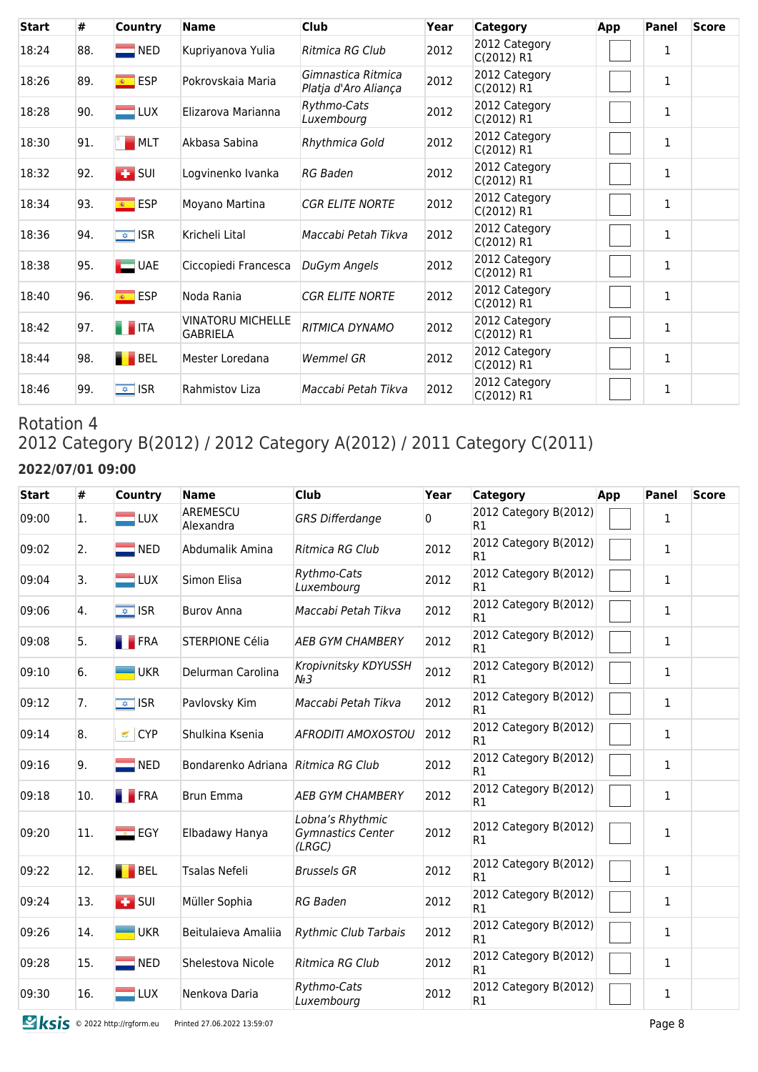| <b>Start</b> | #   | Country                  | <b>Name</b>                                 | <b>Club</b>                                | Year | Category                    | App | Panel        | <b>Score</b> |
|--------------|-----|--------------------------|---------------------------------------------|--------------------------------------------|------|-----------------------------|-----|--------------|--------------|
| 18:24        | 88. | $\blacksquare$ NED       | Kupriyanova Yulia                           | Ritmica RG Club                            | 2012 | 2012 Category<br>C(2012) R1 |     | $\mathbf{1}$ |              |
| 18:26        | 89. | $\overline{\bullet}$ ESP | Pokrovskaja Maria                           | Gimnastica Ritmica<br>Platja d'Aro Aliança | 2012 | 2012 Category<br>C(2012) R1 |     | 1            |              |
| 18:28        | 90. | $\blacksquare$ LUX       | Elizarova Marianna                          | Rythmo-Cats<br>Luxembourg                  | 2012 | 2012 Category<br>C(2012) R1 |     | 1            |              |
| 18:30        | 91. | MLT                      | Akbasa Sabina                               | Rhythmica Gold                             | 2012 | 2012 Category<br>C(2012) R1 |     | 1            |              |
| 18:32        | 92. | $\blacksquare$ SUI       | Logvinenko Ivanka                           | RG Baden                                   | 2012 | 2012 Category<br>C(2012) R1 |     | $\mathbf{1}$ |              |
| 18:34        | 93. | <sup>®</sup> ESP         | Moyano Martina                              | <b>CGR ELITE NORTE</b>                     | 2012 | 2012 Category<br>C(2012) R1 |     | 1            |              |
| 18:36        | 94. | $\sqrt{2}$ ISR           | Kricheli Lital                              | Maccabi Petah Tikva                        | 2012 | 2012 Category<br>C(2012) R1 |     | $\mathbf{1}$ |              |
| 18:38        | 95. | $\Box$ UAE               | Ciccopiedi Francesca                        | DuGym Angels                               | 2012 | 2012 Category<br>C(2012) R1 |     | 1            |              |
| 18:40        | 96. | $\overline{\bullet}$ ESP | Noda Rania                                  | <b>CGR ELITE NORTE</b>                     | 2012 | 2012 Category<br>C(2012) R1 |     | $\mathbf{1}$ |              |
| 18:42        | 97. | <b>THEFTA</b>            | <b>VINATORU MICHELLE</b><br><b>GABRIELA</b> | <b>RITMICA DYNAMO</b>                      | 2012 | 2012 Category<br>C(2012) R1 |     | $\mathbf{1}$ |              |
| 18:44        | 98. | BEL                      | Mester Loredana                             | Wemmel GR                                  | 2012 | 2012 Category<br>C(2012) R1 |     | $\mathbf{1}$ |              |
| 18:46        | 99. | $\sqrt{2}$ ISR           | Rahmistov Liza                              | Maccabi Petah Tikva                        | 2012 | 2012 Category<br>C(2012) R1 |     | $\mathbf{1}$ |              |

## Rotation 4 2012 Category B(2012) / 2012 Category A(2012) / 2011 Category C(2011) **2022/07/01 09:00**

| <b>Start</b> | #   | <b>Country</b>     | <b>Name</b>                        | <b>Club</b>                                     | Year         | <b>Category</b>             | App | <b>Panel</b> | <b>Score</b> |
|--------------|-----|--------------------|------------------------------------|-------------------------------------------------|--------------|-----------------------------|-----|--------------|--------------|
| 09:00        | 1.  | $\blacksquare$ LUX | AREMESCU<br>Alexandra              | <b>GRS Differdange</b>                          | $\mathbf{0}$ | 2012 Category B(2012)<br>R1 |     | $\mathbf{1}$ |              |
| 09:02        | 2.  | $\blacksquare$ NED | Abdumalik Amina                    | Ritmica RG Club                                 | 2012         | 2012 Category B(2012)<br>R1 |     | $\mathbf{1}$ |              |
| 09:04        | 3.  | $\blacksquare$ LUX | Simon Elisa                        | Rythmo-Cats<br>Luxembourg                       | 2012         | 2012 Category B(2012)<br>R1 |     | $\mathbf{1}$ |              |
| 09:06        | 4.  | $\sqrt{2}$ ISR     | <b>Burov Anna</b>                  | Maccabi Petah Tikva                             | 2012         | 2012 Category B(2012)<br>R1 |     | $\mathbf{1}$ |              |
| 09:08        | 5.  | <b>FRA</b>         | <b>STERPIONE Célia</b>             | <b>AEB GYM CHAMBERY</b>                         | 2012         | 2012 Category B(2012)<br>R1 |     | $\mathbf{1}$ |              |
| 09:10        | 6.  | <b>UKR</b>         | Delurman Carolina                  | Kropivnitsky KDYUSSH<br>$N2$ 3                  | 2012         | 2012 Category B(2012)<br>R1 |     | $\mathbf{1}$ |              |
| 09:12        | 7.  | $\sqrt{2}$ ISR     | Pavlovsky Kim                      | Maccabi Petah Tikva                             | 2012         | 2012 Category B(2012)<br>R1 |     | $\mathbf{1}$ |              |
| 09:14        | 8.  | CYP                | Shulkina Ksenia                    | <b>AFRODITI AMOXOSTOU</b>                       | 2012         | 2012 Category B(2012)<br>R1 |     | $\mathbf{1}$ |              |
| 09:16        | 9.  | $\blacksquare$ NED | Bondarenko Adriana Ritmica RG Club |                                                 | 2012         | 2012 Category B(2012)<br>R1 |     | $\mathbf{1}$ |              |
| 09:18        | 10. | <b>FRA</b>         | <b>Brun Emma</b>                   | <b>AEB GYM CHAMBERY</b>                         | 2012         | 2012 Category B(2012)<br>R1 |     | $\mathbf{1}$ |              |
| 09:20        | 11. | $\Box$ EGY         | Elbadawy Hanya                     | Lobna's Rhythmic<br>Gymnastics Center<br>(LRGC) | 2012         | 2012 Category B(2012)<br>R1 |     | $\mathbf 1$  |              |
| 09:22        | 12. | $\blacksquare$ BEL | Tsalas Nefeli                      | <b>Brussels GR</b>                              | 2012         | 2012 Category B(2012)<br>R1 |     | $\mathbf{1}$ |              |
| 09:24        | 13. | $\overline{1}$ SUI | Müller Sophia                      | <b>RG Baden</b>                                 | 2012         | 2012 Category B(2012)<br>R1 |     | $\mathbf{1}$ |              |
| 09:26        | 14. | <b>UKR</b>         | Beitulaieva Amaliia                | <b>Rythmic Club Tarbais</b>                     | 2012         | 2012 Category B(2012)<br>R1 |     | $\mathbf{1}$ |              |
| 09:28        | 15. | $\blacksquare$ NED | Shelestova Nicole                  | Ritmica RG Club                                 | 2012         | 2012 Category B(2012)<br>R1 |     | $\mathbf{1}$ |              |
| 09:30        | 16. | LUX                | Nenkova Daria                      | Rythmo-Cats<br>Luxembourg                       | 2012         | 2012 Category B(2012)<br>R1 |     | $\mathbf{1}$ |              |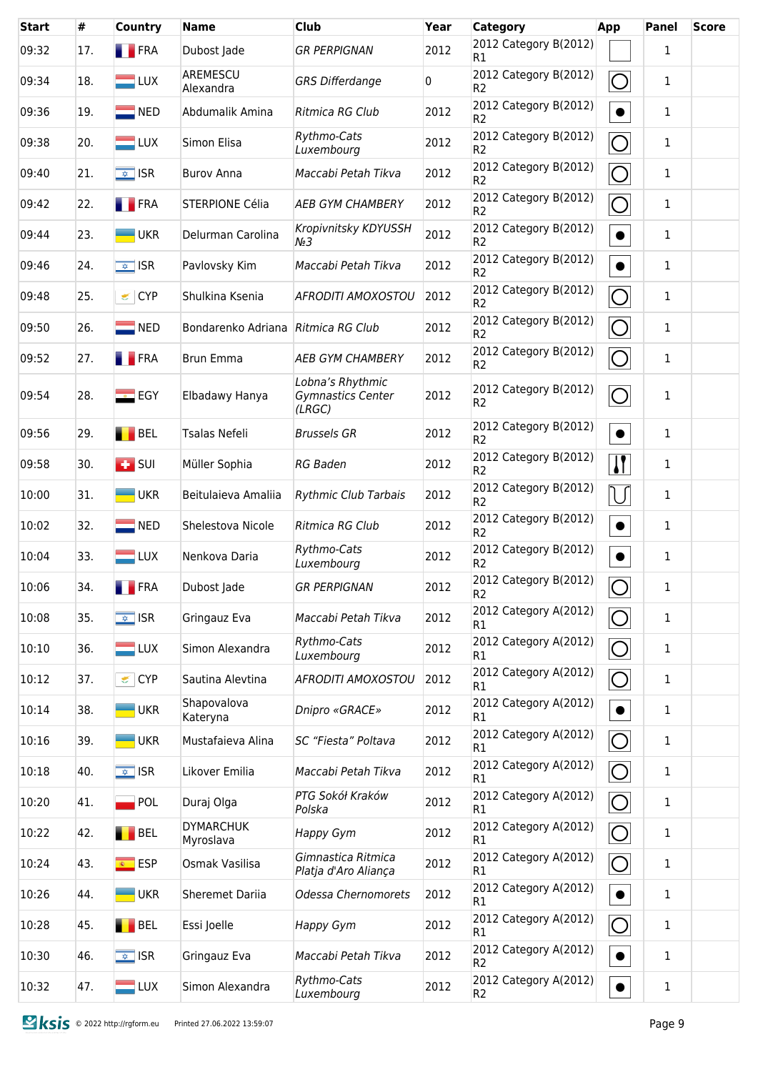| <b>Start</b> | #   | <b>Country</b>                   | <b>Name</b>                   | Club                                            | Year | Category                                | <b>App</b>                      | Panel        | <b>Score</b> |
|--------------|-----|----------------------------------|-------------------------------|-------------------------------------------------|------|-----------------------------------------|---------------------------------|--------------|--------------|
| 09:32        | 17. | <b>FRA</b>                       | Dubost Jade                   | <b>GR PERPIGNAN</b>                             | 2012 | 2012 Category B(2012)<br>R1             |                                 | 1            |              |
| 09:34        | 18. | $\blacksquare$ LUX               | AREMESCU<br>Alexandra         | <b>GRS Differdange</b>                          | 0    | 2012 Category B(2012)<br>R <sub>2</sub> | $\bigcirc$                      | $\mathbf{1}$ |              |
| 09:36        | 19. | $\blacksquare$ NED               | Abdumalik Amina               | Ritmica RG Club                                 | 2012 | 2012 Category B(2012)<br>R <sub>2</sub> | $\bullet$                       | 1            |              |
| 09:38        | 20. | $=$ LUX                          | Simon Elisa                   | Rythmo-Cats<br>Luxembourg                       | 2012 | 2012 Category B(2012)<br>R <sub>2</sub> | $\bigcirc$                      | 1            |              |
| 09:40        | 21. | $\sqrt{\frac{1}{2}}$ ISR         | <b>Burov Anna</b>             | Maccabi Petah Tikva                             | 2012 | 2012 Category B(2012)<br>R <sub>2</sub> | $\bigcirc$                      | 1            |              |
| 09:42        | 22. | <b>FRA</b>                       | STERPIONE Célia               | <b>AEB GYM CHAMBERY</b>                         | 2012 | 2012 Category B(2012)<br>R <sub>2</sub> | $\bigcirc$                      | 1            |              |
| 09:44        | 23. | <b>UKR</b>                       | Delurman Carolina             | Kropivnitsky KDYUSSH<br>$N2$ 3                  | 2012 | 2012 Category B(2012)<br>R <sub>2</sub> | $\bullet$                       | $\mathbf{1}$ |              |
| 09:46        | 24. | $\sqrt{\frac{1}{2}}$ ISR         | Pavlovsky Kim                 | Maccabi Petah Tikva                             | 2012 | 2012 Category B(2012)<br>R <sub>2</sub> | $\bullet$                       | $\mathbf{1}$ |              |
| 09:48        | 25. | CYP                              | Shulkina Ksenia               | <b>AFRODITI AMOXOSTOU</b>                       | 2012 | 2012 Category B(2012)<br>R <sub>2</sub> | $\overline{\bigcirc}$           | 1            |              |
| 09:50        | 26. | $\blacksquare$ NED               | Bondarenko Adriana            | Ritmica RG Club                                 | 2012 | 2012 Category B(2012)<br>R <sub>2</sub> | $\bigcirc$                      | 1            |              |
| 09:52        | 27. | <b>FRA</b>                       | <b>Brun Emma</b>              | <b>AEB GYM CHAMBERY</b>                         | 2012 | 2012 Category B(2012)<br>R <sub>2</sub> | $\bigcirc$                      | 1            |              |
| 09:54        | 28. | $E$ EGY                          | Elbadawy Hanya                | Lobna's Rhythmic<br>Gymnastics Center<br>(LRGC) | 2012 | 2012 Category B(2012)<br>R <sub>2</sub> | $\bigcirc$                      | 1            |              |
| 09:56        | 29. | BEL                              | Tsalas Nefeli                 | <b>Brussels GR</b>                              | 2012 | 2012 Category B(2012)<br>R <sub>2</sub> | $\bullet$                       | 1            |              |
| 09:58        | 30. | $\left  \frac{1}{2} \right $ SUI | Müller Sophia                 | <b>RG Baden</b>                                 | 2012 | 2012 Category B(2012)<br>R <sub>2</sub> | $\overline{\mathbf{I}}$         | 1            |              |
| 10:00        | 31. | <b>UKR</b><br><u>e and</u>       | Beitulaieva Amaliia           | <b>Rythmic Club Tarbais</b>                     | 2012 | 2012 Category B(2012)<br>R <sub>2</sub> | $\bigcup$                       | $\mathbf{1}$ |              |
| 10:02        | 32. | $\blacksquare$ NED               | Shelestova Nicole             | Ritmica RG Club                                 | 2012 | 2012 Category B(2012)<br>R <sub>2</sub> | $\bullet$                       | 1            |              |
| 10:04        | 33. | $\blacksquare$ LUX               | Nenkova Daria                 | Rythmo-Cats<br>Luxembourg                       | 2012 | 2012 Category B(2012)<br>R <sub>2</sub> | $\bullet$                       | 1            |              |
| 10:06        | 34. | $\blacksquare$ FRA               | Dubost Jade                   | <b>GR PERPIGNAN</b>                             | 2012 | 2012 Category B(2012)<br>R <sub>2</sub> | $\overline{\bigcirc}$<br>$\sim$ | 1            |              |
| 10:08        | 35. | $\overline{\bullet}$ ISR         | Gringauz Eva                  | Maccabi Petah Tikva                             | 2012 | 2012 Category A(2012)<br>R1             | $\overline{\bigcirc}$           | $\mathbf{1}$ |              |
| 10:10        | 36. | $\blacksquare$ LUX               | Simon Alexandra               | Rythmo-Cats<br>Luxembourg                       | 2012 | 2012 Category A(2012)<br>R1             | $\overline{O}$                  | $\mathbf 1$  |              |
| 10:12        | 37. | $\leq$ CYP                       | Sautina Alevtina              | <b>AFRODITI AMOXOSTOU</b>                       | 2012 | 2012 Category A(2012)<br>R1             | $\bigcirc$                      | $\mathbf{1}$ |              |
| 10:14        | 38. | <b>UKR</b>                       | Shapovalova<br>Kateryna       | Dnipro «GRACE»                                  | 2012 | 2012 Category A(2012)<br>R1             | $\bullet$                       | 1            |              |
| 10:16        | 39. | <b>UKR</b>                       | Mustafaieva Alina             | SC "Fiesta" Poltava                             | 2012 | 2012 Category A(2012)<br>R <sub>1</sub> | $\overline{O}$                  | $\mathbf 1$  |              |
| 10:18        | 40. | $\sqrt{\frac{1}{2}}$ ISR         | Likover Emilia                | Maccabi Petah Tikva                             | 2012 | 2012 Category A(2012)<br>R <sub>1</sub> | $\bigcirc$                      | 1            |              |
| 10:20        | 41. | $\blacksquare$ POL               | Duraj Olga                    | PTG Sokół Kraków<br>Polska                      | 2012 | 2012 Category A(2012)<br>R <sub>1</sub> | $\bigcirc$                      | 1            |              |
| 10:22        | 42. | BEL                              | <b>DYMARCHUK</b><br>Myroslava | Happy Gym                                       | 2012 | 2012 Category A(2012)<br>R1             | $\bigcirc$                      | $\mathbf 1$  |              |
| 10:24        | 43. | $\overline{\bullet}$ ESP         | Osmak Vasilisa                | Gimnastica Ritmica<br>Platja d'Aro Aliança      | 2012 | 2012 Category A(2012)<br>R1             | $\bigcirc$                      | $\mathbf{1}$ |              |
| 10:26        | 44. | <b>UKR</b>                       | Sheremet Dariia               | Odessa Chernomorets                             | 2012 | 2012 Category A(2012)<br>R1             | $\bullet$                       | $\mathbf{1}$ |              |
| 10:28        | 45. | BEL                              | Essi Joelle                   | Happy Gym                                       | 2012 | 2012 Category A(2012)<br>R1             | $\bigcirc$                      | $\mathbf{1}$ |              |
| 10:30        | 46. | $\sqrt{\frac{1}{2}}$ ISR         | Gringauz Eva                  | Maccabi Petah Tikva                             | 2012 | 2012 Category A(2012)<br>R <sub>2</sub> | $\bullet$                       | 1            |              |
| 10:32        | 47. | LUX                              | Simon Alexandra               | Rythmo-Cats<br>Luxembourg                       | 2012 | 2012 Category A(2012)<br>R <sub>2</sub> | $\bullet$                       | $\mathbf 1$  |              |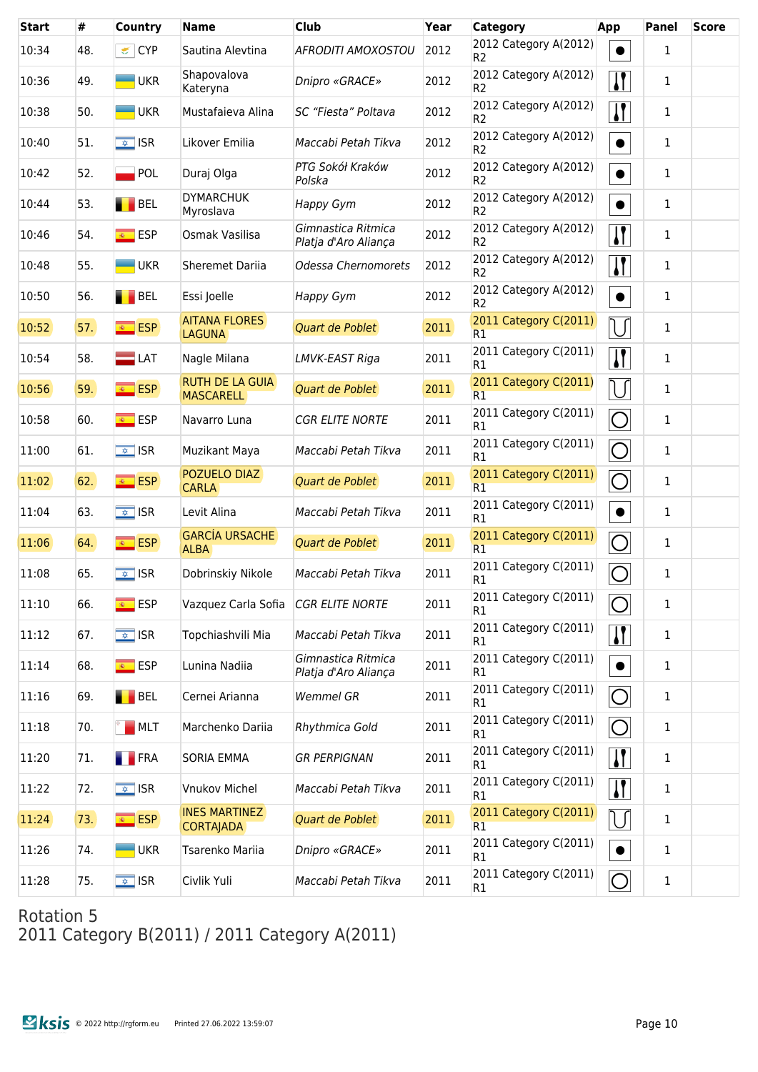| <b>Start</b> | #   | Country                  | <b>Name</b>                                | <b>Club</b>                                | Year | Category                                | App                     | <b>Panel</b> | <b>Score</b> |
|--------------|-----|--------------------------|--------------------------------------------|--------------------------------------------|------|-----------------------------------------|-------------------------|--------------|--------------|
| 10:34        | 48. | CYP                      | Sautina Alevtina                           | <b>AFRODITI AMOXOSTOU</b>                  | 2012 | 2012 Category A(2012)<br>R <sub>2</sub> | $\bullet$               | 1            |              |
| 10:36        | 49. | $\blacksquare$ UKR       | Shapovalova<br>Kateryna                    | Dnipro «GRACE»                             | 2012 | 2012 Category A(2012)<br>R <sub>2</sub> | $\prod$                 | 1            |              |
| 10:38        | 50. | $\blacksquare$ UKR       | Mustafaieva Alina                          | SC "Fiesta" Poltava                        | 2012 | 2012 Category A(2012)<br>R <sub>2</sub> | $\sqrt{1}$              | 1            |              |
| 10:40        | 51. | $\sqrt{2}$ ISR           | Likover Emilia                             | Maccabi Petah Tikva                        | 2012 | 2012 Category A(2012)<br>R <sub>2</sub> | $\bullet$               | 1            |              |
| 10:42        | 52. | POL                      | Duraj Olga                                 | PTG Sokół Kraków<br>Polska                 | 2012 | 2012 Category A(2012)<br>R <sub>2</sub> | $\bullet$               | $\mathbf{1}$ |              |
| 10:44        | 53. | $\blacksquare$ BEL       | <b>DYMARCHUK</b><br>Myroslava              | Happy Gym                                  | 2012 | 2012 Category A(2012)<br>R <sub>2</sub> | $\bullet$               | 1            |              |
| 10:46        | 54. | $\overline{\bullet}$ ESP | Osmak Vasilisa                             | Gimnastica Ritmica<br>Platja d'Aro Aliança | 2012 | 2012 Category A(2012)<br>R <sub>2</sub> | $\sqrt{ }$              | 1            |              |
| 10:48        | 55. | <b>UKR</b>               | <b>Sheremet Dariia</b>                     | Odessa Chernomorets                        | 2012 | 2012 Category A(2012)<br>R <sub>2</sub> | $\sqrt{1}$              | 1            |              |
| 10:50        | 56. | BEL                      | Essi Joelle                                | Happy Gym                                  | 2012 | 2012 Category A(2012)<br>R <sub>2</sub> | $\bullet$               | 1            |              |
| 10:52        | 57. | <b>ESP</b>               | <b>AITANA FLORES</b><br><b>LAGUNA</b>      | Quart de Poblet                            | 2011 | 2011 Category C(2011)<br>R1             | U                       | 1            |              |
| 10:54        | 58. | $\blacksquare$ LAT       | Nagle Milana                               | LMVK-EAST Riga                             | 2011 | 2011 Category C(2011)<br>R1             | $\overline{\mathbf{H}}$ | 1            |              |
| 10:56        | 59. | $\overline{\bullet}$ ESP | <b>RUTH DE LA GUIA</b><br><b>MASCARELL</b> | Quart de Poblet                            | 2011 | 2011 Category C(2011)<br>R1             | IJ                      | 1            |              |
| 10:58        | 60. | <b>ESP</b>               | Navarro Luna                               | <b>CGR ELITE NORTE</b>                     | 2011 | 2011 Category C(2011)<br>R1             | $\bigcirc$              | 1            |              |
| 11:00        | 61. | $\sqrt{2}$ ISR           | Muzikant Maya                              | Maccabi Petah Tikva                        | 2011 | 2011 Category C(2011)<br>R1             | $\overline{\bigcirc}$   | 1            |              |
| 11:02        | 62. | <b>ESP</b>               | POZUELO DIAZ<br><b>CARLA</b>               | Quart de Poblet                            | 2011 | 2011 Category C(2011)<br>R1             | $\overline{O}$          | 1            |              |
| 11:04        | 63. | $\sqrt{2}$ ISR           | Levit Alina                                | Maccabi Petah Tikva                        | 2011 | 2011 Category C(2011)<br>R1             | $\bullet$               | 1            |              |
| 11:06        | 64. | <b>ESP</b>               | <b>GARCÍA URSACHE</b><br><b>ALBA</b>       | Quart de Poblet                            | 2011 | 2011 Category C(2011)<br>R1             | O                       | 1            |              |
| 11:08        | 65. | $\sqrt{2}$ ISR           | Dobrinskiy Nikole                          | Maccabi Petah Tikva                        | 2011 | 2011 Category C(2011)<br>R1             | $\overline{O}$          | 1            |              |
| 11:10        | 66. | $\overline{\bullet}$ ESP | Vazquez Carla Sofia                        | <b>CGR ELITE NORTE</b>                     | 2011 | 2011 Category C(2011)<br>R1             | $\bigcirc$              | $\mathbf{1}$ |              |
| 11:12        | 67. | $\sqrt{2}$ ISR           | Topchiashvili Mia                          | Maccabi Petah Tikva                        | 2011 | 2011 Category C(2011)<br>R1             | $\mathbf{H}$            | 1            |              |
| 11:14        | 68. | <mark>⊛ ESP</mark>       | Lunina Nadiia                              | Gimnastica Ritmica<br>Platja d'Aro Aliança | 2011 | 2011 Category C(2011)<br>R1             | $\bullet$               | 1            |              |
| 11:16        | 69. | BEL                      | Cernei Arianna                             | <b>Wemmel GR</b>                           | 2011 | 2011 Category C(2011)<br>R1             | $\bigcirc$              | 1            |              |
| 11:18        | 70. | MLT                      | Marchenko Dariia                           | Rhythmica Gold                             | 2011 | 2011 Category C(2011)<br>R1             | O                       | 1            |              |
| 11:20        | 71. | <b>FRA</b>               | <b>SORIA EMMA</b>                          | <b>GR PERPIGNAN</b>                        | 2011 | 2011 Category C(2011)<br>R1             | $\mathbf{I}$            | 1            |              |
| 11:22        | 72. | $\sqrt{\frac{1}{2}}$ ISR | <b>Vnukov Michel</b>                       | Maccabi Petah Tikva                        | 2011 | 2011 Category C(2011)<br>R1             | $\mathbf{I}$            | 1            |              |
| 11:24        | 73. | <b>ESP</b>               | <b>INES MARTINEZ</b><br><b>CORTAJADA</b>   | Quart de Poblet                            | 2011 | 2011 Category C(2011)<br>R1             | $\bigcup$               | 1            |              |
| 11:26        | 74. | $\blacksquare$ UKR       | Tsarenko Mariia                            | Dnipro «GRACE»                             | 2011 | 2011 Category C(2011)<br>R1             | $\bullet$               | $\mathbf 1$  |              |
| 11:28        | 75. | $\sqrt{2}$ ISR           | Civlik Yuli                                | Maccabi Petah Tikva                        | 2011 | 2011 Category C(2011)<br>R1             | $\bigcirc$              | $\mathbf{1}$ |              |

2011 Category B(2011) / 2011 Category A(2011)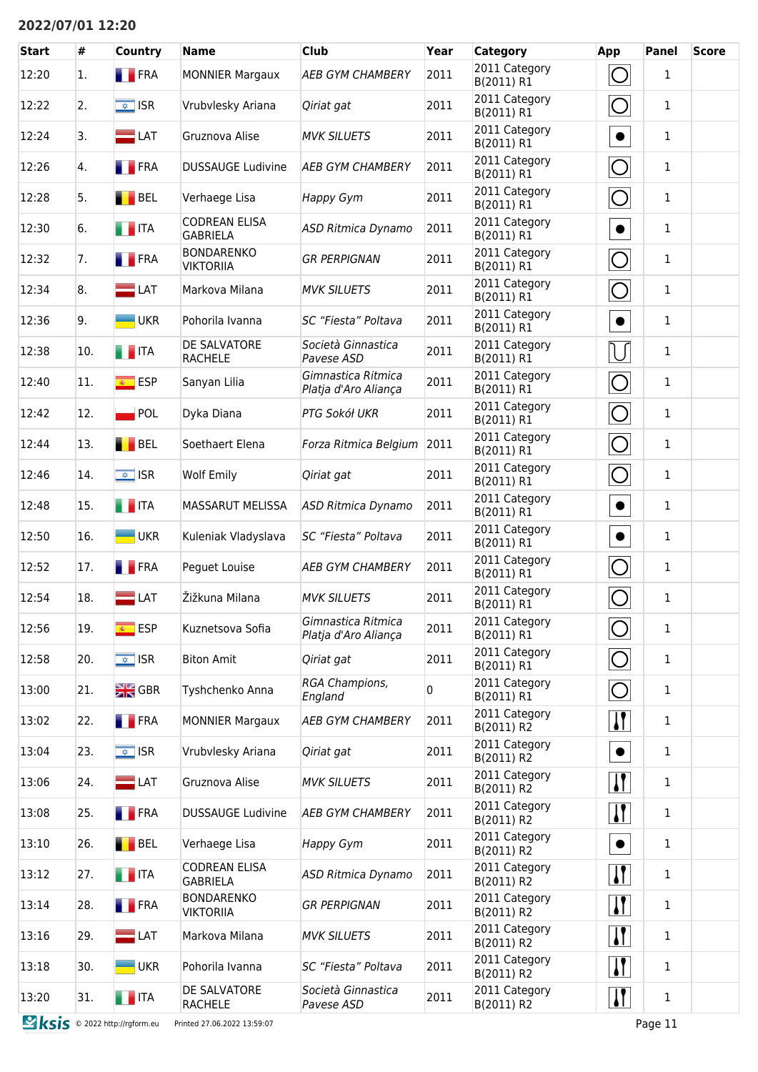## **2022/07/01 12:20**

| <b>Start</b>                         | #   | <b>Country</b>           | <b>Name</b>                             | <b>Club</b>                                | Year | Category                    | App                       | <b>Panel</b> | <b>Score</b> |
|--------------------------------------|-----|--------------------------|-----------------------------------------|--------------------------------------------|------|-----------------------------|---------------------------|--------------|--------------|
| 12:20                                | 1.  | <b>FRA</b>               | <b>MONNIER Margaux</b>                  | <b>AEB GYM CHAMBERY</b>                    | 2011 | 2011 Category<br>B(2011) R1 | O                         | 1            |              |
| 12:22                                | 2.  | $\sqrt{\frac{1}{2}}$ ISR | Vrubvlesky Ariana                       | Qiriat gat                                 | 2011 | 2011 Category<br>B(2011) R1 | O                         | $\mathbf{1}$ |              |
| 12:24                                | 3.  | $\blacksquare$ LAT       | Gruznova Alise                          | <b>MVK SILUETS</b>                         | 2011 | 2011 Category<br>B(2011) R1 | $\bullet$                 | $\mathbf{1}$ |              |
| 12:26                                | 4.  | <b>FRA</b>               | <b>DUSSAUGE Ludivine</b>                | <b>AEB GYM CHAMBERY</b>                    | 2011 | 2011 Category<br>B(2011) R1 | O                         | $\mathbf{1}$ |              |
| 12:28                                | 5.  | BEL                      | Verhaege Lisa                           | Happy Gym                                  | 2011 | 2011 Category<br>B(2011) R1 | O                         | $\mathbf{1}$ |              |
| 12:30                                | 6.  | $\blacksquare$ ITA       | <b>CODREAN ELISA</b><br><b>GABRIELA</b> | <b>ASD Ritmica Dynamo</b>                  | 2011 | 2011 Category<br>B(2011) R1 | $\bullet$                 | $\mathbf{1}$ |              |
| 12:32                                | 7.  | <b>FRA</b>               | <b>BONDARENKO</b><br><b>VIKTORIIA</b>   | <b>GR PERPIGNAN</b>                        | 2011 | 2011 Category<br>B(2011) R1 | $\bigcirc$                | $\mathbf{1}$ |              |
| 12:34                                | 8.  | $\blacksquare$ LAT       | Markova Milana                          | <b>MVK SILUETS</b>                         | 2011 | 2011 Category<br>B(2011) R1 | O                         | $\mathbf{1}$ |              |
| 12:36                                | 9.  | <b>UKR</b>               | Pohorila Ivanna                         | SC "Fiesta" Poltava                        | 2011 | 2011 Category<br>B(2011) R1 | $\bullet$                 | $\mathbf{1}$ |              |
| 12:38                                | 10. | $\blacksquare$ ITA       | DE SALVATORE<br><b>RACHELE</b>          | Società Ginnastica<br>Pavese ASD           | 2011 | 2011 Category<br>B(2011) R1 | U                         | 1            |              |
| 12:40                                | 11. | <b>ESP</b>               | Sanyan Lilia                            | Gimnastica Ritmica<br>Platja d'Aro Aliança | 2011 | 2011 Category<br>B(2011) R1 | O                         | 1            |              |
| 12:42                                | 12. | POL                      | Dyka Diana                              | PTG Sokół UKR                              | 2011 | 2011 Category<br>B(2011) R1 | $\bigcirc$                | 1            |              |
| 12:44                                | 13. | <b>BEL</b>               | Soethaert Elena                         | Forza Ritmica Belgium                      | 2011 | 2011 Category<br>B(2011) R1 | $\bigcirc$                | $\mathbf{1}$ |              |
| 12:46                                | 14. | $\overline{\bullet}$ ISR | <b>Wolf Emily</b>                       | Qiriat gat                                 | 2011 | 2011 Category<br>B(2011) R1 | O                         | 1            |              |
| 12:48                                | 15. | <b>THE TEA</b>           | <b>MASSARUT MELISSA</b>                 | <b>ASD Ritmica Dynamo</b>                  | 2011 | 2011 Category<br>B(2011) R1 | $\bullet$                 | $\mathbf{1}$ |              |
| 12:50                                | 16. | <b>UKR</b>               | Kuleniak Vladyslava                     | <b>SC "Fiesta" Poltava</b>                 | 2011 | 2011 Category<br>B(2011) R1 | $\bullet$                 | $\mathbf{1}$ |              |
| 12:52                                | 17. | <b>FRA</b>               | Peguet Louise                           | <b>AEB GYM CHAMBERY</b>                    | 2011 | 2011 Category<br>B(2011) R1 | $\bigcap$                 | 1            |              |
| 12:54                                | 18. | $=$ LAT                  | Žižkuna Milana                          | <b>MVK SILUETS</b>                         | 2011 | 2011 Category<br>B(2011) R1 | $\bigcirc$                | $\mathbf{1}$ |              |
| 12:56                                | 19. | $\overline{\bullet}$ ESP | Kuznetsova Sofia                        | Gimnastica Ritmica<br>Platja d'Aro Aliança | 2011 | 2011 Category<br>B(2011) R1 | $\bigcirc$                | 1            |              |
| 12:58                                | 20. | $\overline{\bullet}$ ISR | <b>Biton Amit</b>                       | Qiriat gat                                 | 2011 | 2011 Category<br>B(2011) R1 | $\bigcirc$                | $\mathbf{1}$ |              |
| 13:00                                | 21. | $\frac{N}{2N}$ GBR       | Tyshchenko Anna                         | RGA Champions,<br>England                  | 0    | 2011 Category<br>B(2011) R1 | $\bigcirc$                | 1            |              |
| 13:02                                | 22. | <b>FRA</b>               | <b>MONNIER Margaux</b>                  | <b>AEB GYM CHAMBERY</b>                    | 2011 | 2011 Category<br>B(2011) R2 | $\mathbf{I}$              | 1            |              |
| 13:04                                | 23. | $\sqrt{\frac{1}{2}}$ ISR | Vrubvlesky Ariana                       | Qiriat gat                                 | 2011 | 2011 Category<br>B(2011) R2 | $\bullet$                 | $\mathbf{1}$ |              |
| 13:06                                | 24. | $\blacksquare$ LAT       | Gruznova Alise                          | <b>MVK SILUETS</b>                         | 2011 | 2011 Category<br>B(2011) R2 | $\mathbf{H}$              | 1            |              |
| 13:08                                | 25. | <b>FRA</b>               | <b>DUSSAUGE Ludivine</b>                | <b>AEB GYM CHAMBERY</b>                    | 2011 | 2011 Category<br>B(2011) R2 | $\mathbf{H}$              | $\mathbf{1}$ |              |
| 13:10                                | 26. | BEL                      | Verhaege Lisa                           | Happy Gym                                  | 2011 | 2011 Category<br>B(2011) R2 | $\bullet$                 | $\mathbf{1}$ |              |
| 13:12                                | 27. | <b>THEFT</b>             | <b>CODREAN ELISA</b><br><b>GABRIELA</b> | <b>ASD Ritmica Dynamo</b>                  | 2011 | 2011 Category<br>B(2011) R2 | $\mathbf{H}$              | 1            |              |
| 13:14                                | 28. | <b>FRA</b>               | <b>BONDARENKO</b><br><b>VIKTORIIA</b>   | <b>GR PERPIGNAN</b>                        | 2011 | 2011 Category<br>B(2011) R2 | $\boldsymbol{\mathsf{N}}$ | $\mathbf{1}$ |              |
| 13:16                                | 29. | $\Box$ LAT               | Markova Milana                          | <b>MVK SILUETS</b>                         | 2011 | 2011 Category<br>B(2011) R2 | $\mathbf{H}$              | 1            |              |
| 13:18                                | 30. | <b>UKR</b>               | Pohorila Ivanna                         | SC "Fiesta" Poltava                        | 2011 | 2011 Category<br>B(2011) R2 | $\mathbf{H}$              | 1            |              |
| 13:20                                | 31. | $\blacksquare$ ITA       | DE SALVATORE<br><b>RACHELE</b>          | Società Ginnastica<br>Pavese ASD           | 2011 | 2011 Category<br>B(2011) R2 | $\mathbf{H}$              | $\mathbf 1$  |              |
| <b>Sksis</b> © 2022 http://rgform.eu |     |                          | Printed 27.06.2022 13:59:07             |                                            |      |                             |                           | Page 11      |              |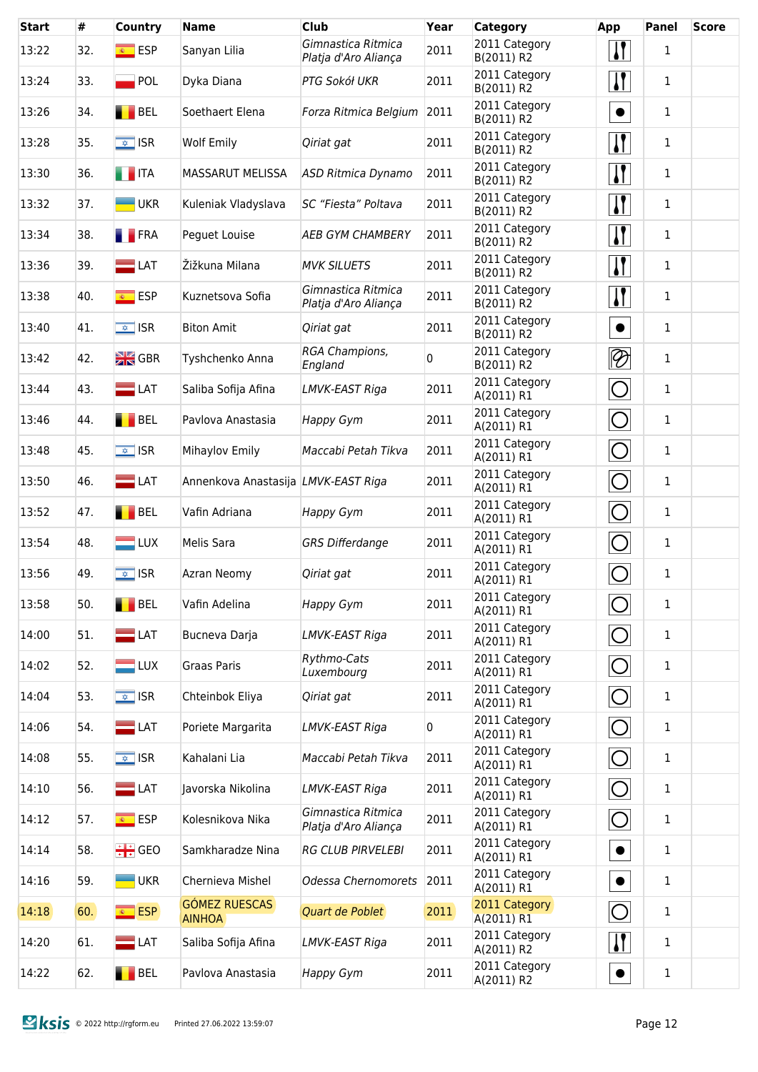| <b>Start</b> | #   | Country                  | <b>Name</b>                           | <b>Club</b>                                | Year | <b>Category</b>             | App                       | <b>Panel</b> | <b>Score</b> |
|--------------|-----|--------------------------|---------------------------------------|--------------------------------------------|------|-----------------------------|---------------------------|--------------|--------------|
| 13:22        | 32. | $\overline{\bullet}$ ESP | Sanyan Lilia                          | Gimnastica Ritmica<br>Platja d'Aro Aliança | 2011 | 2011 Category<br>B(2011) R2 | $\boldsymbol{\mathsf{N}}$ | $\mathbf{1}$ |              |
| 13:24        | 33. | $\blacksquare$ POL       | Dyka Diana                            | PTG Sokół UKR                              | 2011 | 2011 Category<br>B(2011) R2 | $\boldsymbol{\mathsf{I}}$ | 1            |              |
| 13:26        | 34. | BEL                      | Soethaert Elena                       | Forza Ritmica Belgium                      | 2011 | 2011 Category<br>B(2011) R2 | $\bullet$                 | $\mathbf{1}$ |              |
| 13:28        | 35. | $\sqrt{\frac{1}{2}}$ ISR | <b>Wolf Emily</b>                     | Qiriat gat                                 | 2011 | 2011 Category<br>B(2011) R2 | $\boldsymbol{\mathsf{I}}$ | $\mathbf{1}$ |              |
| 13:30        | 36. | <b>THEFTA</b>            | <b>MASSARUT MELISSA</b>               | <b>ASD Ritmica Dynamo</b>                  | 2011 | 2011 Category<br>B(2011) R2 | $\boldsymbol{\mathsf{I}}$ | $\mathbf{1}$ |              |
| 13:32        | 37. | <b>UKR</b>               | Kuleniak Vladyslava                   | SC "Fiesta" Poltava                        | 2011 | 2011 Category<br>B(2011) R2 | $\mathbf{\mathsf{N}}$     | $\mathbf 1$  |              |
| 13:34        | 38. | <b>FRA</b>               | Peguet Louise                         | <b>AEB GYM CHAMBERY</b>                    | 2011 | 2011 Category<br>B(2011) R2 | $\sqrt{ }$                | $\mathbf{1}$ |              |
| 13:36        | 39. | $\blacksquare$ LAT       | Žižkuna Milana                        | <b>MVK SILUETS</b>                         | 2011 | 2011 Category<br>B(2011) R2 | $\sqrt{ }$                | $\mathbf{1}$ |              |
| 13:38        | 40. | <u><sup>®</sup></u> ESP  | Kuznetsova Sofia                      | Gimnastica Ritmica<br>Platja d'Aro Aliança | 2011 | 2011 Category<br>B(2011) R2 | $\overline{\mathbf{H}}$   | $\mathbf{1}$ |              |
| 13:40        | 41. | $\sqrt{\frac{1}{2}}$ ISR | <b>Biton Amit</b>                     | Qiriat gat                                 | 2011 | 2011 Category<br>B(2011) R2 | $\bullet$                 | $\mathbf{1}$ |              |
| 13:42        | 42. | $\frac{N}{2N}$ GBR       | Tyshchenko Anna                       | RGA Champions,<br>England                  | 0    | 2011 Category<br>B(2011) R2 | $\overline{\mathscr{D}}$  | 1            |              |
| 13:44        | 43. | $\blacksquare$ LAT       | Saliba Sofija Afina                   | LMVK-EAST Riga                             | 2011 | 2011 Category<br>A(2011) R1 | $\overline{O}$            | $\mathbf{1}$ |              |
| 13:46        | 44. | <b>BEL</b>               | Pavlova Anastasia                     | <b>Happy Gym</b>                           | 2011 | 2011 Category<br>A(2011) R1 | $\overline{O}$            | $\mathbf 1$  |              |
| 13:48        | 45. | $\sqrt{\frac{1}{2}}$ ISR | Mihaylov Emily                        | Maccabi Petah Tikva                        | 2011 | 2011 Category<br>A(2011) R1 | $\overline{O}$            | $\mathbf{1}$ |              |
| 13:50        | 46. | $\blacksquare$ LAT       | Annenkova Anastasija LMVK-EAST Riga   |                                            | 2011 | 2011 Category<br>A(2011) R1 | $\overline{O}$            | $\mathbf{1}$ |              |
| 13:52        | 47. | BEL                      | Vafin Adriana                         | <b>Happy Gym</b>                           | 2011 | 2011 Category<br>A(2011) R1 | $\bigcirc$                | $\mathbf 1$  |              |
| 13:54        | 48. | $\Box$ LUX               | Melis Sara                            | <b>GRS Differdange</b>                     | 2011 | 2011 Category<br>A(2011) R1 | $\bigcirc$                | 1            |              |
| 13:56        | 49. | $\sqrt{\frac{1}{2}}$ ISR | Azran Neomy                           | Qiriat gat                                 | 2011 | 2011 Category<br>A(2011) R1 | $\bigcirc$                | $\mathbf 1$  |              |
| 13:58        | 50. | BEL                      | Vafin Adelina                         | Happy Gym                                  | 2011 | 2011 Category<br>A(2011) R1 | O                         | $\mathbf{1}$ |              |
| 14:00        | 51. | $\equiv$ LAT             | Bucneva Darja                         | LMVK-EAST Riga                             | 2011 | 2011 Category<br>A(2011) R1 | $\bigcirc$                | $\mathbf{1}$ |              |
| 14:02        | 52. | $\blacksquare$ LUX       | Graas Paris                           | Rythmo-Cats<br>Luxembourg                  | 2011 | 2011 Category<br>A(2011) R1 | $\bigcirc$                | $\mathbf{1}$ |              |
| 14:04        | 53. | $\sqrt{\frac{1}{2}}$ ISR | Chteinbok Eliya                       | Qiriat gat                                 | 2011 | 2011 Category<br>A(2011) R1 | $\bigcirc$                | $\mathbf{1}$ |              |
| 14:06        | 54. | $\blacksquare$ LAT       | Poriete Margarita                     | LMVK-EAST Riga                             | 0    | 2011 Category<br>A(2011) R1 | $\bigcirc$                | $\mathbf{1}$ |              |
| 14:08        | 55. | $\sqrt{2}$ ISR           | Kahalani Lia                          | Maccabi Petah Tikva                        | 2011 | 2011 Category<br>A(2011) R1 | $\bigcirc$                | $\mathbf{1}$ |              |
| 14:10        | 56. | $\blacksquare$ LAT       | Javorska Nikolina                     | LMVK-EAST Riga                             | 2011 | 2011 Category<br>A(2011) R1 | $\bigcirc$                | 1            |              |
| 14:12        | 57. | <mark>⊛ ESP</mark>       | Kolesnikova Nika                      | Gimnastica Ritmica<br>Platja d'Aro Aliança | 2011 | 2011 Category<br>A(2011) R1 | $\bigcirc$                | 1            |              |
| 14:14        | 58. | $\div$ GEO               | Samkharadze Nina                      | <b>RG CLUB PIRVELEBI</b>                   | 2011 | 2011 Category<br>A(2011) R1 | $\bullet$                 | 1            |              |
| 14:16        | 59. | <b>UKR</b>               | Chernieva Mishel                      | Odessa Chernomorets                        | 2011 | 2011 Category<br>A(2011) R1 | $\bullet$                 | 1            |              |
| 14:18        | 60. | <b>ESP</b>               | <b>GÓMEZ RUESCAS</b><br><b>AINHOA</b> | Quart de Poblet                            | 2011 | 2011 Category<br>A(2011) R1 | $\bigcirc$                | 1            |              |
| 14:20        | 61. | $\blacksquare$ LAT       | Saliba Sofija Afina                   | LMVK-EAST Riga                             | 2011 | 2011 Category<br>A(2011) R2 | $\mathbf{I}$              | 1            |              |
| 14:22        | 62. | BEL                      | Pavlova Anastasia                     | Happy Gym                                  | 2011 | 2011 Category<br>A(2011) R2 | $\bullet$                 | $\mathbf 1$  |              |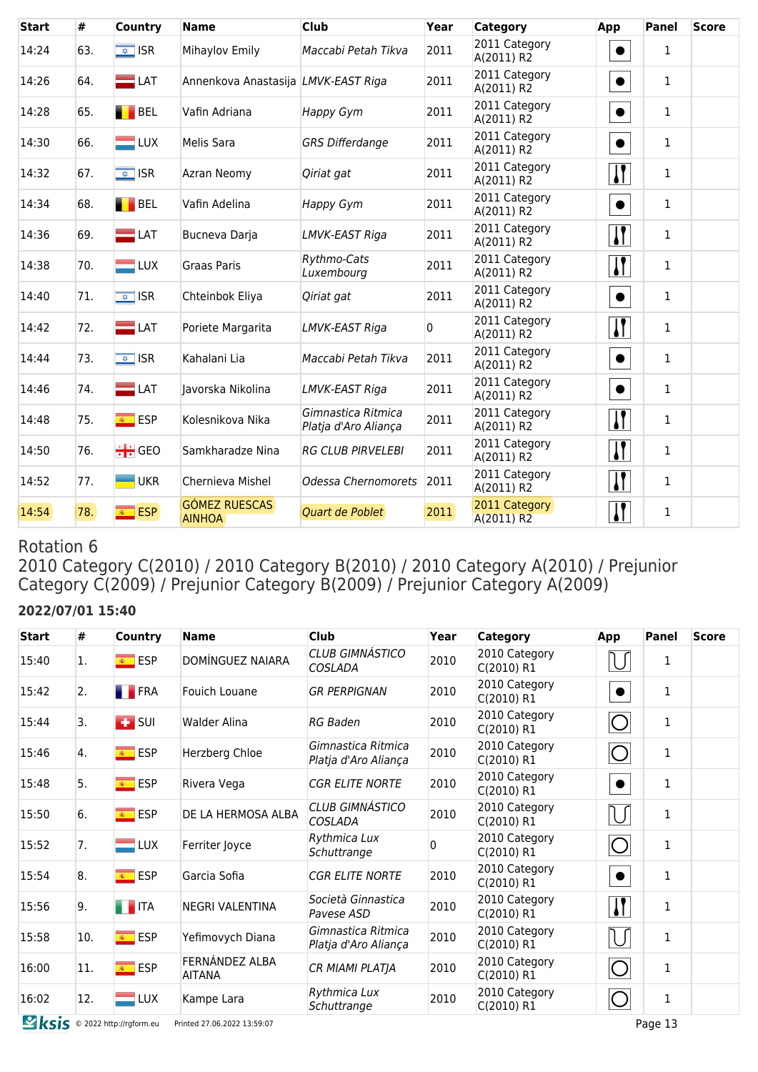| <b>Start</b> | #   | Country            | <b>Name</b>                           | <b>Club</b>                                | Year           | Category                    | App          | <b>Panel</b> | <b>Score</b> |
|--------------|-----|--------------------|---------------------------------------|--------------------------------------------|----------------|-----------------------------|--------------|--------------|--------------|
| 14:24        | 63. | $\sqrt{2}$ ISR     | Mihaylov Emily                        | Maccabi Petah Tikva                        | 2011           | 2011 Category<br>A(2011) R2 | $\bullet$    | $\mathbf{1}$ |              |
| 14:26        | 64. | $\equiv$ LAT       | Annenkova Anastasija LMVK-EAST Riga   |                                            | 2011           | 2011 Category<br>A(2011) R2 | $\bullet$    | $\mathbf{1}$ |              |
| 14:28        | 65. | <b>BEL</b>         | Vafin Adriana                         | <b>Happy Gym</b>                           | 2011           | 2011 Category<br>A(2011) R2 | $\bullet$    | $\mathbf{1}$ |              |
| 14:30        | 66. | $\Box$ LUX         | Melis Sara                            | <b>GRS Differdange</b>                     | 2011           | 2011 Category<br>A(2011) R2 | $\bullet$    | 1            |              |
| 14:32        | 67. | $\sqrt{2}$ ISR     | Azran Neomy                           | Qiriat gat                                 | 2011           | 2011 Category<br>A(2011) R2 | $\mathbf{I}$ | 1            |              |
| 14:34        | 68. | BEL                | Vafin Adelina                         | Happy Gym                                  | 2011           | 2011 Category<br>A(2011) R2 | $\bullet$    | 1            |              |
| 14:36        | 69. | $\equiv$ LAT       | Bucneva Darja                         | LMVK-EAST Riga                             | 2011           | 2011 Category<br>A(2011) R2 | $\mathbf{I}$ | $\mathbf{1}$ |              |
| 14:38        | 70. | $\blacksquare$ LUX | Graas Paris                           | Rythmo-Cats<br>Luxembourg                  | 2011           | 2011 Category<br>A(2011) R2 | $\mathbf{I}$ | 1            |              |
| 14:40        | 71. | $\sqrt{2}$ ISR     | Chteinbok Eliya                       | Qiriat gat                                 | 2011           | 2011 Category<br>A(2011) R2 | $\bullet$    | $\mathbf{1}$ |              |
| 14:42        | 72. | $\Box$ LAT         | Poriete Margarita                     | LMVK-EAST Riga                             | $\overline{0}$ | 2011 Category<br>A(2011) R2 | $\mathbf{I}$ | $\mathbf{1}$ |              |
| 14:44        | 73. | $\sqrt{2}$ ISR     | Kahalani Lia                          | Maccabi Petah Tikva                        | 2011           | 2011 Category<br>A(2011) R2 | $\bullet$    | $\mathbf{1}$ |              |
| 14:46        | 74. | $\equiv$ LAT       | Javorska Nikolina                     | LMVK-EAST Riga                             | 2011           | 2011 Category<br>A(2011) R2 | $\bullet$    | $\mathbf{1}$ |              |
| 14:48        | 75. | <sup>®</sup> ESP   | Kolesnikova Nika                      | Gimnastica Ritmica<br>Platja d'Aro Aliança | 2011           | 2011 Category<br>A(2011) R2 | $\mathbf{I}$ | $\mathbf{1}$ |              |
| 14:50        | 76. | $\div$ GEO         | Samkharadze Nina                      | <b>RG CLUB PIRVELEBI</b>                   | 2011           | 2011 Category<br>A(2011) R2 | $\mathbf{H}$ | $\mathbf{1}$ |              |
| 14:52        | 77. | <b>UKR</b>         | Chernieva Mishel                      | Odessa Chernomorets                        | 2011           | 2011 Category<br>A(2011) R2 | $\sqrt{1}$   | $\mathbf{1}$ |              |
| 14:54        | 78. | <b>ESP</b>         | <b>GÓMEZ RUESCAS</b><br><b>AINHOA</b> | <b>Quart de Poblet</b>                     | 2011           | 2011 Category<br>A(2011) R2 | $\mathbf{I}$ | $\mathbf{1}$ |              |

2010 Category C(2010) / 2010 Category B(2010) / 2010 Category A(2010) / Prejunior Category C(2009) / Prejunior Category B(2009) / Prejunior Category A(2009)

## **2022/07/01 15:40**

| <b>Start</b> | #   | <b>Country</b>           | <b>Name</b>                     | <b>Club</b>                                | Year | <b>Category</b>               | App                   | <b>Panel</b> | <b>Score</b> |
|--------------|-----|--------------------------|---------------------------------|--------------------------------------------|------|-------------------------------|-----------------------|--------------|--------------|
| 15:40        | 1.  | <mark>⊛ ESP</mark>       | DOMÍNGUEZ NAIARA                | <b>CLUB GIMNÁSTICO</b><br>COSLADA          | 2010 | 2010 Category<br>$C(2010)$ R1 |                       | 1            |              |
| 15:42        | 2.  | <b>FRA</b>               | Fouich Louane                   | <b>GR PERPIGNAN</b>                        | 2010 | 2010 Category<br>C(2010) R1   | $\bullet$             | 1            |              |
| 15:44        | 3.  | $\overline{1}$ SUI       | Walder Alina                    | RG Baden                                   | 2010 | 2010 Category<br>C(2010) R1   | $\bigcirc$            | 1            |              |
| 15:46        | 4.  | $\overline{\bullet}$ ESP | Herzberg Chloe                  | Gimnastica Ritmica<br>Platja d'Aro Aliança | 2010 | 2010 Category<br>C(2010) R1   | $\circlearrowright$   | 1            |              |
| 15:48        | 5.  | <sup>®</sup> ESP         | Rivera Vega                     | <b>CGR ELITE NORTE</b>                     | 2010 | 2010 Category<br>C(2010) R1   | $\bullet$             | 1            |              |
| 15:50        | 6.  | $\overline{\bullet}$ ESP | DE LA HERMOSA ALBA              | <b>CLUB GIMNÁSTICO</b><br>COSLADA          | 2010 | 2010 Category<br>C(2010) R1   | N                     | $\mathbf{1}$ |              |
| 15:52        | 7.  | $\blacksquare$ LUX       | Ferriter Joyce                  | Rythmica Lux<br>Schuttrange                |      | 2010 Category<br>C(2010) R1   | C                     | $\mathbf{1}$ |              |
| 15:54        | 8.  | $\overline{\bullet}$ ESP | Garcia Sofia                    | <b>CGR ELITE NORTE</b>                     | 2010 | 2010 Category<br>C(2010) R1   | $\bullet$             | $\mathbf{1}$ |              |
| 15:56        | 9.  | <b>THE ITA</b>           | NEGRI VALENTINA                 | Società Ginnastica<br>Pavese ASD           | 2010 | 2010 Category<br>C(2010) R1   | $\mathbf{\mathsf{N}}$ | $\mathbf{1}$ |              |
| 15:58        | 10. | <del>t</del> ESP         | Yefimovych Diana                | Gimnastica Ritmica<br>Platja d'Aro Aliança | 2010 | 2010 Category<br>C(2010) R1   | U                     | 1            |              |
| 16:00        | 11. | $\overline{\bullet}$ ESP | FERNÁNDEZ ALBA<br><b>AITANA</b> | CR MIAMI PLATJA                            | 2010 | 2010 Category<br>C(2010) R1   | $\circlearrowright$   | 1            |              |
| 16:02        | 12. | <b>LUX</b>               | Kampe Lara                      | Rythmica Lux<br>Schuttrange                | 2010 | 2010 Category<br>C(2010) R1   | $\mathcal{L}$         | 1            |              |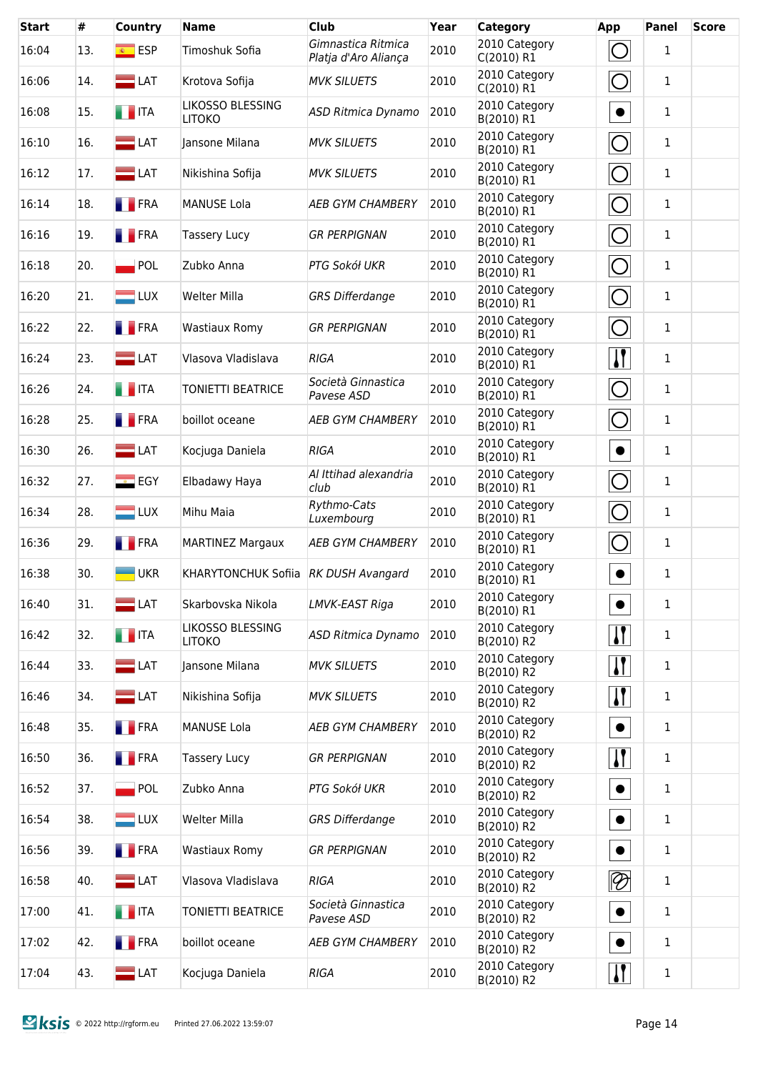| <b>Start</b> | #   | Country                      | <b>Name</b>                          | <b>Club</b>                                | Year | <b>Category</b>             | App                             | Panel        | <b>Score</b> |
|--------------|-----|------------------------------|--------------------------------------|--------------------------------------------|------|-----------------------------|---------------------------------|--------------|--------------|
| 16:04        | 13. | $\overline{\bullet}$ ESP     | Timoshuk Sofia                       | Gimnastica Ritmica<br>Platja d'Aro Aliança | 2010 | 2010 Category<br>C(2010) R1 | $\bigcirc$                      | $\mathbf{1}$ |              |
| 16:06        | 14. | $\blacksquare$ LAT           | Krotova Sofija                       | <b>MVK SILUETS</b>                         | 2010 | 2010 Category<br>C(2010) R1 | $\bigcirc$                      | $\mathbf{1}$ |              |
| 16:08        | 15. | $\blacksquare$ ITA           | LIKOSSO BLESSING<br><b>LITOKO</b>    | ASD Ritmica Dynamo                         | 2010 | 2010 Category<br>B(2010) R1 | $\bullet$                       | $\mathbf{1}$ |              |
| 16:10        | 16. | $\blacksquare$ LAT           | Jansone Milana                       | <b>MVK SILUETS</b>                         | 2010 | 2010 Category<br>B(2010) R1 | $\bigcirc$                      | $\mathbf{1}$ |              |
| 16:12        | 17. | $\blacksquare$ LAT           | Nikishina Sofija                     | <b>MVK SILUETS</b>                         | 2010 | 2010 Category<br>B(2010) R1 | $\bigcirc$                      | $\mathbf{1}$ |              |
| 16:14        | 18. | <b>FRA</b>                   | <b>MANUSE Lola</b>                   | <b>AEB GYM CHAMBERY</b>                    | 2010 | 2010 Category<br>B(2010) R1 | $\bigcirc$                      | $\mathbf{1}$ |              |
| 16:16        | 19. | <b>T</b> FRA                 | <b>Tassery Lucy</b>                  | <b>GR PERPIGNAN</b>                        | 2010 | 2010 Category<br>B(2010) R1 | $\bigcirc$                      | $\mathbf{1}$ |              |
| 16:18        | 20. | $\blacksquare$ POL           | Zubko Anna                           | PTG Sokół UKR                              | 2010 | 2010 Category<br>B(2010) R1 | $\bigcirc$                      | $\mathbf{1}$ |              |
| 16:20        | 21. | $\blacksquare$ LUX           | <b>Welter Milla</b>                  | <b>GRS Differdange</b>                     | 2010 | 2010 Category<br>B(2010) R1 | $\bigcirc$                      | $\mathbf{1}$ |              |
| 16:22        | 22. | <b>FRA</b>                   | <b>Wastiaux Romy</b>                 | <b>GR PERPIGNAN</b>                        | 2010 | 2010 Category<br>B(2010) R1 | $\bigcirc$                      | $\mathbf{1}$ |              |
| 16:24        | 23. | $\equiv$ LAT                 | Vlasova Vladislava                   | <b>RIGA</b>                                | 2010 | 2010 Category<br>B(2010) R1 | $\sqrt{1}$                      | $\mathbf{1}$ |              |
| 16:26        | 24. | <b>THEFT</b>                 | <b>TONIETTI BEATRICE</b>             | Società Ginnastica<br>Pavese ASD           | 2010 | 2010 Category<br>B(2010) R1 | $\bigcirc$                      | $\mathbf{1}$ |              |
| 16:28        | 25. | <b>FRA</b>                   | boillot oceane                       | <b>AEB GYM CHAMBERY</b>                    | 2010 | 2010 Category<br>B(2010) R1 | $\bigcirc$                      | $\mathbf{1}$ |              |
| 16:30        | 26. | $\blacksquare$ LAT           | Kocjuga Daniela                      | <b>RIGA</b>                                | 2010 | 2010 Category<br>B(2010) R1 | $\bullet$                       | $\mathbf{1}$ |              |
| 16:32        | 27. | $\overline{\phantom{a}}$ EGY | Elbadawy Haya                        | Al Ittihad alexandria<br>club              | 2010 | 2010 Category<br>B(2010) R1 | $\bigcirc$                      | $\mathbf{1}$ |              |
| 16:34        | 28. | $\Box$ LUX                   | Mihu Maia                            | Rythmo-Cats<br>Luxembourg                  | 2010 | 2010 Category<br>B(2010) R1 | $\bigcirc$                      | $\mathbf{1}$ |              |
| 16:36        | 29. | <b>FRA</b>                   | <b>MARTINEZ Margaux</b>              | <b>AEB GYM CHAMBERY</b>                    | 2010 | 2010 Category<br>B(2010) R1 | $\bigcirc$                      | $\mathbf{1}$ |              |
| 16:38        | 30. | <b>UKR</b>                   | KHARYTONCHUK Sofiia RK DUSH Avangard |                                            | 2010 | 2010 Category<br>B(2010) R1 | $\bullet$                       | $\mathbf{1}$ |              |
| 16:40        | 31. | $\blacksquare$ LAT           | Skarbovska Nikola                    | LMVK-EAST Riga                             | 2010 | 2010 Category<br>B(2010) R1 | $\bullet$                       | $\mathbf{1}$ |              |
| 16:42        | 32. | $\blacksquare$ ITA           | LIKOSSO BLESSING<br><b>LITOKO</b>    | ASD Ritmica Dynamo                         | 2010 | 2010 Category<br>B(2010) R2 | $\mathbf{I}$                    | $\mathbf{1}$ |              |
| 16:44        | 33. | $\blacksquare$ LAT           | Jansone Milana                       | <b>MVK SILUETS</b>                         | 2010 | 2010 Category<br>B(2010) R2 | $\mathbf{I}$                    | $\mathbf{1}$ |              |
| 16:46        | 34. | $\equiv$ LAT                 | Nikishina Sofija                     | <b>MVK SILUETS</b>                         | 2010 | 2010 Category<br>B(2010) R2 | $\mathbf{\mathbf{\mathcal{V}}}$ | $\mathbf{1}$ |              |
| 16:48        | 35. | <b>FRA</b>                   | <b>MANUSE Lola</b>                   | <b>AEB GYM CHAMBERY</b>                    | 2010 | 2010 Category<br>B(2010) R2 | $\bullet$                       | $\mathbf{1}$ |              |
| 16:50        | 36. | <b>FRA</b>                   | <b>Tassery Lucy</b>                  | <b>GR PERPIGNAN</b>                        | 2010 | 2010 Category<br>B(2010) R2 | $\boldsymbol{\eta}$             | 1            |              |
| 16:52        | 37. | POL                          | Zubko Anna                           | PTG Sokół UKR                              | 2010 | 2010 Category<br>B(2010) R2 | $\bullet$                       | $\mathbf{1}$ |              |
| 16:54        | 38. | $=$ LUX                      | <b>Welter Milla</b>                  | <b>GRS Differdange</b>                     | 2010 | 2010 Category<br>B(2010) R2 | $\bullet$                       | 1            |              |
| 16:56        | 39. | <b>FRA</b>                   | Wastiaux Romy                        | <b>GR PERPIGNAN</b>                        | 2010 | 2010 Category<br>B(2010) R2 | $\bullet$                       | 1            |              |
| 16:58        | 40. | $\equiv$ LAT                 | Vlasova Vladislava                   | RIGA                                       | 2010 | 2010 Category<br>B(2010) R2 | $\overline{\mathscr{D}}$        | 1            |              |
| 17:00        | 41. | <b>THE ITA</b>               | <b>TONIETTI BEATRICE</b>             | Società Ginnastica<br>Pavese ASD           | 2010 | 2010 Category<br>B(2010) R2 | $\bullet$                       | 1            |              |
| 17:02        | 42. | <b>FRA</b>                   | boillot oceane                       | <b>AEB GYM CHAMBERY</b>                    | 2010 | 2010 Category<br>B(2010) R2 | $\bullet$                       | 1            |              |
| 17:04        | 43. | $\blacksquare$ LAT           | Kocjuga Daniela                      | <b>RIGA</b>                                | 2010 | 2010 Category<br>B(2010) R2 | $\sqrt{1}$                      | $\mathbf{1}$ |              |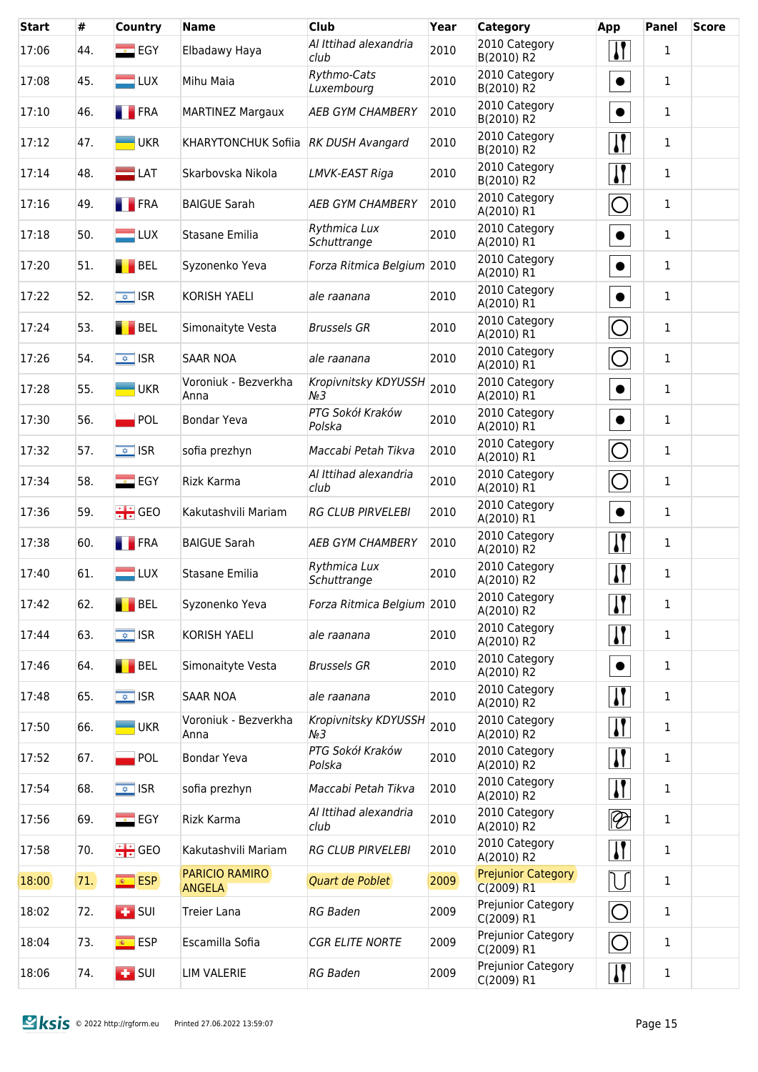| <b>Start</b> | #   | <b>Country</b>               | <b>Name</b>                            | <b>Club</b>                     | Year | <b>Category</b>                         | App                         | <b>Panel</b> | <b>Score</b> |
|--------------|-----|------------------------------|----------------------------------------|---------------------------------|------|-----------------------------------------|-----------------------------|--------------|--------------|
| 17:06        | 44. | $\overline{\phantom{a}}$ EGY | Elbadawy Haya                          | Al Ittihad alexandria<br>club   | 2010 | 2010 Category<br>B(2010) R2             | $\boldsymbol{\mathsf{N}}$   | $\mathbf{1}$ |              |
| 17:08        | 45. | $\blacksquare$ LUX           | Mihu Maia                              | Rythmo-Cats<br>Luxembourg       | 2010 | 2010 Category<br>B(2010) R2             | $\bullet$                   | 1            |              |
| 17:10        | 46. | $\blacksquare$ FRA           | <b>MARTINEZ Margaux</b>                | <b>AEB GYM CHAMBERY</b>         | 2010 | 2010 Category<br>B(2010) R2             | $\bullet$                   | $\mathbf{1}$ |              |
| 17:12        | 47. | <b>UKR</b>                   | KHARYTONCHUK Sofiia RK DUSH Avangard   |                                 | 2010 | 2010 Category<br>B(2010) R2             | $\boldsymbol{\mathsf{I}}$   | $\mathbf{1}$ |              |
| 17:14        | 48. | $\equiv$ LAT                 | Skarbovska Nikola                      | LMVK-EAST Riga                  | 2010 | 2010 Category<br>B(2010) R2             | $\mathbf{I}$                | 1            |              |
| 17:16        | 49. | <b>FRA</b>                   | <b>BAIGUE Sarah</b>                    | <b>AEB GYM CHAMBERY</b>         | 2010 | 2010 Category<br>A(2010) R1             | $\bigcirc$                  | $\mathbf{1}$ |              |
| 17:18        | 50. | $\blacksquare$ LUX           | Stasane Emilia                         | Rythmica Lux<br>Schuttrange     | 2010 | 2010 Category<br>A(2010) R1             | $\bullet$                   | $\mathbf{1}$ |              |
| 17:20        | 51. | BEL                          | Syzonenko Yeva                         | Forza Ritmica Belgium 2010      |      | 2010 Category<br>A(2010) R1             | $\bullet$                   | $\mathbf{1}$ |              |
| 17:22        | 52. | $\sqrt{2}$ ISR               | KORISH YAELI                           | ale raanana                     | 2010 | 2010 Category<br>A(2010) R1             | $\bullet$                   | $\mathbf 1$  |              |
| 17:24        | 53. | <b>BEL</b>                   | Simonaityte Vesta                      | <b>Brussels GR</b>              | 2010 | 2010 Category<br>A(2010) R1             | $\bigcirc$                  | $\mathbf{1}$ |              |
| 17:26        | 54. | $\sqrt{\frac{1}{2}}$ ISR     | <b>SAAR NOA</b>                        | ale raanana                     | 2010 | 2010 Category<br>A(2010) R1             | $\bigcirc$                  | $\mathbf{1}$ |              |
| 17:28        | 55. | <b>UKR</b>                   | Voroniuk - Bezverkha<br>Anna           | Kropivnitsky KDYUSSH<br>$N_2$ 3 | 2010 | 2010 Category<br>A(2010) R1             | $\bullet$                   | 1            |              |
| 17:30        | 56. | $\blacksquare$ POL           | <b>Bondar Yeva</b>                     | PTG Sokół Kraków<br>Polska      | 2010 | 2010 Category<br>A(2010) R1             | $\bullet$                   | 1            |              |
| 17:32        | 57. | $\sqrt{\frac{1}{2}}$ ISR     | sofia prezhyn                          | Maccabi Petah Tikva             | 2010 | 2010 Category<br>A(2010) R1             | $\overline{O}$              | 1            |              |
| 17:34        | 58. | $\overline{\phantom{a}}$ EGY | Rizk Karma                             | Al Ittihad alexandria<br>club   | 2010 | 2010 Category<br>A(2010) R1             | $\bigcirc$                  | 1            |              |
| 17:36        | 59. | $\div$ GEO                   | Kakutashvili Mariam                    | <b>RG CLUB PIRVELEBI</b>        | 2010 | 2010 Category<br>A(2010) R1             | $\bullet$                   | 1            |              |
| 17:38        | 60. | <b>FRA</b>                   | <b>BAIGUE Sarah</b>                    | <b>AEB GYM CHAMBERY</b>         | 2010 | 2010 Category<br>A(2010) R2             | $\sqrt{ }$                  | 1            |              |
| 17:40        | 61. | $\blacksquare$ LUX           | Stasane Emilia                         | Rythmica Lux<br>Schuttrange     | 2010 | 2010 Category<br>A(2010) R2             | $\mathbf{I}$                | 1            |              |
| 17:42        | 62. | BEL                          | Syzonenko Yeva                         | Forza Ritmica Belgium 2010      |      | 2010 Category<br>A(2010) R2             | $\mathbf{H}$                | 1            |              |
| 17:44        | 63. | $\sqrt{\frac{1}{2}}$ ISR     | KORISH YAELI                           | ale raanana                     | 2010 | 2010 Category<br>A(2010) R2             | $\mathbf{I}$                | $\mathbf{1}$ |              |
| 17:46        | 64. | BEL                          | Simonaityte Vesta                      | <b>Brussels GR</b>              | 2010 | 2010 Category<br>A(2010) R2             | $\bullet$                   | 1            |              |
| 17:48        | 65. | $\sqrt{2}$ ISR               | <b>SAAR NOA</b>                        | ale raanana                     | 2010 | 2010 Category<br>A(2010) R2             | $\mathbf{I}$                | $\mathbf{1}$ |              |
| 17:50        | 66. | $\blacksquare$ UKR           | Voroniuk - Bezverkha<br>Anna           | Kropivnitsky KDYUSSH<br>$N_2$ 3 | 2010 | 2010 Category<br>A(2010) R2             | $\boldsymbol{\mathsf{I}}$   | $\mathbf{1}$ |              |
| 17:52        | 67. | <b>POL</b>                   | Bondar Yeva                            | PTG Sokół Kraków<br>Polska      | 2010 | 2010 Category<br>A(2010) R2             | $\mathbf{I}$                | 1            |              |
| 17:54        | 68. | $\sqrt{2}$ ISR               | sofia prezhyn                          | Maccabi Petah Tikva             | 2010 | 2010 Category<br>A(2010) R2             | $\boldsymbol{\mathsf{I}}$   | $\mathbf{1}$ |              |
| 17:56        | 69. | $E$ EGY                      | Rizk Karma                             | Al Ittihad alexandria<br>club   | 2010 | 2010 Category<br>A(2010) R2             | $\lvert \mathcal{D} \rvert$ | 1            |              |
| 17:58        | 70. | $\div$ GEO                   | Kakutashvili Mariam                    | <b>RG CLUB PIRVELEBI</b>        | 2010 | 2010 Category<br>A(2010) R2             | $\mathbf{\mathcal{U}}$      | $\mathbf{1}$ |              |
| 18:00        | 71. | <b>ESP</b>                   | <b>PARICIO RAMIRO</b><br><b>ANGELA</b> | Quart de Poblet                 | 2009 | <b>Prejunior Category</b><br>C(2009) R1 | $\bigcup$                   | $\mathbf{1}$ |              |
| 18:02        | 72. | $\overline{1}$ SUI           | <b>Treier Lana</b>                     | <b>RG Baden</b>                 | 2009 | Prejunior Category<br>C(2009) R1        | $\bigcirc$                  | 1            |              |
| 18:04        | 73. | <u><sup>®</sup></u> ESP      | Escamilla Sofia                        | <b>CGR ELITE NORTE</b>          | 2009 | Prejunior Category<br>C(2009) R1        | $\bigcirc$                  | 1            |              |
| 18:06        | 74. | $\overline{1}$ SUI           | <b>LIM VALERIE</b>                     | <b>RG Baden</b>                 | 2009 | Prejunior Category<br>C(2009) R1        | $\boldsymbol{\eta}$         | $\mathbf 1$  |              |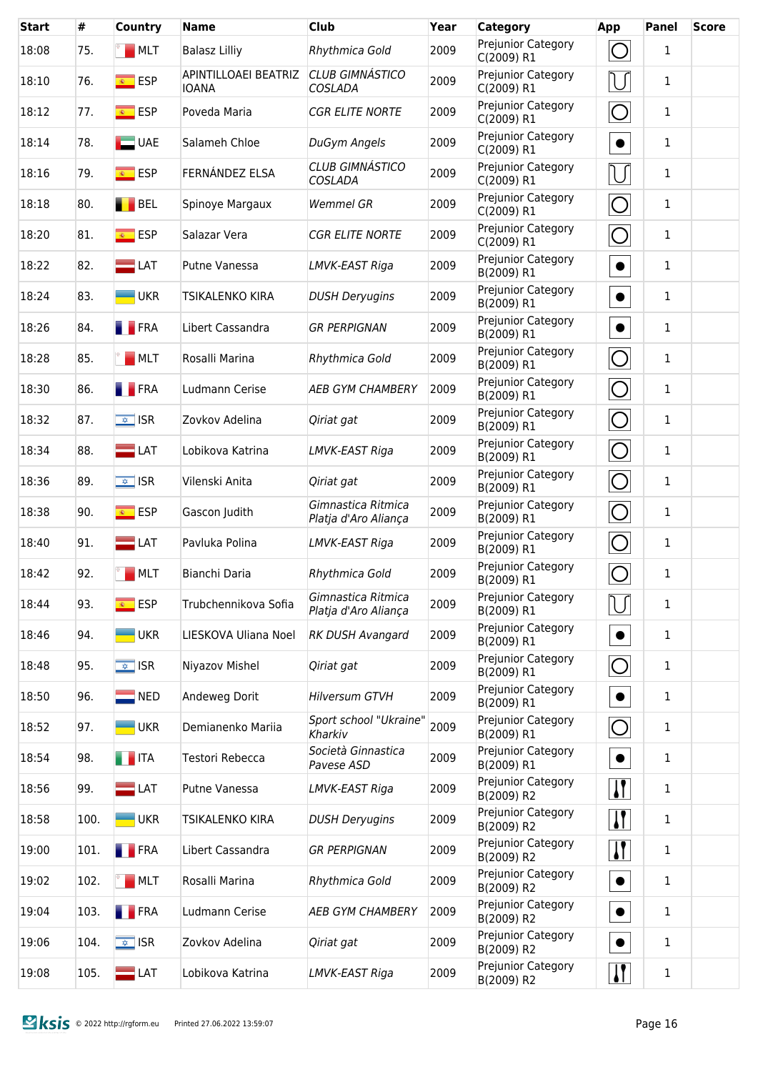| <b>Start</b> | #    | Country                  | <b>Name</b>                          | <b>Club</b>                                | Year | <b>Category</b>                  | App                             | Panel        | <b>Score</b> |
|--------------|------|--------------------------|--------------------------------------|--------------------------------------------|------|----------------------------------|---------------------------------|--------------|--------------|
| 18:08        | 75.  | MLT                      | <b>Balasz Lilliy</b>                 | Rhythmica Gold                             | 2009 | Prejunior Category<br>C(2009) R1 | $\bigcirc$                      | $\mathbf{1}$ |              |
| 18:10        | 76.  | $\overline{\bullet}$ ESP | APINTILLOAEI BEATRIZ<br><b>IOANA</b> | <b>CLUB GIMNÁSTICO</b><br>COSLADA          | 2009 | Prejunior Category<br>C(2009) R1 | U                               | 1            |              |
| 18:12        | 77.  | <b>ESP</b>               | Poveda Maria                         | <b>CGR ELITE NORTE</b>                     | 2009 | Prejunior Category<br>C(2009) R1 | $\bigcirc$                      | $\mathbf{1}$ |              |
| 18:14        | 78.  | $\Box$ UAE               | Salameh Chloe                        | DuGym Angels                               | 2009 | Prejunior Category<br>C(2009) R1 | $\bullet$                       | $\mathbf{1}$ |              |
| 18:16        | 79.  | <mark>⊛ ESP</mark>       | FERNÁNDEZ ELSA                       | <b>CLUB GIMNÁSTICO</b><br>COSLADA          | 2009 | Prejunior Category<br>C(2009) R1 | U                               | 1            |              |
| 18:18        | 80.  | <b>BEL</b>               | Spinoye Margaux                      | <b>Wemmel GR</b>                           | 2009 | Prejunior Category<br>C(2009) R1 | $\bigcirc$                      | $\mathbf{1}$ |              |
| 18:20        | 81.  | <mark>⊛ ESP</mark>       | Salazar Vera                         | <b>CGR ELITE NORTE</b>                     | 2009 | Prejunior Category<br>C(2009) R1 | $\overline{O}$                  | 1            |              |
| 18:22        | 82.  | $\blacksquare$ LAT       | Putne Vanessa                        | LMVK-EAST Riga                             | 2009 | Prejunior Category<br>B(2009) R1 | $\bullet$                       | $\mathbf{1}$ |              |
| 18:24        | 83.  | <b>UKR</b>               | <b>TSIKALENKO KIRA</b>               | <b>DUSH Deryugins</b>                      | 2009 | Prejunior Category<br>B(2009) R1 | $\bullet$                       | 1            |              |
| 18:26        | 84.  | <b>FRA</b>               | Libert Cassandra                     | <b>GR PERPIGNAN</b>                        | 2009 | Prejunior Category<br>B(2009) R1 | $\bullet$                       | $\mathbf{1}$ |              |
| 18:28        | 85.  | MLT                      | Rosalli Marina                       | Rhythmica Gold                             | 2009 | Prejunior Category<br>B(2009) R1 | $\overline{O}$                  | $\mathbf{1}$ |              |
| 18:30        | 86.  | <b>FRA</b>               | Ludmann Cerise                       | <b>AEB GYM CHAMBERY</b>                    | 2009 | Prejunior Category<br>B(2009) R1 | $\bigcirc$                      | $\mathbf{1}$ |              |
| 18:32        | 87.  | $\sqrt{\frac{1}{2}}$ ISR | Zovkov Adelina                       | Qiriat gat                                 | 2009 | Prejunior Category<br>B(2009) R1 | $\bigcirc$                      | $\mathbf{1}$ |              |
| 18:34        | 88.  | $\blacksquare$ LAT       | Lobikova Katrina                     | LMVK-EAST Riga                             | 2009 | Prejunior Category<br>B(2009) R1 | $\bigcirc$                      | $\mathbf{1}$ |              |
| 18:36        | 89.  | $\sqrt{\frac{1}{2}}$ ISR | Vilenski Anita                       | Qiriat gat                                 | 2009 | Prejunior Category<br>B(2009) R1 | $\bigcirc$                      | $\mathbf{1}$ |              |
| 18:38        | 90.  | <u><sup>®</sup></u> ESP  | Gascon Judith                        | Gimnastica Ritmica<br>Platja d'Aro Aliança | 2009 | Prejunior Category<br>B(2009) R1 | $\bigcirc$                      | $\mathbf{1}$ |              |
| 18:40        | 91.  | $\equiv$ LAT             | Pavluka Polina                       | LMVK-EAST Riga                             | 2009 | Prejunior Category<br>B(2009) R1 | $\bigcirc$                      | $\mathbf{1}$ |              |
| 18:42        | 92.  | <b>MLT</b>               | Bianchi Daria                        | Rhythmica Gold                             | 2009 | Prejunior Category<br>B(2009) R1 | $\bigcirc$                      | 1            |              |
| 18:44        | 93.  | <u><sup>⊛</sup>FSP</u>   | Trubchennikova Sofia                 | Gimnastica Ritmica<br>Platja d'Aro Aliança | 2009 | Prejunior Category<br>B(2009) R1 |                                 | $\mathbf{1}$ |              |
| 18:46        | 94.  | $-UKR$                   | LIESKOVA Uliana Noel                 | <b>RK DUSH Avangard</b>                    | 2009 | Prejunior Category<br>B(2009) R1 | $\bullet$                       | $\mathbf{1}$ |              |
| 18:48        | 95.  | $\sqrt{2}$ ISR           | Niyazov Mishel                       | Qiriat gat                                 | 2009 | Prejunior Category<br>B(2009) R1 | $\bigcirc$                      | $\mathbf{1}$ |              |
| 18:50        | 96.  | $\blacksquare$ NED       | Andeweg Dorit                        | <b>Hilversum GTVH</b>                      | 2009 | Prejunior Category<br>B(2009) R1 | $\bullet$                       | $\mathbf{1}$ |              |
| 18:52        | 97.  | <b>UKR</b>               | Demianenko Mariia                    | Sport school "Ukraine"<br>Kharkiv          | 2009 | Prejunior Category<br>B(2009) R1 | $\bigcirc$                      | $\mathbf{1}$ |              |
| 18:54        | 98.  | <b>THE ITA</b>           | Testori Rebecca                      | Società Ginnastica<br>Pavese ASD           | 2009 | Prejunior Category<br>B(2009) R1 | $\bullet$                       | $\mathbf 1$  |              |
| 18:56        | 99.  | $\blacksquare$ LAT       | Putne Vanessa                        | LMVK-EAST Riga                             | 2009 | Prejunior Category<br>B(2009) R2 | $\boldsymbol{\mu}$              | $\mathbf 1$  |              |
| 18:58        | 100. | <b>UKR</b>               | <b>TSIKALENKO KIRA</b>               | <b>DUSH Deryugins</b>                      | 2009 | Prejunior Category<br>B(2009) R2 | $\mathbf{H}$                    | $\mathbf 1$  |              |
| 19:00        | 101. | <b>FRA</b>               | Libert Cassandra                     | <b>GR PERPIGNAN</b>                        | 2009 | Prejunior Category<br>B(2009) R2 | $\mathbf{\mathbf{\mathcal{U}}}$ | 1            |              |
| 19:02        | 102. | MLT                      | Rosalli Marina                       | Rhythmica Gold                             | 2009 | Prejunior Category<br>B(2009) R2 | $\bullet$                       | 1            |              |
| 19:04        | 103. | <b>FRA</b>               | Ludmann Cerise                       | <b>AEB GYM CHAMBERY</b>                    | 2009 | Prejunior Category<br>B(2009) R2 | $\bullet$                       | 1            |              |
| 19:06        | 104. | $\sqrt{\frac{1}{2}}$ ISR | Zovkov Adelina                       | Qiriat gat                                 | 2009 | Prejunior Category<br>B(2009) R2 | $\bullet$                       | 1            |              |
| 19:08        | 105. | $\blacksquare$ LAT       | Lobikova Katrina                     | LMVK-EAST Riga                             | 2009 | Prejunior Category<br>B(2009) R2 | $\mathbf{\mathcal{U}}$          | $\mathbf{1}$ |              |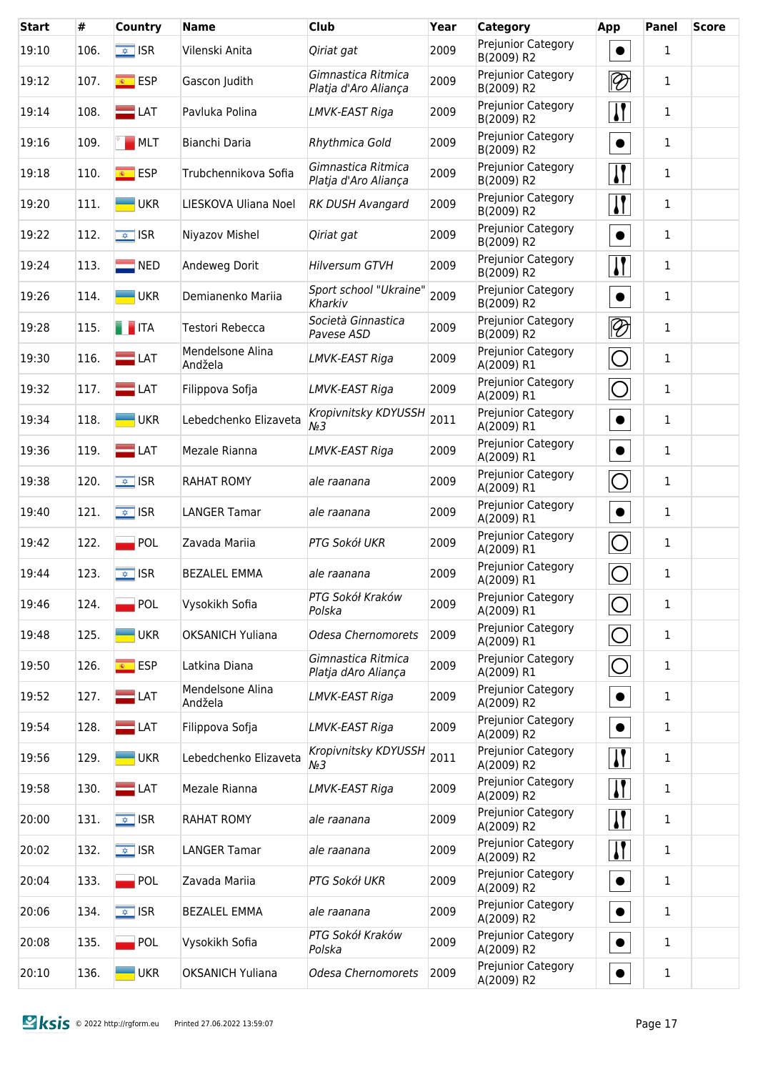| <b>Start</b> | #    | Country                  | <b>Name</b>                 | <b>Club</b>                                | Year | <b>Category</b>                  | <b>App</b>                  | Panel        | <b>Score</b> |
|--------------|------|--------------------------|-----------------------------|--------------------------------------------|------|----------------------------------|-----------------------------|--------------|--------------|
| 19:10        | 106. | $\sqrt{2}$ ISR           | Vilenski Anita              | Qiriat gat                                 | 2009 | Prejunior Category<br>B(2009) R2 | $\bullet$                   | 1            |              |
| 19:12        | 107. | <u><sup>®</sup></u> ESP  | Gascon Judith               | Gimnastica Ritmica<br>Platja d'Aro Aliança | 2009 | Prejunior Category<br>B(2009) R2 | $\lvert \mathcal{D} \rvert$ | $\mathbf{1}$ |              |
| 19:14        | 108. | $\blacksquare$ LAT       | Pavluka Polina              | LMVK-EAST Riga                             | 2009 | Prejunior Category<br>B(2009) R2 | <u>  </u>                   | 1            |              |
| 19:16        | 109. | MLT                      | Bianchi Daria               | Rhythmica Gold                             | 2009 | Prejunior Category<br>B(2009) R2 | $\bullet$                   | $\mathbf{1}$ |              |
| 19:18        | 110. | <b>ESP</b>               | Trubchennikova Sofia        | Gimnastica Ritmica<br>Platja d'Aro Aliança | 2009 | Prejunior Category<br>B(2009) R2 | <u> }</u>                   | $\mathbf{1}$ |              |
| 19:20        | 111. | $-UKR$                   | LIESKOVA Uliana Noel        | <b>RK DUSH Avangard</b>                    | 2009 | Prejunior Category<br>B(2009) R2 | $\mathbf{H}$                | 1            |              |
| 19:22        | 112. | $\sqrt{\frac{1}{2}}$ ISR | Niyazov Mishel              | Qiriat gat                                 | 2009 | Prejunior Category<br>B(2009) R2 | $\bullet$                   | $\mathbf{1}$ |              |
| 19:24        | 113. | $\blacksquare$ NED       | Andeweg Dorit               | <b>Hilversum GTVH</b>                      | 2009 | Prejunior Category<br>B(2009) R2 | <u> }</u>                   | $\mathbf{1}$ |              |
| 19:26        | 114. | <b>UKR</b>               | Demianenko Mariia           | Sport school "Ukraine"<br>Kharkiv          | 2009 | Prejunior Category<br>B(2009) R2 | $\bullet$                   | $\mathbf{1}$ |              |
| 19:28        | 115. | $\blacksquare$ ITA       | Testori Rebecca             | Società Ginnastica<br>Pavese ASD           | 2009 | Prejunior Category<br>B(2009) R2 | $\overline{\mathfrak{P}}$   | 1            |              |
| 19:30        | 116. | $\blacksquare$ LAT       | Mendelsone Alina<br>Andžela | LMVK-EAST Riga                             | 2009 | Prejunior Category<br>A(2009) R1 | $\bigcirc$                  | 1            |              |
| 19:32        | 117. | $\blacksquare$ LAT       | Filippova Sofja             | LMVK-EAST Riga                             | 2009 | Prejunior Category<br>A(2009) R1 | $\bigcirc$                  | 1            |              |
| 19:34        | 118. | <b>UKR</b>               | Lebedchenko Elizaveta       | Kropivnitsky KDYUSSH<br>M∘3                | 2011 | Prejunior Category<br>A(2009) R1 | $\bullet$                   | $\mathbf{1}$ |              |
| 19:36        | 119. | $\Box$ LAT               | Mezale Rianna               | LMVK-EAST Riga                             | 2009 | Prejunior Category<br>A(2009) R1 | $\bullet$                   | $\mathbf{1}$ |              |
| 19:38        | 120. | $\sqrt{\frac{1}{2}}$ ISR | <b>RAHAT ROMY</b>           | ale raanana                                | 2009 | Prejunior Category<br>A(2009) R1 | $\bigcirc$                  | 1            |              |
| 19:40        | 121. | $\sqrt{2}$ ISR           | <b>LANGER Tamar</b>         | ale raanana                                | 2009 | Prejunior Category<br>A(2009) R1 | $\bullet$                   | 1            |              |
| 19:42        | 122. | $\blacksquare$ POL       | Zavada Mariia               | PTG Sokół UKR                              | 2009 | Prejunior Category<br>A(2009) R1 | $\bigcirc$                  | 1            |              |
| 19:44        | 123. | $\sqrt{2}$ ISR           | <b>BEZALEL EMMA</b>         | ale raanana                                | 2009 | Prejunior Category<br>A(2009) R1 | O                           | 1            |              |
| 19:46        | 124. | <b>POL</b>               | Vysokikh Sofia              | PTG Sokół Kraków<br>Polska                 | 2009 | Prejunior Category<br>A(2009) R1 | ◯                           | $\mathbf{1}$ |              |
| 19:48        | 125. | <b>UKR</b>               | <b>OKSANICH Yuliana</b>     | Odesa Chernomorets                         | 2009 | Prejunior Category<br>A(2009) R1 | O                           | $\mathbf{1}$ |              |
| 19:50        | 126. | <u><sup>®</sup></u> ESP  | Latkina Diana               | Gimnastica Ritmica<br>Platja dAro Aliança  | 2009 | Prejunior Category<br>A(2009) R1 | $\bigcirc$                  | $\mathbf{1}$ |              |
| 19:52        | 127. | $\equiv$ LAT             | Mendelsone Alina<br>Andžela | LMVK-EAST Riga                             | 2009 | Prejunior Category<br>A(2009) R2 | $\bullet$                   | 1            |              |
| 19:54        | 128. | $\blacksquare$ LAT       | Filippova Sofja             | LMVK-EAST Riga                             | 2009 | Prejunior Category<br>A(2009) R2 | $\bullet$                   | 1            |              |
| 19:56        | 129. | $\blacksquare$ UKR       | Lebedchenko Elizaveta       | Kropivnitsky KDYUSSH<br>$N_2$ 3            | 2011 | Prejunior Category<br>A(2009) R2 | <u> }</u>                   | 1            |              |
| 19:58        | 130. | $\blacksquare$ LAT       | Mezale Rianna               | LMVK-EAST Riga                             | 2009 | Prejunior Category<br>A(2009) R2 | $\mathbf{H}$                | 1            |              |
| 20:00        | 131. | $\sqrt{\frac{1}{2}}$ ISR | <b>RAHAT ROMY</b>           | ale raanana                                | 2009 | Prejunior Category<br>A(2009) R2 | <u> }</u>                   | 1            |              |
| 20:02        | 132. | $\sqrt{\frac{1}{2}}$ ISR | <b>LANGER Tamar</b>         | ale raanana                                | 2009 | Prejunior Category<br>A(2009) R2 | <u> }</u>                   | $\mathbf{1}$ |              |
| 20:04        | 133. | POL                      | Zavada Mariia               | PTG Sokół UKR                              | 2009 | Prejunior Category<br>A(2009) R2 | $\bullet$                   | $\mathbf{1}$ |              |
| 20:06        | 134. | $\overline{\bullet}$ ISR | <b>BEZALEL EMMA</b>         | ale raanana                                | 2009 | Prejunior Category<br>A(2009) R2 | $\bullet$                   | $\mathbf{1}$ |              |
| 20:08        | 135. | $\blacksquare$ POL       | Vysokikh Sofia              | PTG Sokół Kraków<br>Polska                 | 2009 | Prejunior Category<br>A(2009) R2 | $\bullet$                   | $\mathbf{1}$ |              |
| 20:10        | 136. | <b>UKR</b>               | <b>OKSANICH Yuliana</b>     | Odesa Chernomorets                         | 2009 | Prejunior Category<br>A(2009) R2 | $\bullet$                   | $\mathbf 1$  |              |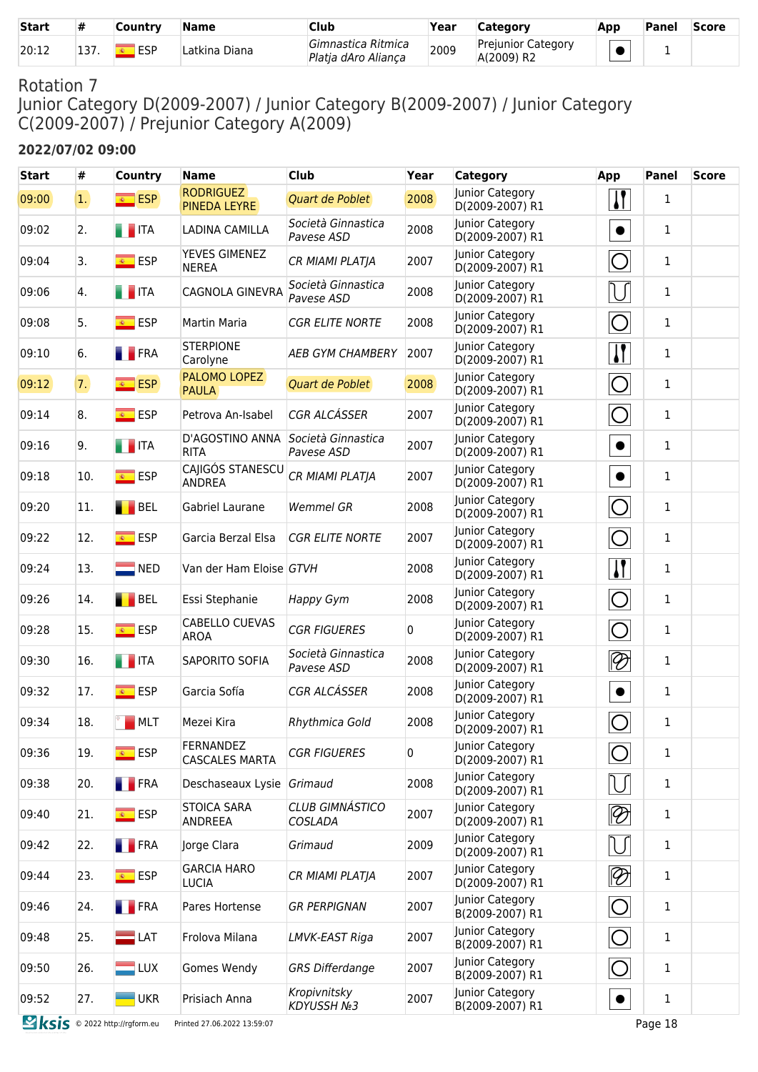| <b>Start</b> |      | Country    | Name          | <b>Club</b>                               | Year | Category                                | <b>Apr</b> | <b>Panel</b> | <b>Score</b> |
|--------------|------|------------|---------------|-------------------------------------------|------|-----------------------------------------|------------|--------------|--------------|
| 20:12        | ، ر⊥ | <b>ESP</b> | Latkina Diana | Gimnastica Ritmica<br>Platia dAro Alianca | 2009 | <b>Prejunior Category</b><br>A(2009) R2 |            |              |              |

Junior Category D(2009-2007) / Junior Category B(2009-2007) / Junior Category C(2009-2007) / Prejunior Category A(2009)

#### **2022/07/02 09:00**

| #   | <b>Country</b>                        | <b>Name</b>                               | <b>Club</b>                      | Year                                                                       | <b>Category</b>                    | App                         | <b>Panel</b> | <b>Score</b> |
|-----|---------------------------------------|-------------------------------------------|----------------------------------|----------------------------------------------------------------------------|------------------------------------|-----------------------------|--------------|--------------|
| 1   | <b>ESP</b>                            | <b>PINEDA LEYRE</b>                       | Quart de Poblet                  | 2008                                                                       | Junior Category<br>D(2009-2007) R1 | $\mathbf{I}$                | 1            |              |
| 2.  | <b>THEFT</b>                          | <b>LADINA CAMILLA</b>                     | Società Ginnastica<br>Pavese ASD | 2008                                                                       | Junior Category<br>D(2009-2007) R1 | $\bullet$                   | $\mathbf{1}$ |              |
| 3.  | <sup>®</sup> ESP                      | YEVES GIMENEZ<br><b>NEREA</b>             | CR MIAMI PLATJA                  | 2007                                                                       | Junior Category<br>D(2009-2007) R1 | O                           | 1            |              |
| 4.  | <b>THEFT</b>                          | CAGNOLA GINEVRA                           | Società Ginnastica<br>Pavese ASD | 2008                                                                       | Junior Category<br>D(2009-2007) R1 | IJ                          | 1            |              |
| 5.  | <mark>⊛ ESP</mark>                    | Martin Maria                              | <b>CGR ELITE NORTE</b>           | 2008                                                                       | Junior Category<br>D(2009-2007) R1 | $\bigcirc$                  | 1            |              |
| 6.  | <b>FRA</b>                            | <b>STERPIONE</b><br>Carolyne              | <b>AEB GYM CHAMBERY</b>          | 2007                                                                       | Junior Category<br>D(2009-2007) R1 | $\mathbf{I}$                | 1            |              |
| 7.  | <b>ESP</b>                            | PALOMO LOPEZ<br><b>PAULA</b>              | Quart de Poblet                  | 2008                                                                       | Junior Category<br>D(2009-2007) R1 | $\bigcirc$                  | 1            |              |
| 8.  | <mark>⊛ ESP</mark>                    | Petrova An-Isabel                         | <b>CGR ALCÁSSER</b>              | 2007                                                                       | Junior Category<br>D(2009-2007) R1 | O                           | 1            |              |
| 9.  | <b>THE ITA</b>                        | D'AGOSTINO ANNA<br><b>RITA</b>            | Pavese ASD                       | 2007                                                                       | Junior Category<br>D(2009-2007) R1 | $\bullet$                   | 1            |              |
| 10. | <b>ESP</b><br>$\overline{\bullet}$    | CAJIGÓS STANESCU<br><b>ANDREA</b>         | CR MIAMI PLATJA                  | 2007                                                                       | Junior Category<br>D(2009-2007) R1 | $\bullet$                   | 1            |              |
| 11. | BEL                                   | Gabriel Laurane                           | <b>Wemmel GR</b>                 | 2008                                                                       | Junior Category<br>D(2009-2007) R1 | ◯                           | 1            |              |
| 12. | <b>ESP</b><br>$\overline{\mathbf{R}}$ | Garcia Berzal Elsa                        | <b>CGR ELITE NORTE</b>           | 2007                                                                       | Junior Category<br>D(2009-2007) R1 | $\bigcirc$                  | 1            |              |
| 13. | $\blacksquare$ NED                    |                                           |                                  | 2008                                                                       | Junior Category<br>D(2009-2007) R1 | $\mathbf{I}$                | 1            |              |
| 14. | BEL                                   | Essi Stephanie                            | Happy Gym                        | 2008                                                                       | Junior Category<br>D(2009-2007) R1 | $\bigcirc$                  | 1            |              |
| 15. | <mark>⊛ ESP</mark>                    | <b>CABELLO CUEVAS</b><br><b>AROA</b>      | <b>CGR FIGUERES</b>              | 0                                                                          | Junior Category<br>D(2009-2007) R1 | O                           | 1            |              |
| 16. | <b>THE ITA</b>                        | SAPORITO SOFIA                            | Società Ginnastica<br>Pavese ASD | 2008                                                                       | Junior Category<br>D(2009-2007) R1 | $\lvert \mathcal{D} \rvert$ | 1            |              |
| 17. | SP ESP                                | Garcia Sofía                              | <b>CGR ALCÁSSER</b>              | 2008                                                                       | Junior Category<br>D(2009-2007) R1 | $\bullet$                   | $\mathbf{1}$ |              |
| 18. | <b>MLT</b>                            | Mezei Kira                                | Rhythmica Gold                   | 2008                                                                       | Junior Category<br>D(2009-2007) R1 | $\bigcirc$                  | $\mathbf{1}$ |              |
| 19. | $\overline{\bullet}$ ESP              | <b>FERNANDEZ</b><br><b>CASCALES MARTA</b> | <b>CGR FIGUERES</b>              | 0                                                                          | Junior Category<br>D(2009-2007) R1 | $\bigcirc$                  | 1            |              |
| 20. | <b>T</b> FRA                          |                                           |                                  | 2008                                                                       | Junior Category<br>D(2009-2007) R1 | U                           | 1            |              |
| 21. | <b>ESP</b>                            | <b>STOICA SARA</b><br>ANDREEA             | CLUB GIMNÁSTICO<br>COSLADA       | 2007                                                                       | Junior Category<br>D(2009-2007) R1 | $ \mathcal{D} $             | $\mathbf{1}$ |              |
| 22. | <b>FRA</b>                            | Jorge Clara                               | Grimaud                          | 2009                                                                       | Junior Category<br>D(2009-2007) R1 | $\bigcup$                   | 1            |              |
| 23. | <mark>⊛ ESP</mark>                    | <b>GARCIA HARO</b><br><b>LUCIA</b>        | CR MIAMI PLATJA                  | 2007                                                                       | Junior Category<br>D(2009-2007) R1 | $ \mathcal{D} $             | 1            |              |
| 24. | <b>FRA</b>                            | Pares Hortense                            | <b>GR PERPIGNAN</b>              | 2007                                                                       | Junior Category<br>B(2009-2007) R1 | $\bigcirc$                  | $\mathbf{1}$ |              |
| 25. | $\blacksquare$ LAT                    | Frolova Milana                            | LMVK-EAST Riga                   | 2007                                                                       | Junior Category<br>B(2009-2007) R1 | $\bigcirc$                  | $\mathbf{1}$ |              |
| 26. | $\blacksquare$ LUX                    | Gomes Wendy                               | <b>GRS Differdange</b>           | 2007                                                                       | Junior Category<br>B(2009-2007) R1 | $\bigcirc$                  | 1            |              |
| 27. | <b>UKR</b>                            | Prisiach Anna                             | Kropivnitsky<br>KDYUSSH №3       | 2007                                                                       | Junior Category<br>B(2009-2007) R1 | $\bullet$                   | $\mathbf 1$  |              |
|     |                                       |                                           | <b>RODRIGUEZ</b>                 | Società Ginnastica<br>Van der Ham Eloise GTVH<br>Deschaseaux Lysie Grimaud |                                    |                             |              |              |

**EXIS** © 2022 http://rgform.eu Printed 27.06.2022 13:59:07 Page 18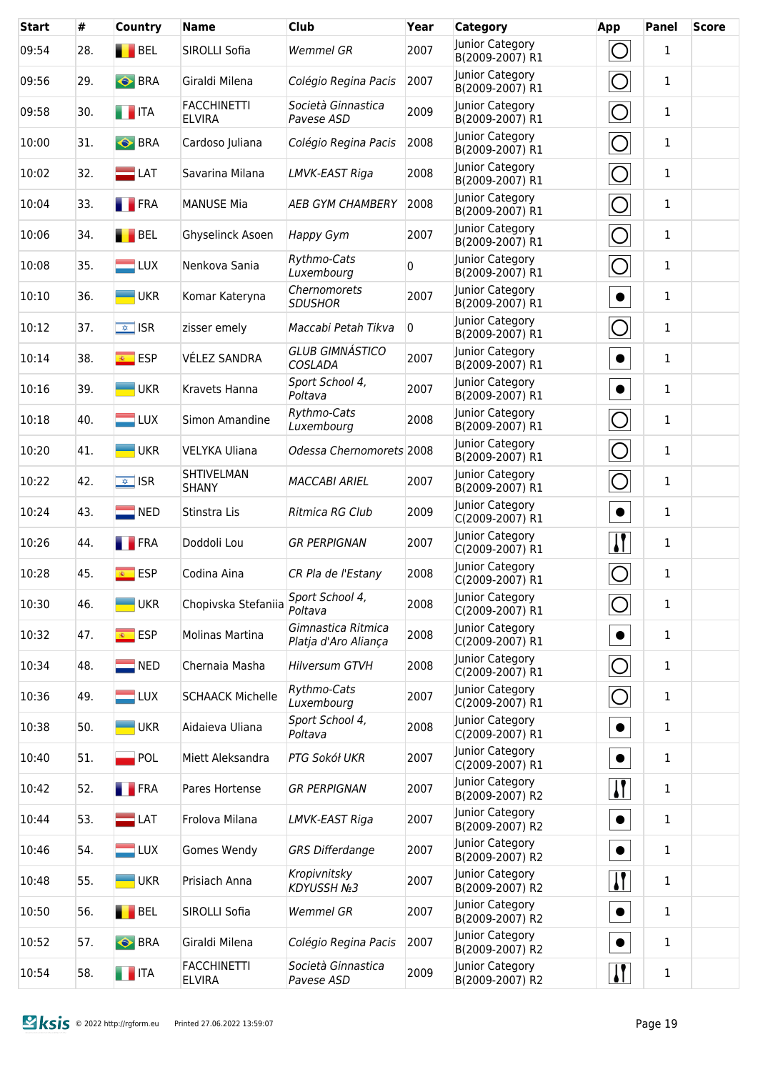| <b>Start</b> | #   | Country                  | <b>Name</b>                         | <b>Club</b>                                | Year | <b>Category</b>                    | App                   | <b>Panel</b> | <b>Score</b> |
|--------------|-----|--------------------------|-------------------------------------|--------------------------------------------|------|------------------------------------|-----------------------|--------------|--------------|
| 09:54        | 28. | <b>BEL</b>               | SIROLLI Sofia                       | <b>Wemmel GR</b>                           | 2007 | Junior Category<br>B(2009-2007) R1 | $\bigcirc$            | 1            |              |
| 09:56        | 29. | <b>BRA</b>               | Giraldi Milena                      | Colégio Regina Pacis                       | 2007 | Junior Category<br>B(2009-2007) R1 | $\bigcirc$            | $\mathbf 1$  |              |
| 09:58        | 30. | <b>THEFT</b>             | <b>FACCHINETTI</b><br><b>ELVIRA</b> | Società Ginnastica<br>Pavese ASD           | 2009 | Junior Category<br>B(2009-2007) R1 | $\bigcirc$            | $\mathbf 1$  |              |
| 10:00        | 31. | <b>BRA</b>               | Cardoso Juliana                     | Colégio Regina Pacis                       | 2008 | Junior Category<br>B(2009-2007) R1 | $\bigcirc$            | $\mathbf{1}$ |              |
| 10:02        | 32. | $\blacksquare$ LAT       | Savarina Milana                     | LMVK-EAST Riga                             | 2008 | Junior Category<br>B(2009-2007) R1 | $\bigcirc$            | $\mathbf{1}$ |              |
| 10:04        | 33. | <b>FRA</b>               | <b>MANUSE Mia</b>                   | <b>AEB GYM CHAMBERY</b>                    | 2008 | Junior Category<br>B(2009-2007) R1 | $\bigcirc$            | $\mathbf{1}$ |              |
| 10:06        | 34. | BEL                      | Ghyselinck Asoen                    | Happy Gym                                  | 2007 | Junior Category<br>B(2009-2007) R1 | $\bigcirc$            | $\mathbf{1}$ |              |
| 10:08        | 35. | $\Box$ LUX               | Nenkova Sania                       | Rythmo-Cats<br>Luxembourg                  | 0    | Junior Category<br>B(2009-2007) R1 | $\bigcirc$            | 1            |              |
| 10:10        | 36. | <b>UKR</b>               | Komar Kateryna                      | Chernomorets<br><b>SDUSHOR</b>             | 2007 | Junior Category<br>B(2009-2007) R1 | $\bullet$             | $\mathbf{1}$ |              |
| 10:12        | 37. | $\sqrt{2}$ ISR           | zisser emely                        | Maccabi Petah Tikva                        | 0    | Junior Category<br>B(2009-2007) R1 | $\bigcirc$            | $\mathbf{1}$ |              |
| 10:14        | 38. | <mark>⊛ ESP</mark>       | VÉLEZ SANDRA                        | <b>GLUB GIMNÁSTICO</b><br>COSLADA          | 2007 | Junior Category<br>B(2009-2007) R1 | $\bullet$             | $\mathbf{1}$ |              |
| 10:16        | 39. | <b>UKR</b>               | Kravets Hanna                       | Sport School 4,<br>Poltava                 | 2007 | Junior Category<br>B(2009-2007) R1 | $\bullet$             | $\mathbf{1}$ |              |
| 10:18        | 40. | $\Box$ LUX               | Simon Amandine                      | Rythmo-Cats<br>Luxembourg                  | 2008 | Junior Category<br>B(2009-2007) R1 | O                     | $\mathbf{1}$ |              |
| 10:20        | 41. | $\blacksquare$ UKR       | <b>VELYKA Uliana</b>                | Odessa Chernomorets 2008                   |      | Junior Category<br>B(2009-2007) R1 | $\bigcirc$            | $\mathbf{1}$ |              |
| 10:22        | 42. | $\sqrt{\frac{1}{2}}$ ISR | SHTIVELMAN<br><b>SHANY</b>          | <b>MACCABI ARIEL</b>                       | 2007 | Junior Category<br>B(2009-2007) R1 | $\bigcirc$            | 1            |              |
| 10:24        | 43. | $\blacksquare$ NED       | Stinstra Lis                        | Ritmica RG Club                            | 2009 | Junior Category<br>C(2009-2007) R1 | $\bullet$             | 1            |              |
| 10:26        | 44. | <b>FRA</b>               | Doddoli Lou                         | <b>GR PERPIGNAN</b>                        | 2007 | Junior Category<br>C(2009-2007) R1 | $\mathbf{\mathsf{I}}$ | 1            |              |
| 10:28        | 45. | <mark>⊛ ESP</mark>       | Codina Aina                         | CR Pla de l'Estany                         | 2008 | Junior Category<br>C(2009-2007) R1 | O                     | $\mathbf{1}$ |              |
| 10:30        | 46. | <b>UKR</b>               | Chopivska Stefaniia                 | Sport School 4,<br>Poltava                 | 2008 | Junior Category<br>C(2009-2007) R1 | $\bigcirc$            | 1            |              |
| 10:32        | 47. | <mark>⊛ ESP</mark>       | Molinas Martina                     | Gimnastica Ritmica<br>Platja d'Aro Aliança | 2008 | Junior Category<br>C(2009-2007) R1 | $\bullet$             | 1            |              |
| 10:34        | 48. | $\blacksquare$ NED       | Chernaia Masha                      | <b>Hilversum GTVH</b>                      | 2008 | Junior Category<br>C(2009-2007) R1 | $\bigcirc$            | 1            |              |
| 10:36        | 49. | $\blacksquare$ LUX       | <b>SCHAACK Michelle</b>             | Rythmo-Cats<br>Luxembourg                  | 2007 | Junior Category<br>C(2009-2007) R1 | $\bigcirc$            | 1            |              |
| 10:38        | 50. | <b>UKR</b>               | Aidaieva Uliana                     | Sport School 4,<br>Poltava                 | 2008 | Junior Category<br>C(2009-2007) R1 | $\bullet$             | 1            |              |
| 10:40        | 51. | POL                      | Miett Aleksandra                    | PTG Sokół UKR                              | 2007 | Junior Category<br>C(2009-2007) R1 | $\bullet$             | 1            |              |
| 10:42        | 52. | <b>FRA</b>               | Pares Hortense                      | <b>GR PERPIGNAN</b>                        | 2007 | Junior Category<br>B(2009-2007) R2 | <u>  </u>             | 1            |              |
| 10:44        | 53. | $\blacksquare$ LAT       | Frolova Milana                      | LMVK-EAST Riga                             | 2007 | Junior Category<br>B(2009-2007) R2 | $\bullet$             | 1            |              |
| 10:46        | 54. | $\blacksquare$ LUX       | Gomes Wendy                         | <b>GRS Differdange</b>                     | 2007 | Junior Category<br>B(2009-2007) R2 | $\bullet$             | 1            |              |
| 10:48        | 55. | <b>UKR</b>               | Prisiach Anna                       | Kropivnitsky<br><b>KDYUSSH №3</b>          | 2007 | Junior Category<br>B(2009-2007) R2 | <u> }</u>             | 1            |              |
| 10:50        | 56. | BEL                      | SIROLLI Sofia                       | <b>Wemmel GR</b>                           | 2007 | Junior Category<br>B(2009-2007) R2 | $\bullet$             | 1            |              |
| 10:52        | 57. | <b>BRA</b>               | Giraldi Milena                      | Colégio Regina Pacis                       | 2007 | Junior Category<br>B(2009-2007) R2 | $\bullet$             | 1            |              |
| 10:54        | 58. | <b>THE ITA</b>           | <b>FACCHINETTI</b><br><b>ELVIRA</b> | Società Ginnastica<br>Pavese ASD           | 2009 | Junior Category<br>B(2009-2007) R2 | $\mathbf{H}$          | $\mathbf{1}$ |              |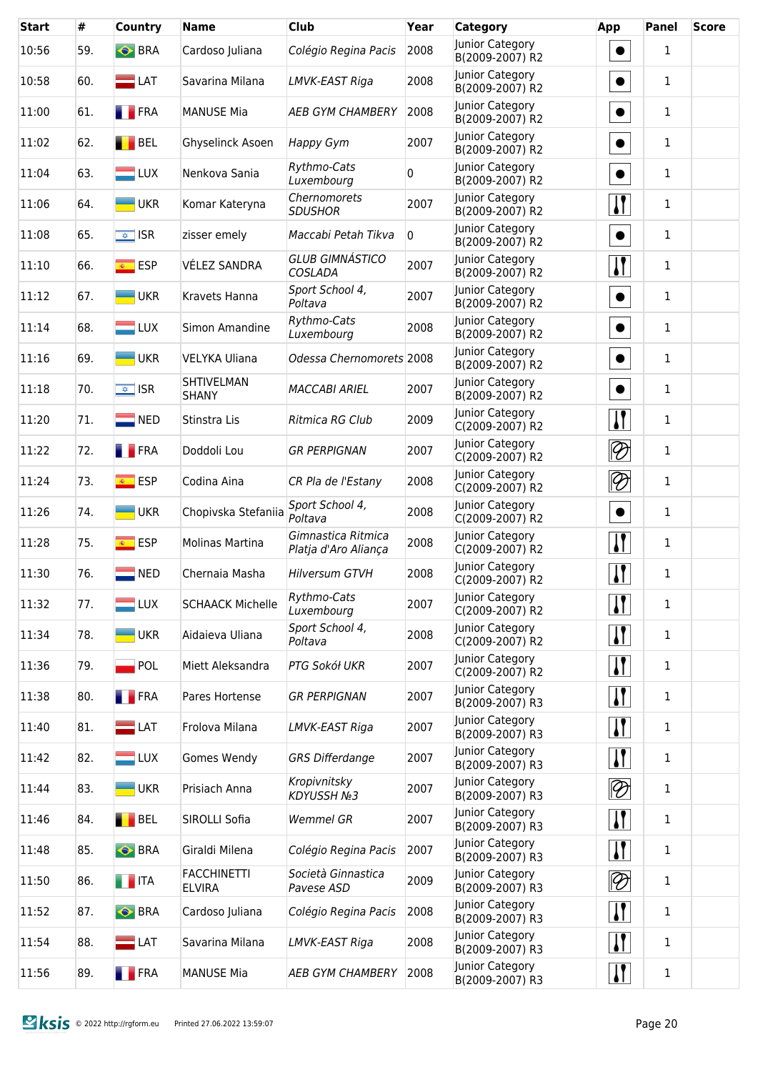| <b>Start</b> | #   | <b>Country</b>           | <b>Name</b>                         | <b>Club</b>                                | Year           | <b>Category</b>                    | App                         | <b>Panel</b> | <b>Score</b> |
|--------------|-----|--------------------------|-------------------------------------|--------------------------------------------|----------------|------------------------------------|-----------------------------|--------------|--------------|
| 10:56        | 59. | <b>BRA</b>               | Cardoso Juliana                     | Colégio Regina Pacis                       | 2008           | Junior Category<br>B(2009-2007) R2 | $\bullet$                   | $\mathbf{1}$ |              |
| 10:58        | 60. | $\Box$ LAT               | Savarina Milana                     | LMVK-EAST Riga                             | 2008           | Junior Category<br>B(2009-2007) R2 | $\bullet$                   | $\mathbf{1}$ |              |
| 11:00        | 61. | <b>FRA</b>               | <b>MANUSE Mia</b>                   | <b>AEB GYM CHAMBERY</b>                    | 2008           | Junior Category<br>B(2009-2007) R2 | $\bullet$                   | $\mathbf{1}$ |              |
| 11:02        | 62. | <b>BEL</b>               | Ghyselinck Asoen                    | Happy Gym                                  | 2007           | Junior Category<br>B(2009-2007) R2 | $\bullet$                   | $\mathbf{1}$ |              |
| 11:04        | 63. | $\Box$ LUX               | Nenkova Sania                       | Rythmo-Cats<br>Luxembourg                  | 0              | Junior Category<br>B(2009-2007) R2 | $\bullet$                   | $\mathbf{1}$ |              |
| 11:06        | 64. | <b>UKR</b>               | Komar Kateryna                      | Chernomorets<br><b>SDUSHOR</b>             | 2007           | Junior Category<br>B(2009-2007) R2 | $\mathbf{H}$                | 1            |              |
| 11:08        | 65. | $\sqrt{2}$ ISR           | zisser emely                        | Maccabi Petah Tikva                        | $\overline{0}$ | Junior Category<br>B(2009-2007) R2 | $\bullet$                   | $\mathbf{1}$ |              |
| 11:10        | 66. | $\overline{\bullet}$ ESP | VÉLEZ SANDRA                        | <b>GLUB GIMNÁSTICO</b><br>COSLADA          | 2007           | Junior Category<br>B(2009-2007) R2 | $\sqrt{1}$                  | 1            |              |
| 11:12        | 67. | <b>UKR</b>               | Kravets Hanna                       | Sport School 4,<br>Poltava                 | 2007           | Junior Category<br>B(2009-2007) R2 | $\bullet$                   | $\mathbf{1}$ |              |
| 11:14        | 68. | $\blacksquare$ LUX       | Simon Amandine                      | Rythmo-Cats<br>Luxembourg                  | 2008           | Junior Category<br>B(2009-2007) R2 | $\bullet$                   | $\mathbf{1}$ |              |
| 11:16        | 69. | <b>UKR</b>               | <b>VELYKA Uliana</b>                | Odessa Chernomorets 2008                   |                | Junior Category<br>B(2009-2007) R2 | $\bullet$                   | $\mathbf{1}$ |              |
| 11:18        | 70. | $\sqrt{\frac{1}{2}}$ ISR | SHTIVELMAN<br><b>SHANY</b>          | <b>MACCABI ARIEL</b>                       | 2007           | Junior Category<br>B(2009-2007) R2 | $\bullet$                   | $\mathbf{1}$ |              |
| 11:20        | 71. | $\blacksquare$ NED       | Stinstra Lis                        | Ritmica RG Club                            | 2009           | Junior Category<br>C(2009-2007) R2 | $\mathbf{I}$                | $\mathbf{1}$ |              |
| 11:22        | 72. | <b>FRA</b>               | Doddoli Lou                         | <b>GR PERPIGNAN</b>                        | 2007           | Junior Category<br>C(2009-2007) R2 | $\otimes$                   | 1            |              |
| 11:24        | 73. | $\overline{\bullet}$ ESP | Codina Aina                         | CR Pla de l'Estany                         | 2008           | Junior Category<br>C(2009-2007) R2 | $\lvert \mathcal{D} \rvert$ | 1            |              |
| 11:26        | 74. | <b>UKR</b>               | Chopivska Stefaniia                 | Sport School 4,<br>Poltava                 | 2008           | Junior Category<br>C(2009-2007) R2 | $\bullet$                   | 1            |              |
| 11:28        | 75. | <mark>⊛ ESP</mark>       | Molinas Martina                     | Gimnastica Ritmica<br>Platja d'Aro Aliança | 2008           | Junior Category<br>C(2009-2007) R2 | $\mathbf{I}$                | 1            |              |
| 11:30        | 76. | $\blacksquare$ NED       | Chernaia Masha                      | <b>Hilversum GTVH</b>                      | 2008           | Junior Category<br>C(2009-2007) R2 | $\mathbf{I}$                | 1            |              |
| 11:32        | 77. | LUX                      | <b>SCHAACK Michelle</b>             | Rythmo-Cats<br>Luxembourg                  | 2007           | Junior Category<br>C(2009-2007) R2 | $\mathbf{I}$                | 1            |              |
| 11:34        | 78. | $-UKR$                   | Aidaieva Uliana                     | Sport School 4,<br>Poltava                 | 2008           | Junior Category<br>C(2009-2007) R2 | $\mathbf{I}$                | 1            |              |
| 11:36        | 79. | <b>POL</b>               | Miett Aleksandra                    | PTG Sokół UKR                              | 2007           | Junior Category<br>C(2009-2007) R2 | $\mathbf{H}$                | 1            |              |
| 11:38        | 80. | <b>FRA</b>               | Pares Hortense                      | <b>GR PERPIGNAN</b>                        | 2007           | Junior Category<br>B(2009-2007) R3 | $\mathbf{H}$                | $\mathbf{1}$ |              |
| 11:40        | 81. | $\blacksquare$ LAT       | Frolova Milana                      | LMVK-EAST Riga                             | 2007           | Junior Category<br>B(2009-2007) R3 | $\mathbf{H}$                | 1            |              |
| 11:42        | 82. | $\blacksquare$ LUX       | Gomes Wendy                         | <b>GRS Differdange</b>                     | 2007           | Junior Category<br>B(2009-2007) R3 | $\mathbf{I}$                | 1            |              |
| 11:44        | 83. | <b>UKR</b>               | Prisiach Anna                       | Kropivnitsky<br><b>KDYUSSH №3</b>          | 2007           | Junior Category<br>B(2009-2007) R3 | $ \mathcal{D} $             | 1            |              |
| 11:46        | 84. | BEL                      | SIROLLI Sofia                       | <b>Wemmel GR</b>                           | 2007           | Junior Category<br>B(2009-2007) R3 | $\prod$                     | 1            |              |
| 11:48        | 85. | <b>O</b> BRA             | Giraldi Milena                      | Colégio Regina Pacis                       | 2007           | Junior Category<br>B(2009-2007) R3 | $\mathbf{H}$                | 1            |              |
| 11:50        | 86. | <b>THE ITA</b>           | <b>FACCHINETTI</b><br><b>ELVIRA</b> | Società Ginnastica<br>Pavese ASD           | 2009           | Junior Category<br>B(2009-2007) R3 | $\bigotimes$                | 1            |              |
| 11:52        | 87. | <b>O</b> BRA             | Cardoso Juliana                     | Colégio Regina Pacis                       | 2008           | Junior Category<br>B(2009-2007) R3 | $\mathbf{I}$                | 1            |              |
| 11:54        | 88. | $\blacksquare$ LAT       | Savarina Milana                     | LMVK-EAST Riga                             | 2008           | Junior Category<br>B(2009-2007) R3 | $\mathbf{I}$                | 1            |              |
| 11:56        | 89. | <b>FRA</b>               | <b>MANUSE Mia</b>                   | <b>AEB GYM CHAMBERY</b>                    | 2008           | Junior Category<br>B(2009-2007) R3 | $\mathbf{I}$                | $\mathbf{1}$ |              |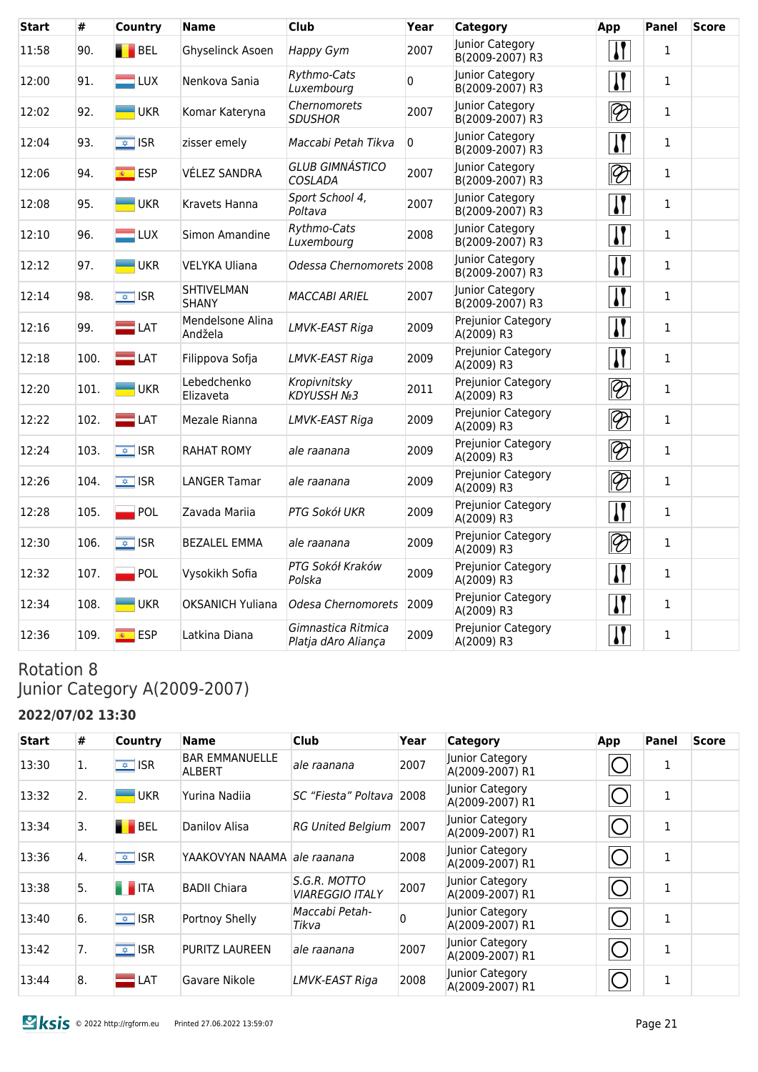| <b>Start</b> | #    | Country                  | <b>Name</b>                       | <b>Club</b>                               | Year           | <b>Category</b>                    | App                         | <b>Panel</b> | <b>Score</b> |
|--------------|------|--------------------------|-----------------------------------|-------------------------------------------|----------------|------------------------------------|-----------------------------|--------------|--------------|
| 11:58        | 90.  | BEL                      | Ghyselinck Asoen                  | Happy Gym                                 | 2007           | Junior Category<br>B(2009-2007) R3 | $\mathbf{I}$                | $\mathbf{1}$ |              |
| 12:00        | 91.  | $=$ LUX                  | Nenkova Sania                     | Rythmo-Cats<br>Luxembourg                 | $\Omega$       | Junior Category<br>B(2009-2007) R3 | $\mathbf{I}$                | $\mathbf{1}$ |              |
| 12:02        | 92.  | <b>UKR</b>               | Komar Kateryna                    | Chernomorets<br><b>SDUSHOR</b>            | 2007           | Junior Category<br>B(2009-2007) R3 | $\bigotimes$                | $\mathbf{1}$ |              |
| 12:04        | 93.  | $\sqrt{2}$ ISR           | zisser emely                      | Maccabi Petah Tikva                       | $\overline{0}$ | Junior Category<br>B(2009-2007) R3 | $\mathbf{I}$                | $\mathbf{1}$ |              |
| 12:06        | 94.  | $\overline{\bullet}$ ESP | <b>VÉLEZ SANDRA</b>               | <b>GLUB GIMNÁSTICO</b><br><b>COSLADA</b>  | 2007           | Junior Category<br>B(2009-2007) R3 | $\lvert \mathcal{D} \rvert$ | $\mathbf{1}$ |              |
| 12:08        | 95.  | <b>UKR</b>               | Kravets Hanna                     | Sport School 4,<br>Poltava                | 2007           | Junior Category<br>B(2009-2007) R3 | $\mathbf{I}$                | $\mathbf{1}$ |              |
| 12:10        | 96.  | $\blacksquare$ LUX       | Simon Amandine                    | Rythmo-Cats<br>Luxembourg                 | 2008           | Junior Category<br>B(2009-2007) R3 | $\mathbf{I}$                | $\mathbf{1}$ |              |
| 12:12        | 97.  | <b>UKR</b>               | <b>VELYKA Uliana</b>              | Odessa Chernomorets 2008                  |                | Junior Category<br>B(2009-2007) R3 | $\mathbf{I}$                | $\mathbf{1}$ |              |
| 12:14        | 98.  | $\overline{\bullet}$ ISR | <b>SHTIVELMAN</b><br><b>SHANY</b> | <b>MACCABI ARIEL</b>                      | 2007           | Junior Category<br>B(2009-2007) R3 | $\mathbf{I}$                | $\mathbf{1}$ |              |
| 12:16        | 99.  | $\blacksquare$ LAT       | Mendelsone Alina<br>Andžela       | LMVK-EAST Riga                            | 2009           | Prejunior Category<br>A(2009) R3   | $\mathbf{I}$                | $\mathbf{1}$ |              |
| 12:18        | 100. | $\blacksquare$ LAT       | Filippova Sofja                   | LMVK-EAST Riga                            | 2009           | Prejunior Category<br>A(2009) R3   | $\mathbf{I}$                | $\mathbf{1}$ |              |
| 12:20        | 101. | <b>UKR</b>               | Lebedchenko<br>Elizaveta          | Kropivnitsky<br><b>KDYUSSH №3</b>         | 2011           | Prejunior Category<br>A(2009) R3   | $\overline{\mathscr{D}}$    | $\mathbf{1}$ |              |
| 12:22        | 102. | $\blacksquare$ LAT       | Mezale Rianna                     | LMVK-EAST Riga                            | 2009           | Prejunior Category<br>A(2009) R3   | $\overline{\mathscr{D}}$    | $\mathbf{1}$ |              |
| 12:24        | 103. | $\sqrt{2}$ ISR           | <b>RAHAT ROMY</b>                 | ale raanana                               | 2009           | Prejunior Category<br>A(2009) R3   | $\lvert \mathcal{D} \rvert$ | $\mathbf{1}$ |              |
| 12:26        | 104. | $\sqrt{\frac{1}{2}}$ ISR | <b>LANGER Tamar</b>               | ale raanana                               | 2009           | Prejunior Category<br>A(2009) R3   | $\lvert \mathcal{D} \rvert$ | $\mathbf{1}$ |              |
| 12:28        | 105. | POL                      | Zavada Marija                     | PTG Sokół UKR                             | 2009           | Prejunior Category<br>A(2009) R3   | $\mathbf{I}$                | $\mathbf{1}$ |              |
| 12:30        | 106. | $\sqrt{2}$ ISR           | <b>BEZALEL EMMA</b>               | ale raanana                               | 2009           | Prejunior Category<br>A(2009) R3   | $\lvert \mathcal{D} \rvert$ | $\mathbf{1}$ |              |
| 12:32        | 107. | POL                      | Vysokikh Sofia                    | PTG Sokół Kraków<br>Polska                | 2009           | Prejunior Category<br>A(2009) R3   | $\mathbf{I}$                | $\mathbf{1}$ |              |
| 12:34        | 108. | <b>UKR</b>               | <b>OKSANICH Yuliana</b>           | Odesa Chernomorets                        | 2009           | Prejunior Category<br>A(2009) R3   | $\mathbf{I}$                | $\mathbf{1}$ |              |
| 12:36        | 109. | $\overline{\bullet}$ ESP | Latkina Diana                     | Gimnastica Ritmica<br>Platja dAro Aliança | 2009           | Prejunior Category<br>A(2009) R3   | $\mathbf{I}$                | $\mathbf{1}$ |              |

## Rotation 8 Junior Category A(2009-2007)

### **2022/07/02 13:30**

| <b>Start</b> | #  | Country                  | <b>Name</b>                            | <b>Club</b>                     | Year     | <b>Category</b>                    | App | Panel        | <b>Score</b> |
|--------------|----|--------------------------|----------------------------------------|---------------------------------|----------|------------------------------------|-----|--------------|--------------|
| 13:30        | 1. | $\sqrt{\frac{1}{2}}$ ISR | <b>BAR EMMANUELLE</b><br><b>ALBERT</b> | ale raanana                     | 2007     | Junior Category<br>A(2009-2007) R1 |     | 1            |              |
| 13:32        | 2. | <b>UKR</b>               | Yurina Nadiia                          | SC "Fiesta" Poltava 2008        |          | Junior Category<br>A(2009-2007) R1 |     | 1            |              |
| 13:34        | 3. | <b>BEL</b>               | Danilov Alisa                          | <b>RG United Belgium</b>        | 2007     | Junior Category<br>A(2009-2007) R1 |     | 1            |              |
| 13:36        | 4. | $\overline{\bullet}$ ISR | YAAKOVYAN NAAMA <i>ale raanana</i>     |                                 | 2008     | Junior Category<br>A(2009-2007) R1 |     | 1            |              |
| 13:38        | 5. | <b>THE ITA</b>           | <b>BADII Chiara</b>                    | S.G.R. MOTTO<br>VIAREGGIO ITALY | 2007     | Junior Category<br>A(2009-2007) R1 |     | $\mathbf{1}$ |              |
| 13:40        | 6. | $\sqrt{2}$ ISR           | Portnoy Shelly                         | Maccabi Petah-<br>Tikva         | $\Omega$ | Junior Category<br>A(2009-2007) R1 |     | 1            |              |
| 13:42        | 7. | $\overline{\bullet}$ ISR | <b>PURITZ LAUREEN</b>                  | ale raanana                     | 2007     | Junior Category<br>A(2009-2007) R1 |     | 1            |              |
| 13:44        | 8. | LAT                      | Gavare Nikole                          | LMVK-EAST Riga                  | 2008     | Junior Category<br>A(2009-2007) R1 |     | 1            |              |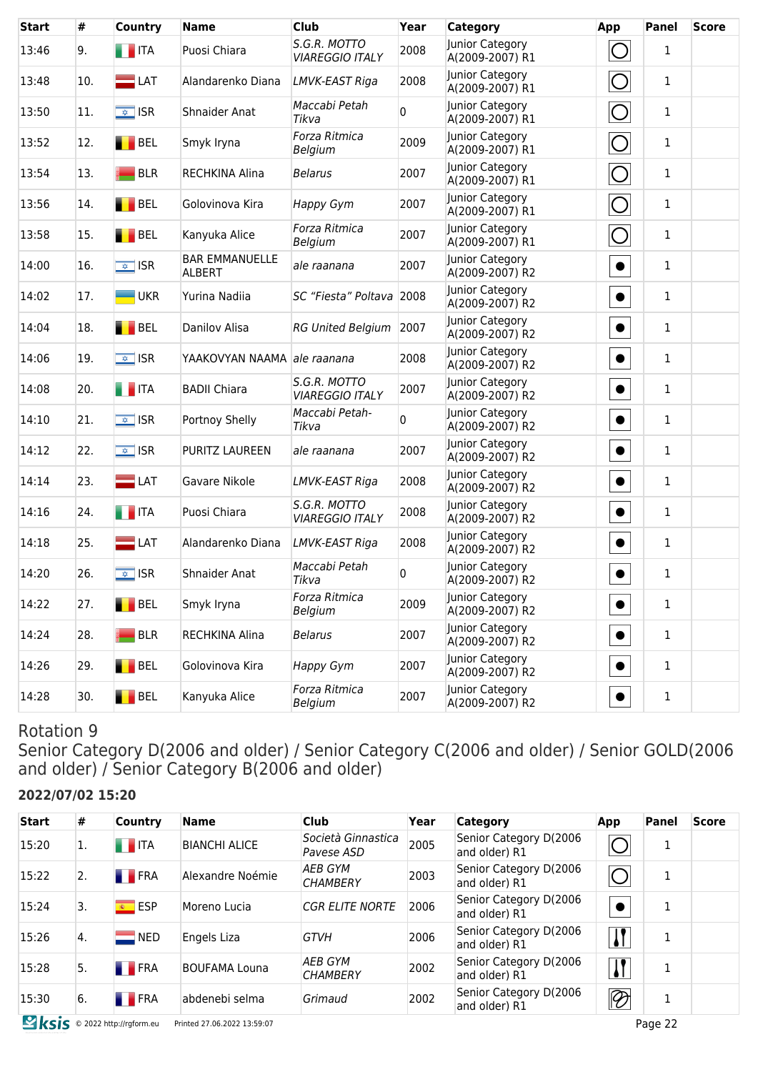| <b>Start</b> | #   | Country                  | <b>Name</b>                     | <b>Club</b>                            | Year | <b>Category</b>                    | App        | <b>Panel</b> | <b>Score</b> |
|--------------|-----|--------------------------|---------------------------------|----------------------------------------|------|------------------------------------|------------|--------------|--------------|
| 13:46        | 9.  | <b>THE ITA</b>           | Puosi Chiara                    | S.G.R. MOTTO<br><b>VIAREGGIO ITALY</b> | 2008 | Junior Category<br>A(2009-2007) R1 | ◯          | $\mathbf{1}$ |              |
| 13:48        | 10. | $\blacksquare$ LAT       | Alandarenko Diana               | LMVK-EAST Riga                         | 2008 | Junior Category<br>A(2009-2007) R1 | $\bigcirc$ | 1            |              |
| 13:50        | 11. | $\sqrt{\frac{1}{2}}$ ISR | <b>Shnaider Anat</b>            | Maccabi Petah<br>Tikva                 | 0    | Junior Category<br>A(2009-2007) R1 | O          | $\mathbf{1}$ |              |
| 13:52        | 12. | BEL                      | Smyk Iryna                      | Forza Ritmica<br>Belgium               | 2009 | Junior Category<br>A(2009-2007) R1 | O          | $\mathbf{1}$ |              |
| 13:54        | 13. | <b>BLR</b>               | RECHKINA Alina                  | <b>Belarus</b>                         | 2007 | Junior Category<br>A(2009-2007) R1 | $\bigcirc$ | $\mathbf{1}$ |              |
| 13:56        | 14. | BEL                      | Golovinova Kira                 | <b>Happy Gym</b>                       | 2007 | Junior Category<br>A(2009-2007) R1 | $\bigcirc$ | $\mathbf{1}$ |              |
| 13:58        | 15. | BEL                      | Kanyuka Alice                   | Forza Ritmica<br>Belgium               | 2007 | Junior Category<br>A(2009-2007) R1 | O          | $\mathbf{1}$ |              |
| 14:00        | 16. | $\sqrt{\frac{1}{2}}$ ISR | <b>BAR EMMANUELLE</b><br>ALBERT | ale raanana                            | 2007 | Junior Category<br>A(2009-2007) R2 | $\bullet$  | $\mathbf{1}$ |              |
| 14:02        | 17. | <b>UKR</b>               | Yurina Nadiia                   | SC "Fiesta" Poltava 2008               |      | Junior Category<br>A(2009-2007) R2 | $\bullet$  | $\mathbf{1}$ |              |
| 14:04        | 18. | BEL                      | Danilov Alisa                   | RG United Belgium 2007                 |      | Junior Category<br>A(2009-2007) R2 | $\bullet$  | $\mathbf{1}$ |              |
| 14:06        | 19. | $\sqrt{2}$ ISR           | YAAKOVYAN NAAMA ale raanana     |                                        | 2008 | Junior Category<br>A(2009-2007) R2 | $\bullet$  | $\mathbf{1}$ |              |
| 14:08        | 20. | <b>THE ITA</b>           | <b>BADII Chiara</b>             | S.G.R. MOTTO<br><b>VIAREGGIO ITALY</b> | 2007 | Junior Category<br>A(2009-2007) R2 | $\bullet$  | $\mathbf{1}$ |              |
| 14:10        | 21. | $\sqrt{\frac{1}{2}}$ ISR | Portnoy Shelly                  | Maccabi Petah-<br>Tikva                | 0    | Junior Category<br>A(2009-2007) R2 | $\bullet$  | $\mathbf{1}$ |              |
| 14:12        | 22. | $\sqrt{2}$ ISR           | PURITZ LAUREEN                  | ale raanana                            | 2007 | Junior Category<br>A(2009-2007) R2 | $\bullet$  | $\mathbf{1}$ |              |
| 14:14        | 23. | $\Box$ LAT               | Gavare Nikole                   | LMVK-EAST Riga                         | 2008 | Junior Category<br>A(2009-2007) R2 | $\bullet$  | $\mathbf{1}$ |              |
| 14:16        | 24. | <b>THE ITA</b>           | Puosi Chiara                    | S.G.R. MOTTO<br><b>VIAREGGIO ITALY</b> | 2008 | Junior Category<br>A(2009-2007) R2 | $\bullet$  | $\mathbf{1}$ |              |
| 14:18        | 25. | $\blacksquare$ LAT       | Alandarenko Diana               | LMVK-EAST Riga                         | 2008 | Junior Category<br>A(2009-2007) R2 | $\bullet$  | $\mathbf{1}$ |              |
| 14:20        | 26. | $\sqrt{2}$ ISR           | Shnaider Anat                   | Maccabi Petah<br>Tikva                 | 0    | Junior Category<br>A(2009-2007) R2 | $\bullet$  | $\mathbf{1}$ |              |
| 14:22        | 27. | BEL                      | Smyk Iryna                      | Forza Ritmica<br>Belgium               | 2009 | Junior Category<br>A(2009-2007) R2 | $\bullet$  | $\mathbf{1}$ |              |
| 14:24        | 28. | <b>BLR</b>               | RECHKINA Alina                  | <b>Belarus</b>                         | 2007 | Junior Category<br>A(2009-2007) R2 | $\bullet$  | $\mathbf{1}$ |              |
| 14:26        | 29. | BEL                      | Golovinova Kira                 | Happy Gym                              | 2007 | Junior Category<br>A(2009-2007) R2 | $\bullet$  | $\mathbf{1}$ |              |
| 14:28        | 30. | BEL                      | Kanyuka Alice                   | Forza Ritmica<br>Belgium               | 2007 | Junior Category<br>A(2009-2007) R2 | $\bullet$  | $\mathbf 1$  |              |

Senior Category D(2006 and older) / Senior Category C(2006 and older) / Senior GOLD(2006 and older) / Senior Category B(2006 and older)

#### **2022/07/02 15:20**

| #                | <b>Country</b>          | Name                 | <b>Club</b>                       | Year | <b>Category</b>                         | App                      | Panel | <b>Score</b> |
|------------------|-------------------------|----------------------|-----------------------------------|------|-----------------------------------------|--------------------------|-------|--------------|
| 1.               | $\blacksquare$ ITA      | <b>BIANCHI ALICE</b> | Società Ginnastica<br>Pavese ASD  | 2005 | Senior Category D(2006<br>and older) R1 |                          | T.    |              |
| 2.               | <b>FRA</b>              | Alexandre Noémie     | <b>AEB GYM</b><br><b>CHAMBERY</b> | 2003 | Senior Category D(2006<br>and older) R1 |                          | T.    |              |
| 3.               | <u><sup>∗</sup></u> ESP | Moreno Lucia         | <b>CGR ELITE NORTE</b>            | 2006 | Senior Category D(2006<br>and older) R1 |                          |       |              |
| $\overline{4}$ . | <b>NED</b>              | Engels Liza          | <b>GTVH</b>                       | 2006 | Senior Category D(2006<br>and older) R1 | $\sqrt{ }$               | T     |              |
| 5.               | <b>FRA</b>              | <b>BOUFAMA Louna</b> | <b>AEB GYM</b><br><b>CHAMBERY</b> | 2002 | Senior Category D(2006<br>and older) R1 |                          | Ŧ.    |              |
| 6.               | <b>FRA</b>              | abdenebi selma       | Grimaud                           | 2002 | Senior Category D(2006<br>and older) R1 | $\overline{\mathscr{D}}$ | 1     |              |
|                  |                         |                      |                                   |      |                                         |                          |       |              |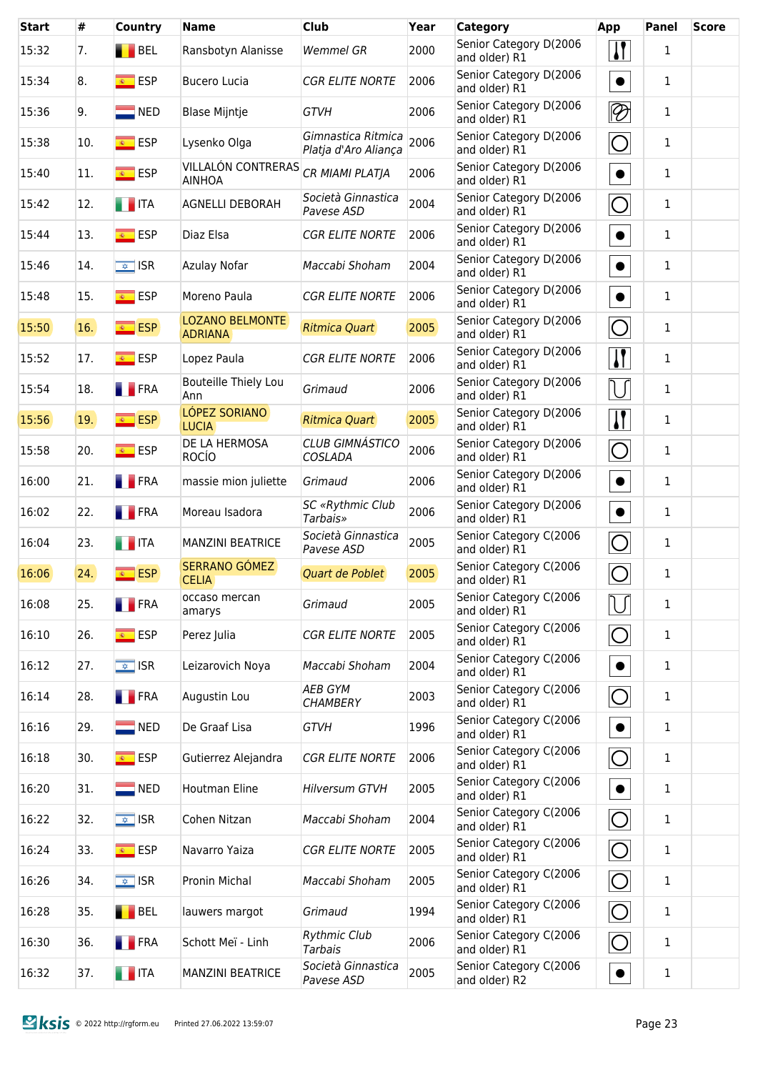| <b>Start</b> | #   | Country                  | <b>Name</b>                              | <b>Club</b>                                | Year | Category                                | App                       | <b>Panel</b> | <b>Score</b> |
|--------------|-----|--------------------------|------------------------------------------|--------------------------------------------|------|-----------------------------------------|---------------------------|--------------|--------------|
| 15:32        | 7.  | <b>BEL</b>               | Ransbotyn Alanisse                       | <b>Wemmel GR</b>                           | 2000 | Senior Category D(2006<br>and older) R1 | $\boldsymbol{\mathsf{N}}$ | $\mathbf{1}$ |              |
| 15:34        | 8.  | $\overline{\bullet}$ ESP | <b>Bucero Lucia</b>                      | <b>CGR ELITE NORTE</b>                     | 2006 | Senior Category D(2006<br>and older) R1 | $\bullet$                 | $\mathbf{1}$ |              |
| 15:36        | 9.  | $\blacksquare$ NED       | <b>Blase Mijntje</b>                     | <b>GTVH</b>                                | 2006 | Senior Category D(2006<br>and older) R1 | $\overline{\mathscr{D}}$  | 1            |              |
| 15:38        | 10. | <mark>⊛ ESP</mark>       | Lysenko Olga                             | Gimnastica Ritmica<br>Platja d'Aro Aliança | 2006 | Senior Category D(2006<br>and older) R1 | $\bigcirc$                | 1            |              |
| 15:40        | 11. | $\overline{\bullet}$ ESP | VILLALÓN CONTRERAS<br><b>AINHOA</b>      | CR MIAMI PLATJA                            | 2006 | Senior Category D(2006<br>and older) R1 | $\bullet$                 | $\mathbf{1}$ |              |
| 15:42        | 12. | <b>THEFTA</b>            | <b>AGNELLI DEBORAH</b>                   | Società Ginnastica<br>Pavese ASD           | 2004 | Senior Category D(2006<br>and older) R1 | $\bigcirc$                | $\mathbf{1}$ |              |
| 15:44        | 13. | <mark>⊛ ESP</mark>       | Diaz Elsa                                | <b>CGR ELITE NORTE</b>                     | 2006 | Senior Category D(2006<br>and older) R1 | $\bullet$                 | $\mathbf 1$  |              |
| 15:46        | 14. | $\sqrt{\frac{1}{2}}$ ISR | Azulay Nofar                             | Maccabi Shoham                             | 2004 | Senior Category D(2006<br>and older) R1 | $\bullet$                 | $\mathbf{1}$ |              |
| 15:48        | 15. | <u><sup>®</sup></u> ESP  | Moreno Paula                             | <b>CGR ELITE NORTE</b>                     | 2006 | Senior Category D(2006<br>and older) R1 | $\bullet$                 | $\mathbf{1}$ |              |
| 15:50        | 16. | <b>ESP</b>               | <b>LOZANO BELMONTE</b><br><b>ADRIANA</b> | <b>Ritmica Quart</b>                       | 2005 | Senior Category D(2006<br>and older) R1 | $\overline{O}$            | $\mathbf{1}$ |              |
| 15:52        | 17. | $\overline{\bullet}$ ESP | Lopez Paula                              | <b>CGR ELITE NORTE</b>                     | 2006 | Senior Category D(2006<br>and older) R1 | $\sqrt{ }$                | $\mathbf{1}$ |              |
| 15:54        | 18. | <b>FRA</b>               | Bouteille Thiely Lou<br>Ann              | Grimaud                                    | 2006 | Senior Category D(2006<br>and older) R1 | $\overline{\cup}$         | $\mathbf{1}$ |              |
| 15:56        | 19. | <b>ESP</b>               | LÓPEZ SORIANO<br><b>LUCIA</b>            | <b>Ritmica Quart</b>                       | 2005 | Senior Category D(2006<br>and older) R1 | $\bf{I}$                  | $\mathbf{1}$ |              |
| 15:58        | 20. | $\overline{\bullet}$ ESP | DE LA HERMOSA<br><b>ROCÍO</b>            | <b>CLUB GIMNÁSTICO</b><br>COSLADA          | 2006 | Senior Category D(2006<br>and older) R1 | $\overline{O}$            | $\mathbf{1}$ |              |
| 16:00        | 21. | <b>T</b> FRA             | massie mion juliette                     | Grimaud                                    | 2006 | Senior Category D(2006<br>and older) R1 | $\bullet$                 | $\mathbf{1}$ |              |
| 16:02        | 22. | <b>FRA</b>               | Moreau Isadora                           | <b>SC «Rythmic Club</b><br><b>Tarbais»</b> | 2006 | Senior Category D(2006<br>and older) R1 | $\bullet$                 | 1            |              |
| 16:04        | 23. | <b>THE ITA</b>           | <b>MANZINI BEATRICE</b>                  | Società Ginnastica<br>Pavese ASD           | 2005 | Senior Category C(2006<br>and older) R1 | $\overline{O}$            | $\mathbf{1}$ |              |
| 16:06        | 24. | <b>ESP</b>               | SERRANO GÓMEZ<br><b>CELIA</b>            | <b>Quart de Poblet</b>                     | 2005 | Senior Category C(2006<br>and older) R1 | $\bigcirc$                | $\mathbf 1$  |              |
| 16:08        | 25. | <b>FRA</b>               | occaso mercan<br>amarys                  | Grimaud                                    | 2005 | Senior Category C(2006<br>and older) R1 |                           | $\mathbf{1}$ |              |
| 16:10        | 26. | $\overline{\bullet}$ ESP | Perez Julia                              | <b>CGR ELITE NORTE</b>                     | 2005 | Senior Category C(2006<br>and older) R1 | $\bigcirc$                | $\mathbf{1}$ |              |
| 16:12        | 27. | $\sqrt{2}$ ISR           | Leizarovich Noya                         | Maccabi Shoham                             | 2004 | Senior Category C(2006<br>and older) R1 | $\bullet$                 | $\mathbf{1}$ |              |
| 16:14        | 28. | <b>FRA</b>               | Augustin Lou                             | <b>AEB GYM</b><br><b>CHAMBERY</b>          | 2003 | Senior Category C(2006<br>and older) R1 | $\bigcirc$                | 1            |              |
| 16:16        | 29. | $\blacksquare$ NED       | De Graaf Lisa                            | <b>GTVH</b>                                | 1996 | Senior Category C(2006<br>and older) R1 | $\bullet$                 | 1            |              |
| 16:18        | 30. | <mark>⊛ ESP</mark>       | Gutierrez Alejandra                      | <b>CGR ELITE NORTE</b>                     | 2006 | Senior Category C(2006<br>and older) R1 | $\bigcirc$                | 1            |              |
| 16:20        | 31. | $\blacksquare$ NED       | Houtman Eline                            | <b>Hilversum GTVH</b>                      | 2005 | Senior Category C(2006<br>and older) R1 | $\bullet$                 | 1            |              |
| 16:22        | 32. | $\sqrt{\frac{1}{2}}$ ISR | Cohen Nitzan                             | Maccabi Shoham                             | 2004 | Senior Category C(2006<br>and older) R1 | $\bigcirc$                | 1            |              |
| 16:24        | 33. | <mark>⊛ ESP</mark>       | Navarro Yaiza                            | <b>CGR ELITE NORTE</b>                     | 2005 | Senior Category C(2006<br>and older) R1 | $\bigcirc$                | 1            |              |
| 16:26        | 34. | $\sqrt{\frac{1}{2}}$ ISR | Pronin Michal                            | Maccabi Shoham                             | 2005 | Senior Category C(2006<br>and older) R1 | $\bigcirc$                | 1            |              |
| 16:28        | 35. | BEL                      | lauwers margot                           | Grimaud                                    | 1994 | Senior Category C(2006<br>and older) R1 | $\bigcirc$                | 1            |              |
| 16:30        | 36. | <b>FRA</b>               | Schott Meï - Linh                        | <b>Rythmic Club</b><br><b>Tarbais</b>      | 2006 | Senior Category C(2006<br>and older) R1 | $\bigcirc$                | 1            |              |
| 16:32        | 37. | $\blacksquare$ ITA       | <b>MANZINI BEATRICE</b>                  | Società Ginnastica<br>Pavese ASD           | 2005 | Senior Category C(2006<br>and older) R2 | $\bullet$                 | 1            |              |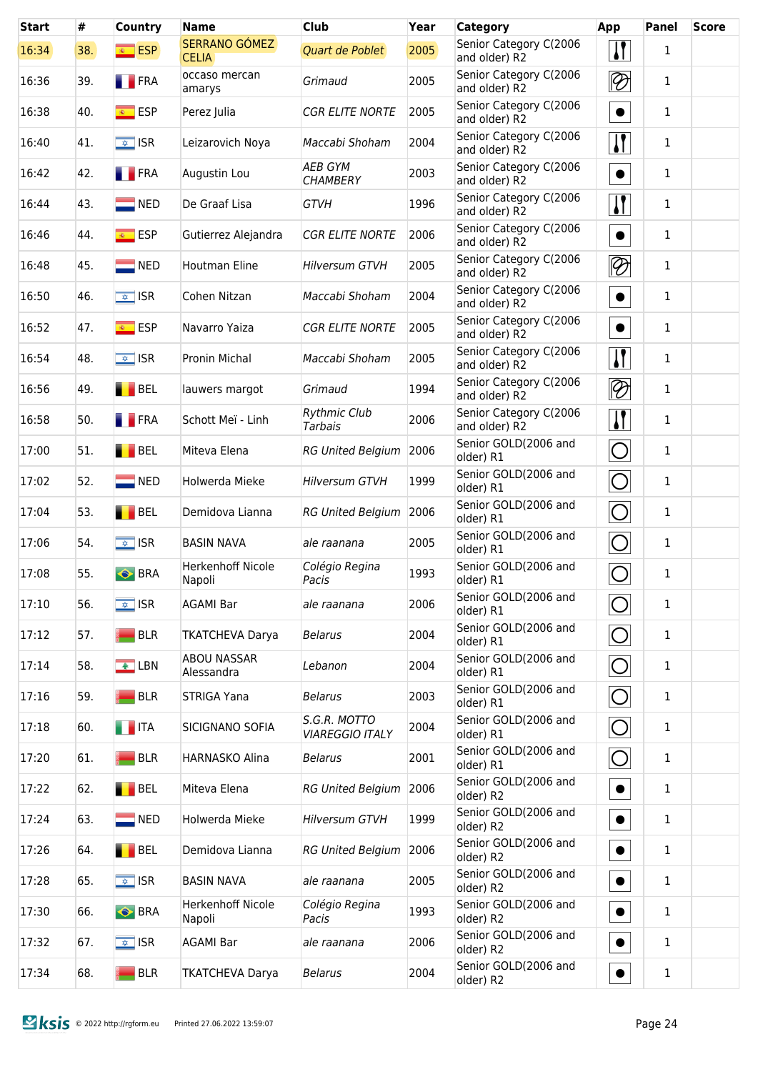| <b>Start</b> | #   | <b>Country</b>           | <b>Name</b>                        | <b>Club</b>                            | Year | Category                                | App                      | Panel        | <b>Score</b> |
|--------------|-----|--------------------------|------------------------------------|----------------------------------------|------|-----------------------------------------|--------------------------|--------------|--------------|
| 16:34        | 38. | $\overline{\bullet}$ ESP | SERRANO GÓMEZ<br><b>CELIA</b>      | Quart de Poblet                        | 2005 | Senior Category C(2006<br>and older) R2 | $\mathbf{I}$             | $\mathbf{1}$ |              |
| 16:36        | 39. | <b>FRA</b>               | occaso mercan<br>amarys            | Grimaud                                | 2005 | Senior Category C(2006<br>and older) R2 | $\overline{\bigotimes}$  | $\mathbf{1}$ |              |
| 16:38        | 40. | <mark>⊛ ESP</mark>       | Perez Julia                        | <b>CGR ELITE NORTE</b>                 | 2005 | Senior Category C(2006<br>and older) R2 | $\bullet$                | $\mathbf{1}$ |              |
| 16:40        | 41. | $\sqrt{2}$ ISR           | Leizarovich Noya                   | Maccabi Shoham                         | 2004 | Senior Category C(2006<br>and older) R2 | <u> }</u>                | 1            |              |
| 16:42        | 42. | <b>FRA</b>               | Augustin Lou                       | <b>AEB GYM</b><br><b>CHAMBERY</b>      | 2003 | Senior Category C(2006<br>and older) R2 | $\bullet$                | $\mathbf{1}$ |              |
| 16:44        | 43. | $\blacksquare$ NED       | De Graaf Lisa                      | <b>GTVH</b>                            | 1996 | Senior Category C(2006<br>and older) R2 | $\sqrt{1}$               | 1            |              |
| 16:46        | 44. | <mark>⊛ ESP</mark>       | Gutierrez Alejandra                | <b>CGR ELITE NORTE</b>                 | 2006 | Senior Category C(2006<br>and older) R2 | $\bullet$                | 1            |              |
| 16:48        | 45. | $\blacksquare$ NED       | Houtman Eline                      | <b>Hilversum GTVH</b>                  | 2005 | Senior Category C(2006<br>and older) R2 | $\overline{\mathscr{D}}$ | 1            |              |
| 16:50        | 46. | $\overline{\bullet}$ ISR | Cohen Nitzan                       | Maccabi Shoham                         | 2004 | Senior Category C(2006<br>and older) R2 | $\bullet$                | 1            |              |
| 16:52        | 47. | <mark>⊛ ESP</mark>       | Navarro Yaiza                      | <b>CGR ELITE NORTE</b>                 | 2005 | Senior Category C(2006<br>and older) R2 | $\bullet$                | 1            |              |
| 16:54        | 48. | $\sqrt{\frac{1}{2}}$ ISR | Pronin Michal                      | Maccabi Shoham                         | 2005 | Senior Category C(2006<br>and older) R2 | $\sqrt{1}$               | 1            |              |
| 16:56        | 49. | <b>BEL</b>               | lauwers margot                     | Grimaud                                | 1994 | Senior Category C(2006<br>and older) R2 | $\overline{\mathscr{D}}$ | $\mathbf{1}$ |              |
| 16:58        | 50. | <b>FRA</b>               | Schott Meï - Linh                  | <b>Rythmic Club</b><br><b>Tarbais</b>  | 2006 | Senior Category C(2006<br>and older) R2 | $\mathbf{I}$             | 1            |              |
| 17:00        | 51. | <b>BEL</b>               | Miteva Elena                       | <b>RG United Belgium</b>               | 2006 | Senior GOLD(2006 and<br>older) R1       | $\bigcirc$               | 1            |              |
| 17:02        | 52. | $\blacksquare$ NED       | Holwerda Mieke                     | <b>Hilversum GTVH</b>                  | 1999 | Senior GOLD(2006 and<br>older) R1       | $\bigcirc$               | 1            |              |
| 17:04        | 53. | $\blacksquare$ BEL       | Demidova Lianna                    | <b>RG United Belgium</b>               | 2006 | Senior GOLD(2006 and<br>older) R1       | O                        | 1            |              |
| 17:06        | 54. | $\sqrt{\frac{1}{2}}$ ISR | <b>BASIN NAVA</b>                  | ale raanana                            | 2005 | Senior GOLD(2006 and<br>older) R1       | O                        | 1            |              |
| 17:08        | 55. | <b>O</b> BRA             | <b>Herkenhoff Nicole</b><br>Napoli | Colégio Regina<br>Pacis                | 1993 | Senior GOLD(2006 and<br>older) R1       | $\bigcirc$               | 1            |              |
| 17:10        | 56. | $\sqrt{\frac{1}{2}}$ ISR | <b>AGAMI Bar</b>                   | ale raanana                            | 2006 | Senior GOLD(2006 and<br>older) R1       | O                        | 1            |              |
| 17:12        | 57. | <b>BLR</b>               | <b>TKATCHEVA Darya</b>             | <b>Belarus</b>                         | 2004 | Senior GOLD(2006 and<br>older) R1       | O                        | 1            |              |
| 17:14        | 58. | $\sqrt{2}$ LBN           | <b>ABOU NASSAR</b><br>Alessandra   | Lebanon                                | 2004 | Senior GOLD(2006 and<br>older) R1       | $\bigcirc$               | 1            |              |
| 17:16        | 59. | <b>BLR</b>               | STRIGA Yana                        | <b>Belarus</b>                         | 2003 | Senior GOLD(2006 and<br>older) R1       | O                        | 1            |              |
| 17:18        | 60. | <b>THEFT</b>             | SICIGNANO SOFIA                    | S.G.R. MOTTO<br><b>VIAREGGIO ITALY</b> | 2004 | Senior GOLD(2006 and<br>older) R1       | O                        | 1            |              |
| 17:20        | 61. | <b>BLR</b>               | <b>HARNASKO Alina</b>              | <b>Belarus</b>                         | 2001 | Senior GOLD(2006 and<br>older) R1       | $\bigcirc$               | $\mathbf{1}$ |              |
| 17:22        | 62. | BEL                      | Miteva Elena                       | <b>RG United Belgium</b>               | 2006 | Senior GOLD(2006 and<br>older) R2       | $\bullet$                | $\mathbf{1}$ |              |
| 17:24        | 63. | $\blacksquare$ NED       | Holwerda Mieke                     | <b>Hilversum GTVH</b>                  | 1999 | Senior GOLD(2006 and<br>older) R2       | $\bullet$                | 1            |              |
| 17:26        | 64. | BEL                      | Demidova Lianna                    | <b>RG United Belgium</b>               | 2006 | Senior GOLD(2006 and<br>older) R2       | $\bullet$                | 1            |              |
| 17:28        | 65. | $\sqrt{2}$ ISR           | <b>BASIN NAVA</b>                  | ale raanana                            | 2005 | Senior GOLD(2006 and<br>older) R2       | $\bullet$                | $\mathbf{1}$ |              |
| 17:30        | 66. | <b>BRA</b>               | Herkenhoff Nicole<br>Napoli        | Colégio Regina<br>Pacis                | 1993 | Senior GOLD(2006 and<br>older) R2       | $\bullet$                | $\mathbf{1}$ |              |
| 17:32        | 67. | $\overline{\bullet}$ ISR | <b>AGAMI Bar</b>                   | ale raanana                            | 2006 | Senior GOLD(2006 and<br>older) R2       | $\bullet$                | 1            |              |
| 17:34        | 68. | <b>BLR</b>               | <b>TKATCHEVA Darya</b>             | <b>Belarus</b>                         | 2004 | Senior GOLD(2006 and<br>older) R2       | $\bullet$                | $\mathbf 1$  |              |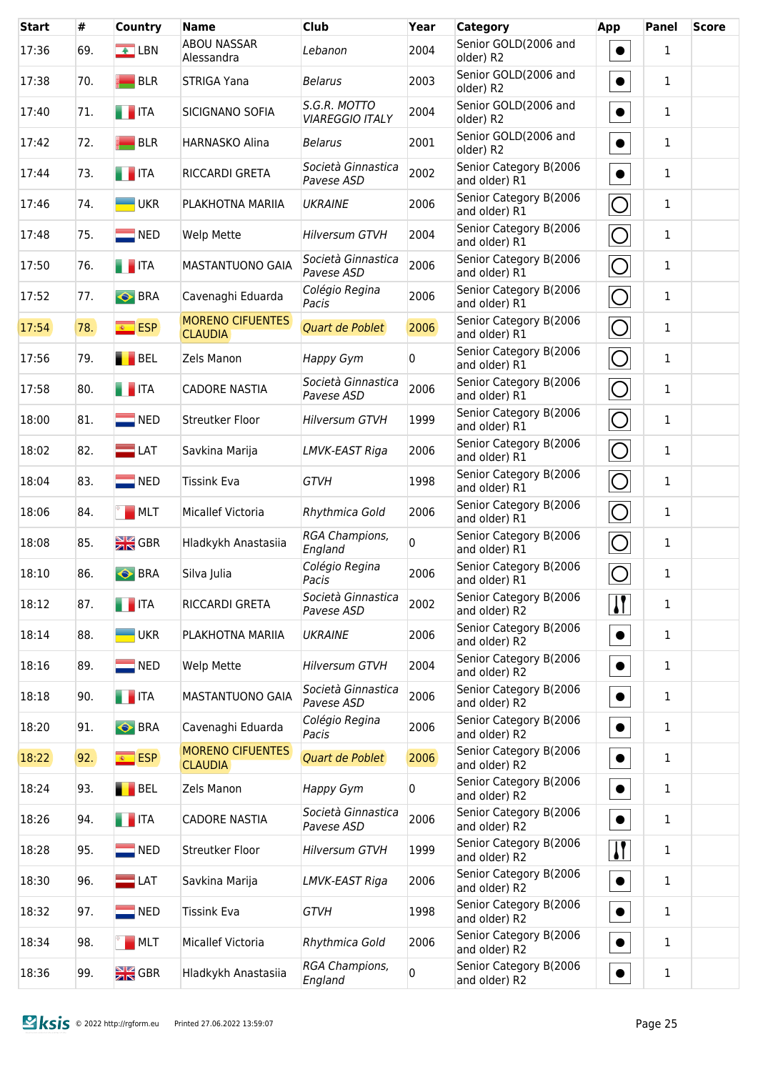| <b>Start</b> | #   | <b>Country</b>           | <b>Name</b>                               | <b>Club</b>                            | Year     | <b>Category</b>                         | App                       | Panel        | <b>Score</b> |
|--------------|-----|--------------------------|-------------------------------------------|----------------------------------------|----------|-----------------------------------------|---------------------------|--------------|--------------|
| 17:36        | 69. | $\triangle$ LBN          | <b>ABOU NASSAR</b><br>Alessandra          | Lebanon                                | 2004     | Senior GOLD(2006 and<br>older) R2       | $\bullet$                 | $\mathbf{1}$ |              |
| 17:38        | 70. | <b>BLR</b>               | <b>STRIGA Yana</b>                        | <b>Belarus</b>                         | 2003     | Senior GOLD(2006 and<br>older) R2       | $\bullet$                 | $\mathbf{1}$ |              |
| 17:40        | 71. | $\blacksquare$ ITA       | SICIGNANO SOFIA                           | S.G.R. MOTTO<br><b>VIAREGGIO ITALY</b> | 2004     | Senior GOLD(2006 and<br>older) R2       | $\bullet$                 | 1            |              |
| 17:42        | 72. | <b>BLR</b>               | <b>HARNASKO Alina</b>                     | <b>Belarus</b>                         | 2001     | Senior GOLD(2006 and<br>older) R2       | $\bullet$                 | $\mathbf{1}$ |              |
| 17:44        | 73. | <b>THE ITA</b>           | RICCARDI GRETA                            | Società Ginnastica<br>Pavese ASD       | 2002     | Senior Category B(2006<br>and older) R1 | $\bullet$                 | $\mathbf{1}$ |              |
| 17:46        | 74. | <b>UKR</b>               | PLAKHOTNA MARIIA                          | <b>UKRAINE</b>                         | 2006     | Senior Category B(2006<br>and older) R1 | $\bigcirc$                | 1            |              |
| 17:48        | 75. | $\blacksquare$ NED       | Welp Mette                                | <b>Hilversum GTVH</b>                  | 2004     | Senior Category B(2006<br>and older) R1 | $\bigcirc$                | $\mathbf{1}$ |              |
| 17:50        | 76. | <b>THEFT</b>             | MASTANTUONO GAIA                          | Società Ginnastica<br>Pavese ASD       | 2006     | Senior Category B(2006<br>and older) R1 | $\bigcirc$                | $\mathbf{1}$ |              |
| 17:52        | 77. | <b>BRA</b>               | Cavenaghi Eduarda                         | Colégio Regina<br>Pacis                | 2006     | Senior Category B(2006<br>and older) R1 | $\overline{O}$            | $\mathbf{1}$ |              |
| 17:54        | 78. | <b>ESP</b>               | <b>MORENO CIFUENTES</b><br><b>CLAUDIA</b> | Quart de Poblet                        | 2006     | Senior Category B(2006<br>and older) R1 | $\overline{O}$            | $\mathbf{1}$ |              |
| 17:56        | 79. | <b>BEL</b>               | Zels Manon                                | Happy Gym                              | 0        | Senior Category B(2006<br>and older) R1 | $\overline{O}$            | $\mathbf{1}$ |              |
| 17:58        | 80. | $\blacksquare$ ITA       | <b>CADORE NASTIA</b>                      | Società Ginnastica<br>Pavese ASD       | 2006     | Senior Category B(2006<br>and older) R1 | $\overline{O}$            | 1            |              |
| 18:00        | 81. | $\blacksquare$ NED       | Streutker Floor                           | <b>Hilversum GTVH</b>                  | 1999     | Senior Category B(2006<br>and older) R1 | $\overline{O}$            | 1            |              |
| 18:02        | 82. | $\blacksquare$ LAT       | Savkina Marija                            | LMVK-EAST Riga                         | 2006     | Senior Category B(2006<br>and older) R1 | $\overline{O}$            | 1            |              |
| 18:04        | 83. | $\blacksquare$ NED       | <b>Tissink Eva</b>                        | <b>GTVH</b>                            | 1998     | Senior Category B(2006<br>and older) R1 | $\overline{O}$            | 1            |              |
| 18:06        | 84. | MLT                      | Micallef Victoria                         | Rhythmica Gold                         | 2006     | Senior Category B(2006<br>and older) R1 | $\bigcirc$                | 1            |              |
| 18:08        | 85. | $\frac{N}{2N}$ GBR       | Hladkykh Anastasiia                       | RGA Champions,<br>England              | $\Omega$ | Senior Category B(2006<br>and older) R1 | $\bigcirc$                | 1            |              |
| 18:10        | 86. | <b>S</b> BRA             | Silva Julia                               | Colégio Regina<br>Pacis                | 2006     | Senior Category B(2006<br>and older) R1 | $\bigcirc$                | $\mathbf{1}$ |              |
| 18:12        | 87. | <b>THE ITA</b>           | RICCARDI GRETA                            | Società Ginnastica<br>Pavese ASD       | 2002     | Senior Category B(2006<br>and older) R2 | $\mathbf{I}$              | 1            |              |
| 18:14        | 88. | <b>UKR</b>               | PLAKHOTNA MARIIA                          | <b>UKRAINE</b>                         | 2006     | Senior Category B(2006<br>and older) R2 | $\bullet$                 | $\mathbf{1}$ |              |
| 18:16        | 89. | $\blacksquare$ NED       | Welp Mette                                | <b>Hilversum GTVH</b>                  | 2004     | Senior Category B(2006<br>and older) R2 | $\bullet$                 | 1            |              |
| 18:18        | 90. | $\blacksquare$ ITA       | MASTANTUONO GAIA                          | Società Ginnastica<br>Pavese ASD       | 2006     | Senior Category B(2006<br>and older) R2 | $\bullet$                 | 1            |              |
| 18:20        | 91. | <b>BRA</b>               | Cavenaghi Eduarda                         | Colégio Regina<br>Pacis                | 2006     | Senior Category B(2006<br>and older) R2 | $\bullet$                 | $\mathbf{1}$ |              |
| 18:22        | 92. | $\overline{\bullet}$ ESP | <b>MORENO CIFUENTES</b><br><b>CLAUDIA</b> | Quart de Poblet                        | 2006     | Senior Category B(2006<br>and older) R2 | $\bullet$                 | 1            |              |
| 18:24        | 93. | BEL                      | Zels Manon                                | Happy Gym                              | 0        | Senior Category B(2006<br>and older) R2 | $\bullet$                 | 1            |              |
| 18:26        | 94. | <b>THE ITA</b>           | <b>CADORE NASTIA</b>                      | Società Ginnastica<br>Pavese ASD       | 2006     | Senior Category B(2006<br>and older) R2 | $\bullet$                 | $\mathbf{1}$ |              |
| 18:28        | 95. | <b>NED</b>               | Streutker Floor                           | <b>Hilversum GTVH</b>                  | 1999     | Senior Category B(2006<br>and older) R2 | $\boldsymbol{\mathsf{I}}$ | $\mathbf{1}$ |              |
| 18:30        | 96. | $\blacksquare$ LAT       | Savkina Marija                            | LMVK-EAST Riga                         | 2006     | Senior Category B(2006<br>and older) R2 | $\bullet$                 | 1            |              |
| 18:32        | 97. | $\blacksquare$ NED       | <b>Tissink Eva</b>                        | <b>GTVH</b>                            | 1998     | Senior Category B(2006<br>and older) R2 | $\bullet$                 | 1            |              |
| 18:34        | 98. | <b>MLT</b>               | Micallef Victoria                         | Rhythmica Gold                         | 2006     | Senior Category B(2006<br>and older) R2 | $\bullet$                 | 1            |              |
| 18:36        | 99. | $\frac{N}{2N}$ GBR       | Hladkykh Anastasiia                       | RGA Champions,<br>England              | 0        | Senior Category B(2006<br>and older) R2 | $\bullet$                 | $\mathbf 1$  |              |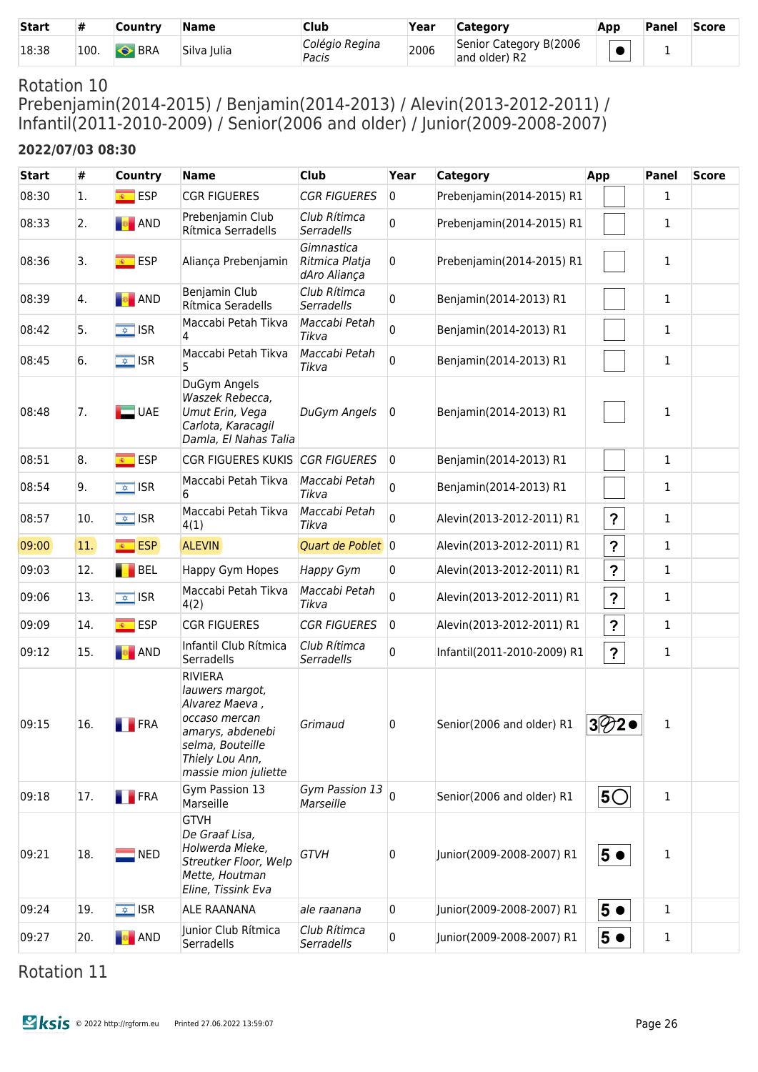| <b>Start</b> | #    | Country      | <b>Name</b> | Club                    | Year | <b>Category</b>                         | App | Panel | <b>Score</b> |
|--------------|------|--------------|-------------|-------------------------|------|-----------------------------------------|-----|-------|--------------|
| 18:38        | 100. | <b>S</b> BRA | Silva Iulia | Colégio Regina<br>Pacis | 2006 | Senior Category B(2006<br>and older) R2 |     |       |              |

Prebenjamin(2014-2015) / Benjamin(2014-2013) / Alevin(2013-2012-2011) / Infantil(2011-2010-2009) / Senior(2006 and older) / Junior(2009-2008-2007)

#### **2022/07/03 08:30**

| <b>Start</b> | #            | <b>Country</b>                              | <b>Name</b>                                                                                                                                             | Club                                         | Year           | <b>Category</b>             | App                       | Panel        | <b>Score</b> |
|--------------|--------------|---------------------------------------------|---------------------------------------------------------------------------------------------------------------------------------------------------------|----------------------------------------------|----------------|-----------------------------|---------------------------|--------------|--------------|
| 08:30        | 1.           | <u><sup>⊛</sup>FSP</u>                      | <b>CGR FIGUERES</b>                                                                                                                                     | <b>CGR FIGUERES</b>                          | $\overline{0}$ | Prebenjamin(2014-2015) R1   |                           | 1            |              |
| 08:33        | 2.           | <b>B</b> AND                                | Prebenjamin Club<br>Rítmica Serradells                                                                                                                  | Club Rítimca<br>Serradells                   | 0              | Prebenjamin(2014-2015) R1   |                           | 1            |              |
| 08:36        | 3.           | <mark>⊛ ESP</mark>                          | Aliança Prebenjamin                                                                                                                                     | Gimnastica<br>Ritmica Platja<br>dAro Aliança | 0              | Prebenjamin(2014-2015) R1   |                           | 1            |              |
| 08:39        | 4.           | <b>B</b> AND                                | Benjamin Club<br>Rítmica Seradells                                                                                                                      | Club Rítimca<br><b>Serradells</b>            | 0              | Benjamin(2014-2013) R1      |                           | 1            |              |
| 08:42        | 5.           | $\sqrt{2}$ ISR                              | Maccabi Petah Tikva<br>4                                                                                                                                | Maccabi Petah<br>Tikva                       | 0              | Benjamin(2014-2013) R1      |                           | 1            |              |
| 08:45        | 6.           | $\overline{\bullet}$ ISR                    | Maccabi Petah Tikva<br>5                                                                                                                                | Maccabi Petah<br>Tikva                       | 0              | Benjamin(2014-2013) R1      |                           | 1            |              |
| 08:48        | 7.           | $\Box$ UAE                                  | DuGym Angels<br>Waszek Rebecca,<br>Umut Erin, Vega<br>Carlota, Karacagil<br>Damla, El Nahas Talia                                                       | DuGym Angels                                 | 0              | Benjamin(2014-2013) R1      |                           | 1            |              |
| 08:51        | 8.           | <b>ESP</b><br>$\overline{\mathbf{R}^{(1)}}$ | <b>CGR FIGUERES KUKIS</b>                                                                                                                               | <b>CGR FIGUERES</b>                          | $\overline{0}$ | Benjamin(2014-2013) R1      |                           | 1            |              |
| 08:54        | 9.           | $\overline{\bullet}$ ISR                    | Maccabi Petah Tikva<br>6                                                                                                                                | Maccabi Petah<br>Tikva                       | 0              | Benjamin(2014-2013) R1      |                           | 1            |              |
| 08:57        | 10.          | $\overline{\bullet}$ ISR                    | Maccabi Petah Tikva<br>4(1)                                                                                                                             | Maccabi Petah<br>Tikva                       | 0              | Alevin(2013-2012-2011) R1   | $\overline{\mathbf{?}}$   | 1            |              |
| 09:00        | $ 11\rangle$ | <sup>®</sup> ESP                            | <b>ALEVIN</b>                                                                                                                                           | Quart de Poblet 0                            |                | Alevin(2013-2012-2011) R1   | $\mathbf{?}$              | 1            |              |
| 09:03        | 12.          | BEL                                         | Happy Gym Hopes                                                                                                                                         | Happy Gym                                    | 0              | Alevin(2013-2012-2011) R1   | $\boldsymbol{\mathsf{?}}$ | 1            |              |
| 09:06        | 13.          | $\sqrt{2}$ ISR                              | Maccabi Petah Tikva<br>4(2)                                                                                                                             | Maccabi Petah<br>Tikva                       | 0              | Alevin(2013-2012-2011) R1   | $\overline{\mathbf{?}}$   | 1            |              |
| 09:09        | 14.          | <mark>⊛ ESP</mark>                          | <b>CGR FIGUERES</b>                                                                                                                                     | <b>CGR FIGUERES</b>                          | 0              | Alevin(2013-2012-2011) R1   | $\boldsymbol{\mathsf{?}}$ | 1            |              |
| 09:12        | 15.          | <b>B</b> AND                                | Infantil Club Rítmica<br>Serradells                                                                                                                     | Club Rítimca<br>Serradells                   | 0              | Infantil(2011-2010-2009) R1 | $\overline{\mathbf{?}}$   | 1            |              |
| 09:15        | 16.          | <b>FRA</b>                                  | <b>RIVIERA</b><br>lauwers margot,<br>Alvarez Maeva,<br>occaso mercan<br>amarys, abdenebi<br>selma, Bouteille<br>Thiely Lou Ann,<br>massie mion juliette | Grimaud                                      | 0              | Senior(2006 and older) R1   | $3\%2$                    | $\mathbf{1}$ |              |
| 09:18        | 17.          | <b>FRA</b>                                  | Gym Passion 13<br>Marseille                                                                                                                             | Gym Passion 13 $\vert$ 0<br>Marseille        |                | Senior(2006 and older) R1   | 5O                        | 1            |              |
| 09:21        | 18.          | $\blacksquare$ NED                          | <b>GTVH</b><br>De Graaf Lisa,<br>Holwerda Mieke,<br>Streutker Floor, Welp<br>Mette, Houtman<br>Eline, Tissink Eva                                       | <b>GTVH</b>                                  | 0              | Junior(2009-2008-2007) R1   | $5 \bullet$               | $\mathbf{1}$ |              |
| 09:24        | 19.          | $\sqrt{2}$ ISR                              | <b>ALE RAANANA</b>                                                                                                                                      | ale raanana                                  | 0              | Junior(2009-2008-2007) R1   | 5 <sub>o</sub>            | 1            |              |
| 09:27        | 20.          | <b>B</b> AND                                | Junior Club Rítmica<br>Serradells                                                                                                                       | Club Rítimca<br>Serradells                   | 0              | Junior(2009-2008-2007) R1   | $5 \bullet$               | 1            |              |

# Rotation 11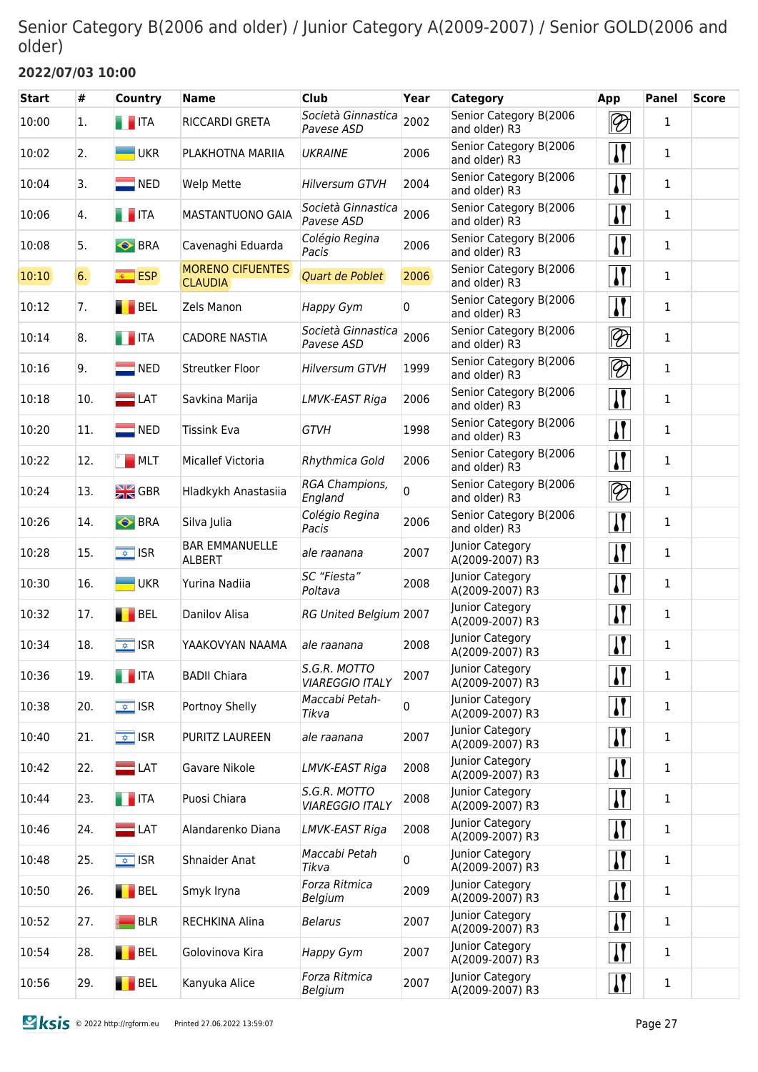## Senior Category B(2006 and older) / Junior Category A(2009-2007) / Senior GOLD(2006 and older)

## **2022/07/03 10:00**

| <b>Start</b> | #   | <b>Country</b>           | <b>Name</b>                               | Club                                   | Year | Category                                | App                                  | <b>Panel</b> | <b>Score</b> |
|--------------|-----|--------------------------|-------------------------------------------|----------------------------------------|------|-----------------------------------------|--------------------------------------|--------------|--------------|
| 10:00        | 1.  | $\blacksquare$ ITA       | RICCARDI GRETA                            | Società Ginnastica<br>Pavese ASD       | 2002 | Senior Category B(2006<br>and older) R3 | $\lvert \mathcal{D} \rvert$          | 1            |              |
| 10:02        | 2.  | <b>UKR</b>               | PLAKHOTNA MARIIA                          | <b>UKRAINE</b>                         | 2006 | Senior Category B(2006<br>and older) R3 | $\mathbf{I}$                         | 1            |              |
| 10:04        | 3.  | $\blacksquare$ NED       | Welp Mette                                | <b>Hilversum GTVH</b>                  | 2004 | Senior Category B(2006<br>and older) R3 | $\mathbf{I}$                         | 1            |              |
| 10:06        | 4.  | <b>THEFT</b>             | MASTANTUONO GAIA                          | Società Ginnastica<br>Pavese ASD       | 2006 | Senior Category B(2006<br>and older) R3 | $\mathbf{I}$                         | 1            |              |
| 10:08        | 5.  | <b>BRA</b>               | Cavenaghi Eduarda                         | Colégio Regina<br>Pacis                | 2006 | Senior Category B(2006<br>and older) R3 | $\overline{\mathbf{I}^{\mathsf{r}}}$ | 1            |              |
| 10:10        | 6.  | <sup>⊗</sup> ESP         | <b>MORENO CIFUENTES</b><br><b>CLAUDIA</b> | Quart de Poblet                        | 2006 | Senior Category B(2006<br>and older) R3 | $\mathbf{I}$                         | 1            |              |
| 10:12        | 7.  | BEL                      | Zels Manon                                | Happy Gym                              | 0    | Senior Category B(2006<br>and older) R3 | $\mathbf{I}$                         | 1            |              |
| 10:14        | 8.  | <b>THE ITA</b>           | <b>CADORE NASTIA</b>                      | Società Ginnastica<br>Pavese ASD       | 2006 | Senior Category B(2006<br>and older) R3 | $\lvert \mathcal{D} \rvert$          | 1            |              |
| 10:16        | 9.  | $\blacksquare$ NED       | Streutker Floor                           | <b>Hilversum GTVH</b>                  | 1999 | Senior Category B(2006<br>and older) R3 | $ \mathcal{D} $                      | 1            |              |
| 10:18        | 10. | $\blacksquare$ LAT       | Savkina Marija                            | LMVK-EAST Riga                         | 2006 | Senior Category B(2006<br>and older) R3 | $\mathbf{I}$                         | 1            |              |
| 10:20        | 11. | $\blacksquare$ NED       | <b>Tissink Eva</b>                        | <b>GTVH</b>                            | 1998 | Senior Category B(2006<br>and older) R3 | $\mathbf{I}$                         | 1            |              |
| 10:22        | 12. | MLT                      | <b>Micallef Victoria</b>                  | Rhythmica Gold                         | 2006 | Senior Category B(2006<br>and older) R3 | $\overline{\mathbf{I}^{\mathsf{r}}}$ | 1            |              |
| 10:24        | 13. | $\frac{N}{2N}$ GBR       | Hladkykh Anastasiia                       | RGA Champions,<br>England              | 0    | Senior Category B(2006<br>and older) R3 | $\overline{\mathscr{D}}$             | 1            |              |
| 10:26        | 14. | <b>BRA</b>               | Silva Julia                               | Colégio Regina<br>Pacis                | 2006 | Senior Category B(2006<br>and older) R3 | $\mathbf{I}$                         | 1            |              |
| 10:28        | 15. | $\overline{\bullet}$ ISR | <b>BAR EMMANUELLE</b><br><b>ALBERT</b>    | ale raanana                            | 2007 | Junior Category<br>A(2009-2007) R3      | $\mathbf{I}$                         | 1            |              |
| 10:30        | 16. | <b>UKR</b>               | Yurina Nadiia                             | SC "Fiesta"<br>Poltava                 | 2008 | Junior Category<br>A(2009-2007) R3      | $\mathbf{I}$                         | 1            |              |
| 10:32        | 17. | BEL                      | Danilov Alisa                             | RG United Belgium 2007                 |      | Junior Category<br>A(2009-2007) R3      | $\mathbf{I}$                         | 1            |              |
| 10:34        | 18. | $\overline{\bullet}$ ISR | YAAKOVYAN NAAMA                           | ale raanana                            | 2008 | Junior Category<br>A(2009-2007) R3      | $\mathbf{I}$                         | 1            |              |
| 10:36        | 19. | $\blacksquare$ ITA       | <b>BADII Chiara</b>                       | S.G.R. MOTTO<br><b>VIAREGGIO ITALY</b> | 2007 | Junior Category<br>A(2009-2007) R3      | $\mathbf{I}$                         | $\mathbf 1$  |              |
| 10:38        | 20. | $\sqrt{\frac{1}{2}}$ ISR | Portnoy Shelly                            | Maccabi Petah-<br>Tikva                | 0    | Junior Category<br>A(2009-2007) R3      | $\mathbf{H}$                         | 1            |              |
| 10:40        | 21. | $\sqrt{2}$ ISR           | PURITZ LAUREEN                            | ale raanana                            | 2007 | Junior Category<br>A(2009-2007) R3      | $\mathbf{H}$                         | 1            |              |
| 10:42        | 22. | $\blacksquare$ LAT       | Gavare Nikole                             | LMVK-EAST Riga                         | 2008 | Junior Category<br>A(2009-2007) R3      | $\mathbf{H}$                         | 1            |              |
| 10:44        | 23. | $\blacksquare$ ITA       | Puosi Chiara                              | S.G.R. MOTTO<br><b>VIAREGGIO ITALY</b> | 2008 | Junior Category<br>A(2009-2007) R3      | $\mathbf{H}$                         | 1            |              |
| 10:46        | 24. | $\blacksquare$ LAT       | Alandarenko Diana                         | LMVK-EAST Riga                         | 2008 | Junior Category<br>A(2009-2007) R3      | $\mathbf{H}$                         | 1            |              |
| 10:48        | 25. | $\sqrt{2}$ ISR           | Shnaider Anat                             | Maccabi Petah<br>Tikva                 | 0    | Junior Category<br>A(2009-2007) R3      | $\mathbf{H}$                         | $\mathbf{1}$ |              |
| 10:50        | 26. | BEL                      | Smyk Iryna                                | Forza Ritmica<br>Belgium               | 2009 | Junior Category<br>A(2009-2007) R3      | $\mathbf{H}$                         | $\mathbf{1}$ |              |
| 10:52        | 27. | <b>BLR</b>               | <b>RECHKINA Alina</b>                     | <b>Belarus</b>                         | 2007 | Junior Category<br>A(2009-2007) R3      | $\mathbf{I}$                         | $\mathbf{1}$ |              |
| 10:54        | 28. | BEL                      | Golovinova Kira                           | Happy Gym                              | 2007 | Junior Category<br>A(2009-2007) R3      | $\mathbf{H}$                         | 1            |              |
| 10:56        | 29. | <b>BEL</b>               | Kanyuka Alice                             | Forza Ritmica<br>Belgium               | 2007 | Junior Category<br>A(2009-2007) R3      | $\mathbf{H}$                         | $\mathbf{1}$ |              |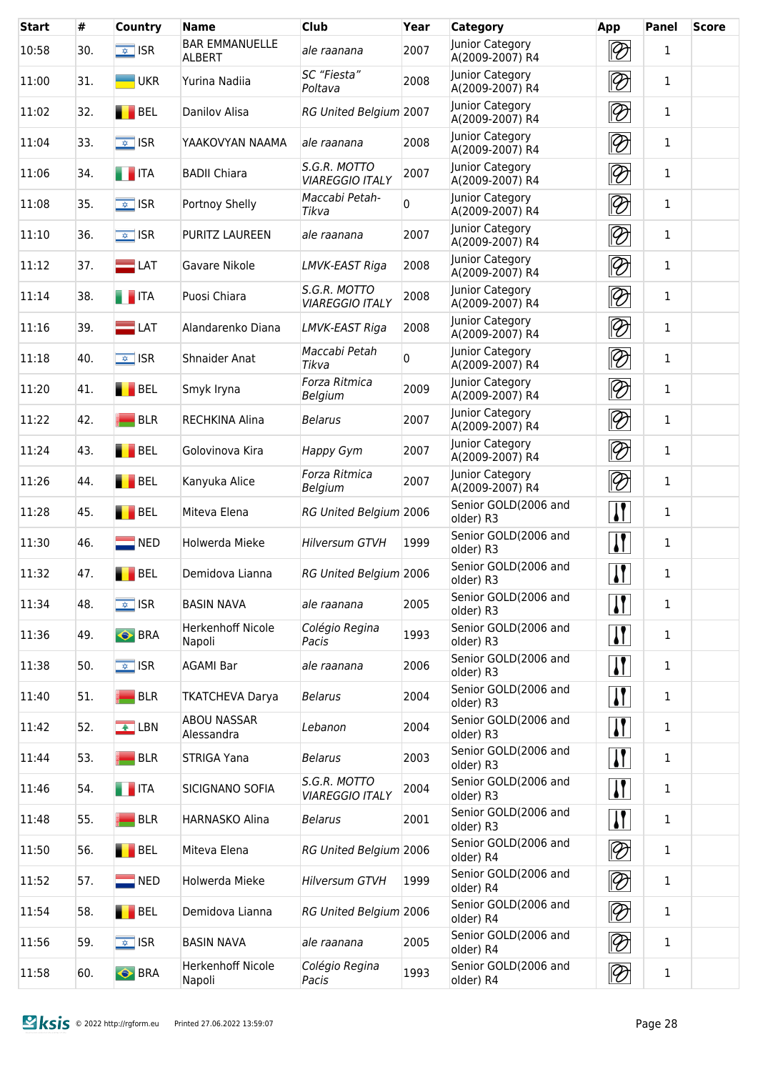| <b>Start</b> | #   | <b>Country</b>           | <b>Name</b>                            | <b>Club</b>                            | Year        | <b>Category</b>                    | App                         | <b>Panel</b> | <b>Score</b> |
|--------------|-----|--------------------------|----------------------------------------|----------------------------------------|-------------|------------------------------------|-----------------------------|--------------|--------------|
| 10:58        | 30. | $\sqrt{\frac{1}{2}}$ ISR | <b>BAR EMMANUELLE</b><br><b>ALBERT</b> | ale raanana                            | 2007        | Junior Category<br>A(2009-2007) R4 | $ \mathcal{D} $             | $\mathbf{1}$ |              |
| 11:00        | 31. | $\blacksquare$ UKR       | Yurina Nadiia                          | SC "Fiesta"<br>Poltava                 | 2008        | Junior Category<br>A(2009-2007) R4 | $ \mathcal{D} $             | $\mathbf{1}$ |              |
| 11:02        | 32. | BEL                      | Danilov Alisa                          | <b>RG United Belgium 2007</b>          |             | Junior Category<br>A(2009-2007) R4 | $ \mathcal{D} $             | $\mathbf 1$  |              |
| 11:04        | 33. | $\sqrt{\frac{1}{2}}$ ISR | YAAKOVYAN NAAMA                        | ale raanana                            | 2008        | Junior Category<br>A(2009-2007) R4 | $ \mathcal{D} $             | $\mathbf 1$  |              |
| 11:06        | 34. | $\blacksquare$ ITA       | <b>BADII Chiara</b>                    | S.G.R. MOTTO<br><b>VIAREGGIO ITALY</b> | 2007        | Junior Category<br>A(2009-2007) R4 | $ \mathcal{D} $             | $\mathbf{1}$ |              |
| 11:08        | 35. | $\sqrt{2}$ ISR           | Portnoy Shelly                         | Maccabi Petah-<br>Tikva                | $\mathbf 0$ | Junior Category<br>A(2009-2007) R4 | $ \mathcal{D} $             | $\mathbf 1$  |              |
| 11:10        | 36. | $\sqrt{2}$ ISR           | PURITZ LAUREEN                         | ale raanana                            | 2007        | Junior Category<br>A(2009-2007) R4 | $ \mathcal{D} $             | 1            |              |
| 11:12        | 37. | $\Box$ LAT               | Gavare Nikole                          | LMVK-EAST Riga                         | 2008        | Junior Category<br>A(2009-2007) R4 | $ \mathcal{D} $             | 1            |              |
| 11:14        | 38. | $\blacksquare$ ITA       | Puosi Chiara                           | S.G.R. MOTTO<br><b>VIAREGGIO ITALY</b> | 2008        | Junior Category<br>A(2009-2007) R4 | $ \mathcal{D} $             | 1            |              |
| 11:16        | 39. | $\blacksquare$ LAT       | Alandarenko Diana                      | LMVK-EAST Riga                         | 2008        | Junior Category<br>A(2009-2007) R4 | $ \mathcal{D} $             | $\mathbf{1}$ |              |
| 11:18        | 40. | $\sqrt{2}$ ISR           | <b>Shnaider Anat</b>                   | Maccabi Petah<br>Tikva                 | $\mathbf 0$ | Junior Category<br>A(2009-2007) R4 | $ \mathcal{D} $             | $\mathbf{1}$ |              |
| 11:20        | 41. | <b>BEL</b>               | Smyk Iryna                             | Forza Ritmica<br>Belgium               | 2009        | Junior Category<br>A(2009-2007) R4 | $\lvert \mathcal{D} \rvert$ | $\mathbf{1}$ |              |
| 11:22        | 42. | <b>BLR</b>               | RECHKINA Alina                         | <b>Belarus</b>                         | 2007        | Junior Category<br>A(2009-2007) R4 | $\lvert \mathcal{D} \rvert$ | $\mathbf{1}$ |              |
| 11:24        | 43. | BEL                      | Golovinova Kira                        | Happy Gym                              | 2007        | Junior Category<br>A(2009-2007) R4 | $ \mathcal{D} $             | 1            |              |
| 11:26        | 44. | BEL                      | Kanyuka Alice                          | Forza Ritmica<br>Belgium               | 2007        | Junior Category<br>A(2009-2007) R4 | $ \mathcal{D} $             | 1            |              |
| 11:28        | 45. | <b>BEL</b>               | Miteva Elena                           | RG United Belgium 2006                 |             | Senior GOLD(2006 and<br>older) R3  | $\mathbf{I}$                | 1            |              |
| 11:30        | 46. | $\blacksquare$ NED       | Holwerda Mieke                         | <b>Hilversum GTVH</b>                  | 1999        | Senior GOLD(2006 and<br>older) R3  | $\mathbf{I}$                | 1            |              |
| 11:32        | 47. | BEL                      | Demidova Lianna                        | RG United Belgium 2006                 |             | Senior GOLD(2006 and<br>older) R3  | $\mathbf{I}$                | 1            |              |
| 11:34        | 48. | $\sqrt{\frac{1}{2}}$ ISR | <b>BASIN NAVA</b>                      | ale raanana                            | 2005        | Senior GOLD(2006 and<br>older) R3  | $\mathbf{H}$                | 1            |              |
| 11:36        | 49. | <b>S</b> BRA             | <b>Herkenhoff Nicole</b><br>Napoli     | Colégio Regina<br>Pacis                | 1993        | Senior GOLD(2006 and<br>older) R3  | $\mathbf{H}$                | 1            |              |
| 11:38        | 50. | $\sqrt{\frac{1}{2}}$ ISR | <b>AGAMI Bar</b>                       | ale raanana                            | 2006        | Senior GOLD(2006 and<br>older) R3  | $\mathbf{H}$                | 1            |              |
| 11:40        | 51. | <b>BLR</b>               | <b>TKATCHEVA Darya</b>                 | <b>Belarus</b>                         | 2004        | Senior GOLD(2006 and<br>older) R3  | $\mathbf{H}$                | $\mathbf{1}$ |              |
| 11:42        | 52. | $\triangle$ LBN          | <b>ABOU NASSAR</b><br>Alessandra       | Lebanon                                | 2004        | Senior GOLD(2006 and<br>older) R3  | <u> }</u>                   | $\mathbf{1}$ |              |
| 11:44        | 53. | <b>BLR</b>               | STRIGA Yana                            | <b>Belarus</b>                         | 2003        | Senior GOLD(2006 and<br>older) R3  | <u> }</u>                   | $\mathbf{1}$ |              |
| 11:46        | 54. | <b>THE ITA</b>           | SICIGNANO SOFIA                        | S.G.R. MOTTO<br><b>VIAREGGIO ITALY</b> | 2004        | Senior GOLD(2006 and<br>older) R3  | $\mathbf{H}$                | $\mathbf{1}$ |              |
| 11:48        | 55. | <b>BLR</b>               | HARNASKO Alina                         | <b>Belarus</b>                         | 2001        | Senior GOLD(2006 and<br>older) R3  | $\mathbf{H}$                | 1            |              |
| 11:50        | 56. | BEL                      | Miteva Elena                           | RG United Belgium 2006                 |             | Senior GOLD(2006 and<br>older) R4  | $\lvert \mathcal{D} \rvert$ | 1            |              |
| 11:52        | 57. | $\blacksquare$ NED       | Holwerda Mieke                         | <b>Hilversum GTVH</b>                  | 1999        | Senior GOLD(2006 and<br>older) R4  | $ \mathcal{D} $             | 1            |              |
| 11:54        | 58. | BEL                      | Demidova Lianna                        | RG United Belgium 2006                 |             | Senior GOLD(2006 and<br>older) R4  | $ \mathcal{D} $             | 1            |              |
| 11:56        | 59. | $\overline{\bullet}$ ISR | <b>BASIN NAVA</b>                      | ale raanana                            | 2005        | Senior GOLD(2006 and<br>older) R4  | $\lvert \mathcal{D} \rvert$ | 1            |              |
| 11:58        | 60. | <b>S</b> BRA             | Herkenhoff Nicole<br>Napoli            | Colégio Regina<br>Pacis                | 1993        | Senior GOLD(2006 and<br>older) R4  | $ \mathcal{D} $             | $\mathbf{1}$ |              |